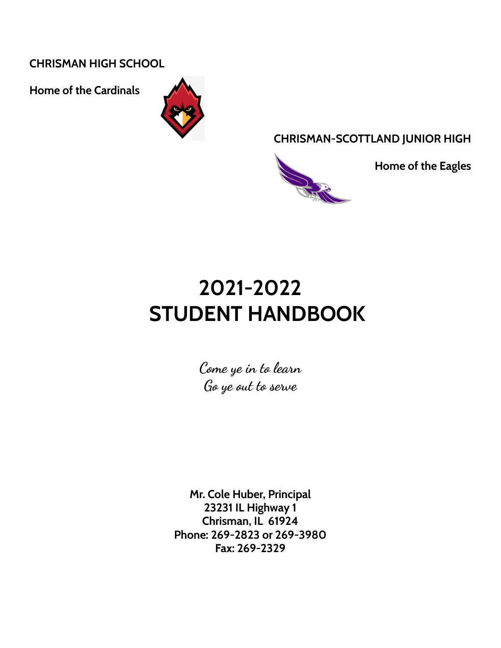**CHRISMAN HIGH SCHOOL**

**Home of the Cardinals**



**CHRISMAN-SCOTTLAND JUNIOR HIGH**



**Home of the Eagles**

# **2021-2022 STUDENT HANDBOOK**

**Come ye in to learn Go ye out to serve**

**Mr. Cole Huber, Principal 23231 IL Highway 1 Chrisman, IL 61924 Phone: 269-2823 or 269-3980 Fax: 269-2329**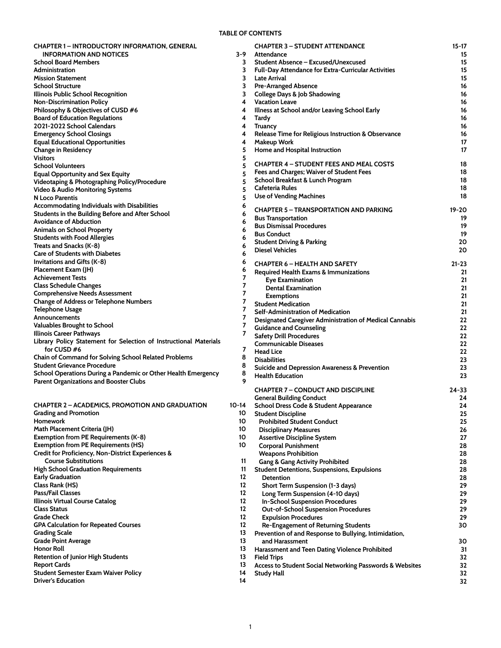#### **TABLE OF CONTENTS**

<span id="page-1-0"></span>

| <b>CHAPTER 1 – INTRODUCTORY INFORMATION, GENERAL</b><br><b>INFORMATION AND NOTICES</b> | $3-9$ | <b>CHAPTER 3 - STUDENT ATTENDANCE</b><br>Attendance            | $15 - 17$ |
|----------------------------------------------------------------------------------------|-------|----------------------------------------------------------------|-----------|
| <b>School Board Members</b>                                                            | 3     | Student Absence - Excused/Unexcused                            | 15<br>15  |
| Administration                                                                         | 3     | Full-Day Attendance for Extra-Curricular Activities            | 15        |
| <b>Mission Statement</b>                                                               | 3     | Late Arrival                                                   | 15        |
| <b>School Structure</b>                                                                | 3     | <b>Pre-Arranged Absence</b>                                    | 16        |
| Illinois Public School Recognition                                                     | 3     | <b>College Days &amp; Job Shadowing</b>                        | 16        |
| <b>Non-Discrimination Policy</b>                                                       | 4     | <b>Vacation Leave</b>                                          | 16        |
| Philosophy & Objectives of CUSD #6                                                     | 4     | Illness at School and/or Leaving School Early                  | 16        |
| <b>Board of Education Regulations</b>                                                  | 4     | Tardy                                                          | 16        |
| 2021-2022 School Calendars                                                             | 4     | <b>Truancy</b>                                                 | 16        |
| <b>Emergency School Closings</b>                                                       | 4     | Release Time for Religious Instruction & Observance            | 16        |
| <b>Equal Educational Opportunities</b>                                                 | 4     | <b>Makeup Work</b>                                             | 17        |
| <b>Change in Residency</b>                                                             | 5     | Home and Hospital Instruction                                  | 17        |
| <b>Visitors</b>                                                                        | 5     |                                                                |           |
| <b>School Volunteers</b>                                                               | 5     | <b>CHAPTER 4 - STUDENT FEES AND MEAL COSTS</b>                 | 18        |
| <b>Equal Opportunity and Sex Equity</b>                                                | 5     | Fees and Charges; Waiver of Student Fees                       | 18        |
| Videotaping & Photographing Policy/Procedure                                           | 5     | School Breakfast & Lunch Program                               | 18        |
| <b>Video &amp; Audio Monitoring Systems</b>                                            | 5     | Cafeteria Rules                                                | 18        |
| N Loco Parentis                                                                        | 5     | <b>Use of Vending Machines</b>                                 | 18        |
| Accommodating Individuals with Disabilities                                            | 6     |                                                                |           |
| Students in the Building Before and After School                                       | 6     | <b>CHAPTER 5 - TRANSPORTATION AND PARKING</b>                  | 19-20     |
| <b>Avoidance of Abduction</b>                                                          | 6     | <b>Bus Transportation</b>                                      | 19        |
| <b>Animals on School Property</b>                                                      | 6     | <b>Bus Dismissal Procedures</b><br><b>Bus Conduct</b>          | 19<br>19  |
| <b>Students with Food Allergies</b>                                                    | 6     |                                                                | 20        |
| Treats and Snacks (K-8)                                                                | 6     | <b>Student Driving &amp; Parking</b><br><b>Diesel Vehicles</b> | 20        |
| <b>Care of Students with Diabetes</b>                                                  | 6     |                                                                |           |
| Invitations and Gifts (K-8)                                                            | 6     | <b>CHAPTER 6 - HEALTH AND SAFETY</b>                           | 21-23     |
| Placement Exam (JH)                                                                    | 6     | Required Health Exams & Immunizations                          | 21        |
| <b>Achievement Tests</b>                                                               | 7     | Eye Examination                                                | 21        |
| <b>Class Schedule Changes</b>                                                          | 7     | <b>Dental Examination</b>                                      | 21        |
| <b>Comprehensive Needs Assessment</b>                                                  | 7     | <b>Exemptions</b>                                              | 21        |
| <b>Change of Address or Telephone Numbers</b>                                          | 7     | <b>Student Medication</b>                                      | 21        |
| <b>Telephone Usage</b>                                                                 | 7     | Self-Administration of Medication                              | 21        |
| Announcements                                                                          | 7     | Designated Caregiver Administration of Medical Cannabis        | 22        |
| Valuables Brought to School                                                            | 7     | <b>Guidance and Counseling</b>                                 | 22        |
| Illinois Career Pathways                                                               | 7     | <b>Safety Drill Procedures</b>                                 | 22        |
| Library Policy Statement for Selection of Instructional Materials                      | 7     | <b>Communicable Diseases</b>                                   | 22        |
| for CUSD #6<br>Chain of Command for Solving School Related Problems                    | 8     | <b>Head Lice</b>                                               | 22        |
| <b>Student Grievance Procedure</b>                                                     | 8     | <b>Disabilities</b>                                            | 23        |
| School Operations During a Pandemic or Other Health Emergency                          | 8     | Suicide and Depression Awareness & Prevention                  | 23        |
| Parent Organizations and Booster Clubs                                                 | 9     | <b>Health Education</b>                                        | 23        |
|                                                                                        |       | <b>CHAPTER 7 - CONDUCT AND DISCIPLINE</b>                      | 24-33     |
|                                                                                        |       | <b>General Building Conduct</b>                                | 24        |
| CHAPTER 2 - ACADEMICS, PROMOTION AND GRADUATION                                        | 10-14 | School Dress Code & Student Appearance                         | 24        |
| <b>Grading and Promotion</b>                                                           | 10    | <b>Student Discipline</b>                                      | 25        |
| Homework                                                                               | 10    | <b>Prohibited Student Conduct</b>                              | 25        |
| Math Placement Criteria (JH)                                                           | 10    | <b>Disciplinary Measures</b>                                   | 26        |
| Exemption from PE Requirements (K-8)                                                   | 10    | <b>Assertive Discipline System</b>                             | 27        |
| <b>Exemption from PE Requirements (HS)</b>                                             | 10    | <b>Corporal Punishment</b>                                     | 28        |
| Credit for Proficiency, Non-District Experiences &                                     |       | <b>Weapons Prohibition</b>                                     | 28        |
| <b>Course Substitutions</b>                                                            | 11    | <b>Gang &amp; Gang Activity Prohibited</b>                     | 28        |
| <b>High School Graduation Requirements</b>                                             | 11    | <b>Student Detentions, Suspensions, Expulsions</b>             | 28        |
| <b>Early Graduation</b>                                                                | 12    | Detention                                                      | 28        |
| Class Rank (HS)                                                                        | 12    | Short Term Suspension (1-3 days)                               | 29        |
| Pass/Fail Classes                                                                      | 12    | Long Term Suspension (4-10 days)                               | 29        |
| <b>Illinois Virtual Course Catalog</b>                                                 | 12    | <b>In-School Suspension Procedures</b>                         | 29        |
| <b>Class Status</b>                                                                    | 12    | <b>Out-of-School Suspension Procedures</b>                     | 29        |
| <b>Grade Check</b>                                                                     | 12    | <b>Expulsion Procedures</b>                                    | 29        |
| <b>GPA Calculation for Repeated Courses</b>                                            | 12    | Re-Engagement of Returning Students                            | 30        |
| <b>Grading Scale</b>                                                                   | 13    | Prevention of and Response to Bullying, Intimidation,          |           |
| Grade Point Average                                                                    | 13    | and Harassment                                                 | 30        |
| Honor Roll                                                                             | 13    | Harassment and Teen Dating Violence Prohibited                 | 31        |
| <b>Retention of Junior High Students</b>                                               | 13    | <b>Field Trips</b>                                             | 32        |
| <b>Report Cards</b>                                                                    | 13    | Access to Student Social Networking Passwords & Websites       | 32        |
| Student Semester Exam Waiver Policy                                                    | 14    | <b>Study Hall</b>                                              | 32        |
| <b>Driver's Education</b>                                                              | 14    |                                                                | 32        |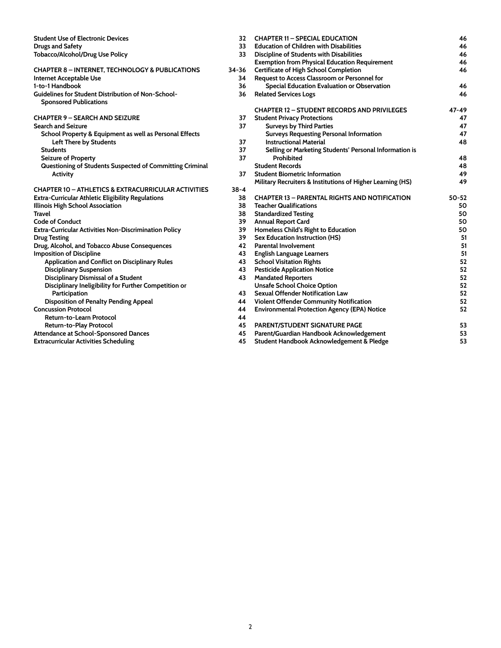| <b>Student Use of Electronic Devices</b>                       | 32       | <b>CHAPTER 11 - SPECIAL EDUCATION</b>                      | 46    |
|----------------------------------------------------------------|----------|------------------------------------------------------------|-------|
| <b>Drugs and Safety</b>                                        | 33       | <b>Education of Children with Disabilities</b>             | 46    |
| Tobacco/Alcohol/Drug Use Policy                                | 33       | Discipline of Students with Disabilities                   | 46    |
|                                                                |          | <b>Exemption from Physical Education Requirement</b>       | 46    |
| <b>CHAPTER 8 - INTERNET, TECHNOLOGY &amp; PUBLICATIONS</b>     | 34-36    | <b>Certificate of High School Completion</b>               | 46    |
| Internet Acceptable Use                                        | 34       | Request to Access Classroom or Personnel for               |       |
| 1-to-1 Handbook                                                | 36       | Special Education Evaluation or Observation                | 46    |
| <b>Guidelines for Student Distribution of Non-School-</b>      | 36       | <b>Related Services Logs</b>                               | 46    |
| <b>Sponsored Publications</b>                                  |          |                                                            |       |
|                                                                |          | <b>CHAPTER 12 - STUDENT RECORDS AND PRIVILEGES</b>         | 47-49 |
| <b>CHAPTER 9 - SEARCH AND SEIZURE</b>                          | 37       | <b>Student Privacy Protections</b>                         | 47    |
| <b>Search and Seizure</b>                                      | 37       | <b>Surveys by Third Parties</b>                            | 47    |
| School Property & Equipment as well as Personal Effects        |          | <b>Surveys Requesting Personal Information</b>             | 47    |
| Left There by Students                                         | 37       | <b>Instructional Material</b>                              | 48    |
| <b>Students</b>                                                | 37       | Selling or Marketing Students' Personal Information is     |       |
| <b>Seizure of Property</b>                                     | 37       | Prohibited                                                 | 48    |
| Questioning of Students Suspected of Committing Criminal       |          | <b>Student Records</b>                                     | 48    |
| <b>Activity</b>                                                | 37       | <b>Student Biometric Information</b>                       | 49    |
|                                                                |          | Military Recruiters & Institutions of Higher Learning (HS) | 49    |
| <b>CHAPTER 10 - ATHLETICS &amp; EXTRACURRICULAR ACTIVITIES</b> | $38 - 4$ |                                                            |       |
| Extra-Curricular Athletic Eligibility Regulations              | 38       | <b>CHAPTER 13 - PARENTAL RIGHTS AND NOTIFICATION</b>       | 50-52 |
| Illinois High School Association                               | 38       | <b>Teacher Qualifications</b>                              | 50    |
| Travel                                                         | 38       | <b>Standardized Testing</b>                                | 50    |
| <b>Code of Conduct</b>                                         | 39       | <b>Annual Report Card</b>                                  | 50    |
| Extra-Curricular Activities Non-Discrimination Policy          | 39       | Homeless Child's Right to Education                        | 50    |
| <b>Drug Testing</b>                                            | 39       | Sex Education Instruction (HS)                             | 51    |
| Drug, Alcohol, and Tobacco Abuse Consequences                  | 42       | <b>Parental Involvement</b>                                | 51    |
| <b>Imposition of Discipline</b>                                | 43       | <b>English Language Learners</b>                           | 51    |
| Application and Conflict on Disciplinary Rules                 | 43       | <b>School Visitation Rights</b>                            | 52    |
| <b>Disciplinary Suspension</b>                                 | 43       | <b>Pesticide Application Notice</b>                        | 52    |
| Disciplinary Dismissal of a Student                            | 43       | <b>Mandated Reporters</b>                                  | 52    |
| Disciplinary Ineligibility for Further Competition or          |          | <b>Unsafe School Choice Option</b>                         | 52    |
| Participation                                                  | 43       | Sexual Offender Notification Law                           | 52    |
| <b>Disposition of Penalty Pending Appeal</b>                   | 44       | Violent Offender Community Notification                    | 52    |
| <b>Concussion Protocol</b>                                     | 44       | <b>Environmental Protection Agency (EPA) Notice</b>        | 52    |
| Return-to-Learn Protocol                                       | 44       |                                                            |       |
| Return-to-Play Protocol                                        | 45       | <b>PARENT/STUDENT SIGNATURE PAGE</b>                       | 53    |
| Attendance at School-Sponsored Dances                          | 45       | Parent/Guardian Handbook Acknowledgement                   | 53    |
| <b>Extracurricular Activities Scheduling</b>                   | 45       | Student Handbook Acknowledgement & Pledge                  | 53    |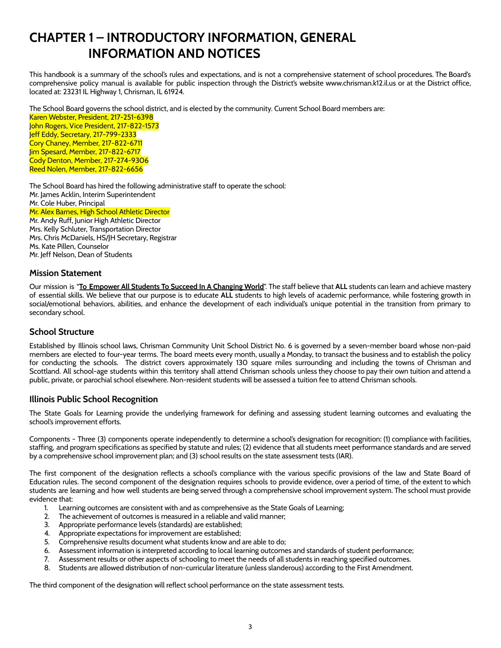## <span id="page-3-0"></span>**CHAPTER 1 – INTRODUCTORY INFORMATION, GENERAL INFORMATION AND NOTICES**

This handbook is a summary of the school's rules and expectations, and is not a comprehensive statement of school procedures. The Board's comprehensive policy manual is available for public inspection through the District's website www.chrisman.k12.il.us or at the District office, located at: 23231 IL Highway 1, Chrisman, IL 61924.

<span id="page-3-1"></span>The School Board governs the school district, and is elected by the community. Current School Board members are:

Karen Webster, President, 217-251-6398 John Rogers, Vice President, 217-822-1573 Jeff Eddy, Secretary, 217-799-2333 Cory Chaney, Member, 217-822-6711 Jim Spesard, Member, 217-822-6717 Cody Denton, Member, 217-274-9306 Reed Nolen, Member, 217-822-6656

<span id="page-3-2"></span>The School Board has hired the following administrative staff to operate the school: Mr. James Acklin, Interim Superintendent Mr. Cole Huber, Principal Mr. Alex Barnes, High School Athletic Director Mr. Andy Ruff, Junior High Athletic Director

Mrs. Kelly Schluter, Transportation Director Mrs. Chris McDaniels, HS/JH Secretary, Registrar Ms. Kate Pillen, Counselor Mr. Jeff Nelson, Dean of Students

#### <span id="page-3-3"></span>**Mission Statement**

Our mission is "**To Empower All Students To Succeed In A Changing World**". The staff believe that **ALL** students can learn and achieve mastery of essential skills. We believe that our purpose is to educate **ALL** students to high levels of academic performance, while fostering growth in social/emotional behaviors, abilities, and enhance the development of each individual's unique potential in the transition from primary to secondary school.

## <span id="page-3-4"></span>**School Structure**

Established by Illinois school laws, Chrisman Community Unit School District No. 6 is governed by a seven-member board whose non-paid members are elected to four-year terms. The board meets every month, usually a Monday, to transact the business and to establish the policy for conducting the schools. The district covers approximately 130 square miles surrounding and including the towns of Chrisman and Scottland. All school-age students within this territory shall attend Chrisman schools unless they choose to pay their own tuition and attend a public, private, or parochial school elsewhere. Non-resident students will be assessed a tuition fee to attend Chrisman schools.

## <span id="page-3-5"></span>**Illinois Public School Recognition**

The State Goals for Learning provide the underlying framework for defining and assessing student learning outcomes and evaluating the school's improvement efforts.

Components - Three (3) components operate independently to determine a school's designation for recognition: (1) compliance with facilities, staffing, and program specifications as specified by statute and rules; (2) evidence that all students meet performance standards and are served by a comprehensive school improvement plan; and (3) school results on the state assessment tests (IAR).

The first component of the designation reflects a school's compliance with the various specific provisions of the law and State Board of Education rules. The second component of the designation requires schools to provide evidence, over a period of time, of the extent to which students are learning and how well students are being served through a comprehensive school improvement system. The school must provide evidence that:

- 1. Learning outcomes are consistent with and as comprehensive as the State Goals of Learning;
- 2. The achievement of outcomes is measured in a reliable and valid manner;
- 3. Appropriate performance levels (standards) are established;
- 4. Appropriate expectations for improvement are established;
- 5. Comprehensive results document what students know and are able to do;
- 6. Assessment information is interpreted according to local learning outcomes and standards of student performance;
- 7. Assessment results or other aspects of schooling to meet the needs of all students in reaching specified outcomes.
- 8. Students are allowed distribution of non-curricular literature (unless slanderous) according to the First Amendment.

The third component of the designation will reflect school performance on the state assessment tests.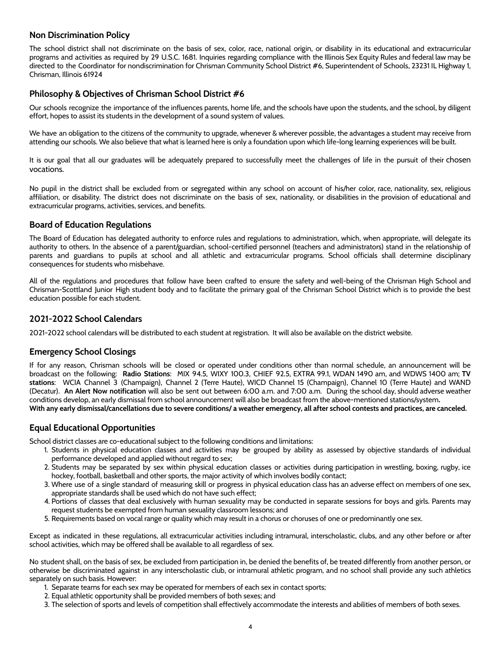#### <span id="page-4-0"></span>**Non Discrimination Policy**

The school district shall not discriminate on the basis of sex, color, race, national origin, or disability in its educational and extracurricular programs and activities as required by 29 U.S.C. 1681. Inquiries regarding compliance with the Illinois Sex Equity Rules and federal law may be directed to the Coordinator for nondiscrimination for Chrisman Community School District #6, Superintendent of Schools, 23231 IL Highway 1, Chrisman, Illinois 61924

## <span id="page-4-1"></span>**Philosophy & Objectives of Chrisman School District #6**

Our schools recognize the importance of the influences parents, home life, and the schools have upon the students, and the school, by diligent effort, hopes to assist its students in the development of a sound system of values.

We have an obligation to the citizens of the community to upgrade, whenever & wherever possible, the advantages a student may receive from attending our schools. We also believe that what is learned here is only a foundation upon which life-long learning experiences will be built.

It is our goal that all our graduates will be adequately prepared to successfully meet the challenges of life in the pursuit of their chosen vocations.

No pupil in the district shall be excluded from or segregated within any school on account of his/her color, race, nationality, sex, religious affiliation, or disability. The district does not discriminate on the basis of sex, nationality, or disabilities in the provision of educational and extracurricular programs, activities, services, and benefits.

#### <span id="page-4-2"></span>**Board of Education Regulations**

The Board of Education has delegated authority to enforce rules and regulations to administration, which, when appropriate, will delegate its authority to others. In the absence of a parent/guardian, school-certified personnel (teachers and administrators) stand in the relationship of parents and guardians to pupils at school and all athletic and extracurricular programs. School officials shall determine disciplinary consequences for students who misbehave.

All of the regulations and procedures that follow have been crafted to ensure the safety and well-being of the Chrisman High School and Chrisman-Scottland Junior High student body and to facilitate the primary goal of the Chrisman School District which is to provide the best education possible for each student.

## <span id="page-4-3"></span>**2021-2022 School Calendars**

2021-2022 school calendars will be distributed to each student at registration. It will also be available on the district website.

## <span id="page-4-4"></span>**Emergency School Closings**

If for any reason, Chrisman schools will be closed or operated under conditions other than normal schedule, an announcement will be broadcast on the following: **Radio Stations**: MIX 94.5, WIXY 100.3, CHIEF 92.5, EXTRA 99.1, WDAN 1490 am, and WDWS 1400 am; **TV stations**: WCIA Channel 3 (Champaign), Channel 2 (Terre Haute), WICD Channel 15 (Champaign), Channel 10 (Terre Haute) and WAND (Decatur). **An Alert Now notification** will also be sent out between 6:00 a.m. and 7:00 a.m. During the school day, should adverse weather conditions develop, an early dismissal from school announcement will also be broadcast from the above-mentioned stations/system**.** With any early dismissal/cancellations due to severe conditions/ a weather emergency, all after school contests and practices, are canceled.

## <span id="page-4-5"></span>**Equal Educational Opportunities**

School district classes are co-educational subject to the following conditions and limitations:

- 1. Students in physical education classes and activities may be grouped by ability as assessed by objective standards of individual performance developed and applied without regard to sex;
- 2. Students may be separated by sex within physical education classes or activities during participation in wrestling, boxing, rugby, ice hockey, football, basketball and other sports, the major activity of which involves bodily contact;
- 3. Where use of a single standard of measuring skill or progress in physical education class has an adverse effect on members of one sex, appropriate standards shall be used which do not have such effect;
- 4. Portions of classes that deal exclusively with human sexuality may be conducted in separate sessions for boys and girls. Parents may request students be exempted from human sexuality classroom lessons; and
- 5. Requirements based on vocal range or quality which may result in a chorus or choruses of one or predominantly one sex.

Except as indicated in these regulations, all extracurricular activities including intramural, interscholastic, clubs, and any other before or after school activities, which may be offered shall be available to all regardless of sex.

No student shall, on the basis of sex, be excluded from participation in, be denied the benefits of, be treated differently from another person, or otherwise be discriminated against in any interscholastic club, or intramural athletic program, and no school shall provide any such athletics separately on such basis. However:

- 1. Separate teams for each sex may be operated for members of each sex in contact sports;
- 2. Equal athletic opportunity shall be provided members of both sexes; and
- 3. The selection of sports and levels of competition shall effectively accommodate the interests and abilities of members of both sexes.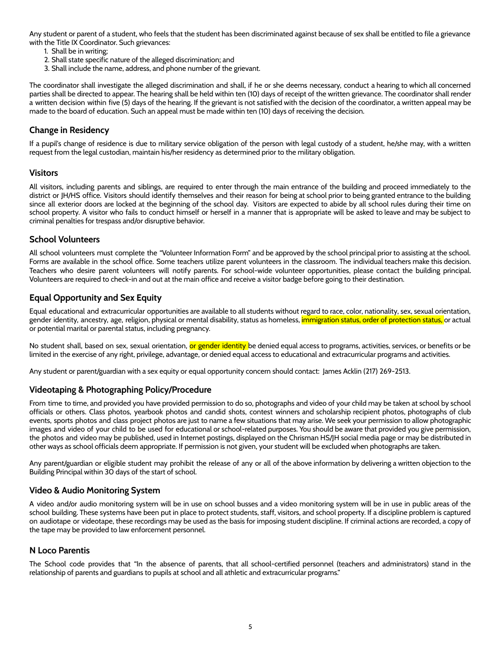Any student or parent of a student, who feels that the student has been discriminated against because of sex shall be entitled to file a grievance with the Title IX Coordinator. Such grievances:

- 1. Shall be in writing;
- 2. Shall state specific nature of the alleged discrimination; and
- 3. Shall include the name, address, and phone number of the grievant.

The coordinator shall investigate the alleged discrimination and shall, if he or she deems necessary, conduct a hearing to which all concerned parties shall be directed to appear. The hearing shall be held within ten (10) days of receipt of the written grievance. The coordinator shall render a written decision within five (5) days of the hearing. If the grievant is not satisfied with the decision of the coordinator, a written appeal may be made to the board of education. Such an appeal must be made within ten (10) days of receiving the decision.

## <span id="page-5-0"></span>**Change in Residency**

If a pupil's change of residence is due to military service obligation of the person with legal custody of a student, he/she may, with a written request from the legal custodian, maintain his/her residency as determined prior to the military obligation.

#### <span id="page-5-1"></span>**Visitors**

All visitors, including parents and siblings, are required to enter through the main entrance of the building and proceed immediately to the district or JH/HS office. Visitors should identify themselves and their reason for being at school prior to being granted entrance to the building since all exterior doors are locked at the beginning of the school day. Visitors are expected to abide by all school rules during their time on school property. A visitor who fails to conduct himself or herself in a manner that is appropriate will be asked to leave and may be subject to criminal penalties for trespass and/or disruptive behavior.

#### <span id="page-5-2"></span>**School Volunteers**

All school volunteers must complete the "Volunteer Information Form" and be approved by the school principal prior to assisting at the school. Forms are available in the school office. Some teachers utilize parent volunteers in the classroom. The individual teachers make this decision. Teachers who desire parent volunteers will notify parents. For school-wide volunteer opportunities, please contact the building principal. Volunteers are required to check-in and out at the main office and receive a visitor badge before going to their destination.

## **Equal Opportunity and Sex Equity**

Equal educational and extracurricular opportunities are available to all students without regard to race, color, nationality, sex, sexual orientation, gender identity, ancestry, age, religion, physical or mental disability, status as homeless, immigration status, order of protection status, or actual or potential marital or parental status, including pregnancy.

No student shall, based on sex, sexual orientation, <mark>or gender identity</mark> be denied equal access to programs, activities, services, or benefits or be limited in the exercise of any right, privilege, advantage, or denied equal access to educational and extracurricular programs and activities.

Any student or parent/guardian with a sex equity or equal opportunity concern should contact: James Acklin (217) 269-2513.

## <span id="page-5-3"></span>**Videotaping & Photographing Policy/Procedure**

From time to time, and provided you have provided permission to do so, photographs and video of your child may be taken at school by school officials or others. Class photos, yearbook photos and candid shots, contest winners and scholarship recipient photos, photographs of club events, sports photos and class project photos are just to name a few situations that may arise. We seek your permission to allow photographic images and video of your child to be used for educational or school-related purposes. You should be aware that provided you give permission, the photos and video may be published, used in Internet postings, displayed on the Chrisman HS/JH social media page or may be distributed in other ways as school officials deem appropriate. If permission is not given, your student will be excluded when photographs are taken.

Any parent/guardian or eligible student may prohibit the release of any or all of the above information by delivering a written objection to the Building Principal within 30 days of the start of school.

## <span id="page-5-4"></span>**Video & Audio Monitoring System**

A video and/or audio monitoring system will be in use on school busses and a video monitoring system will be in use in public areas of the school building. These systems have been put in place to protect students, staff, visitors, and school property. If a discipline problem is captured on audiotape or videotape, these recordings may be used as the basis for imposing student discipline. If criminal actions are recorded, a copy of the tape may be provided to law enforcement personnel.

#### <span id="page-5-5"></span>**N Loco Parentis**

The School code provides that "In the absence of parents, that all school-certified personnel (teachers and administrators) stand in the relationship of parents and guardians to pupils at school and all athletic and extracurricular programs."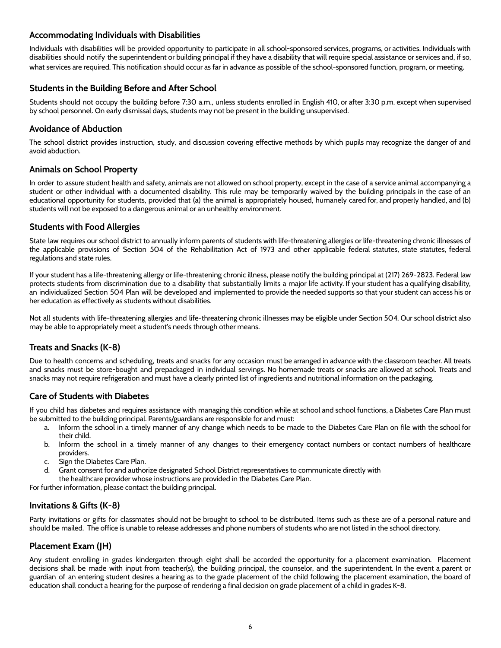## <span id="page-6-0"></span>**Accommodating Individuals with Disabilities**

Individuals with disabilities will be provided opportunity to participate in all school-sponsored services, programs, or activities. Individuals with disabilities should notify the superintendent or building principal if they have a disability that will require special assistance or services and, if so, what services are required. This notification should occur as far in advance as possible of the school-sponsored function, program, or meeting.

#### <span id="page-6-1"></span>**Students in the Building Before and After School**

Students should not occupy the building before 7:30 a.m., unless students enrolled in English 410, or after 3:30 p.m. except when supervised by school personnel. On early dismissal days, students may not be present in the building unsupervised.

#### <span id="page-6-2"></span>**Avoidance of Abduction**

The school district provides instruction, study, and discussion covering effective methods by which pupils may recognize the danger of and avoid abduction.

#### <span id="page-6-3"></span>**Animals on School Property**

In order to assure student health and safety, animals are not allowed on school property, except in the case of a service animal accompanying a student or other individual with a documented disability. This rule may be temporarily waived by the building principals in the case of an educational opportunity for students, provided that (a) the animal is appropriately housed, humanely cared for, and properly handled, and (b) students will not be exposed to a dangerous animal or an unhealthy environment.

#### <span id="page-6-4"></span>**Students with Food Allergies**

State law requires our school district to annually inform parents of students with life-threatening allergies or life-threatening chronic illnesses of the applicable provisions of Section 504 of the Rehabilitation Act of 1973 and other applicable federal statutes, state statutes, federal regulations and state rules.

If your student has a life-threatening allergy or life-threatening chronic illness, please notify the building principal at (217) 269-2823. Federal law protects students from discrimination due to a disability that substantially limits a major life activity. If your student has a qualifying disability, an individualized Section 504 Plan will be developed and implemented to provide the needed supports so that your student can access his or her education as effectively as students without disabilities.

Not all students with life-threatening allergies and life-threatening chronic illnesses may be eligible under Section 504. Our school district also may be able to appropriately meet a student's needs through other means.

## **Treats and Snacks (K-8)**

Due to health concerns and scheduling, treats and snacks for any occasion must be arranged in advance with the classroom teacher. All treats and snacks must be store-bought and prepackaged in individual servings. No homemade treats or snacks are allowed at school. Treats and snacks may not require refrigeration and must have a clearly printed list of ingredients and nutritional information on the packaging.

## <span id="page-6-5"></span>**Care of Students with Diabetes**

If you child has diabetes and requires assistance with managing this condition while at school and school functions, a Diabetes Care Plan must be submitted to the building principal. Parents/guardians are responsible for and must:

- a. Inform the school in a timely manner of any change which needs to be made to the Diabetes Care Plan on file with the school for their child.
- b. Inform the school in a timely manner of any changes to their emergency contact numbers or contact numbers of healthcare providers.
- c. Sign the Diabetes Care Plan.
- d. Grant consent for and authorize designated School District representatives to communicate directly with
- the healthcare provider whose instructions are provided in the Diabetes Care Plan.

For further information, please contact the building principal.

## <span id="page-6-6"></span>**Invitations & Gifts (K-8)**

Party invitations or gifts for classmates should not be brought to school to be distributed. Items such as these are of a personal nature and should be mailed. The office is unable to release addresses and phone numbers of students who are not listed in the school directory.

## <span id="page-6-7"></span>**Placement Exam (JH)**

Any student enrolling in grades kindergarten through eight shall be accorded the opportunity for a placement examination. Placement decisions shall be made with input from teacher(s), the building principal, the counselor, and the superintendent. In the event a parent or guardian of an entering student desires a hearing as to the grade placement of the child following the placement examination, the board of education shall conduct a hearing for the purpose of rendering a final decision on grade placement of a child in grades K-8.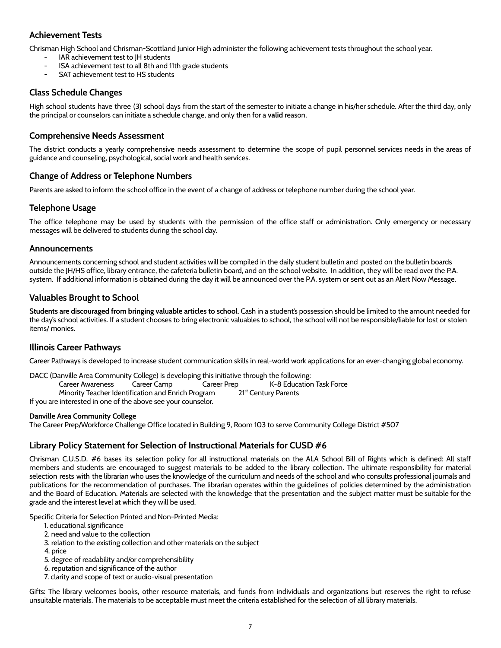## <span id="page-7-0"></span>**Achievement Tests**

Chrisman High School and Chrisman-Scottland Junior High administer the following achievement tests throughout the school year.

- **-** IAR achievement test to JH students
- ISA achievement test to all 8th and 11th grade students
- **-** SAT achievement test to HS students

## <span id="page-7-1"></span>**Class Schedule Changes**

High school students have three (3) school days from the start of the semester to initiate a change in his/her schedule. After the third day, only the principal or counselors can initiate a schedule change, and only then for a **valid** reason.

#### <span id="page-7-2"></span>**Comprehensive Needs Assessment**

The district conducts a yearly comprehensive needs assessment to determine the scope of pupil personnel services needs in the areas of guidance and counseling, psychological, social work and health services.

## <span id="page-7-3"></span>**Change of Address or Telephone Numbers**

Parents are asked to inform the school office in the event of a change of address or telephone number during the school year.

#### <span id="page-7-4"></span>**Telephone Usage**

The office telephone may be used by students with the permission of the office staff or administration. Only emergency or necessary messages will be delivered to students during the school day.

#### <span id="page-7-5"></span>**Announcements**

Announcements concerning school and student activities will be compiled in the daily student bulletin and posted on the bulletin boards outside the JH/HS office, library entrance, the cafeteria bulletin board, and on the school website. In addition, they will be read over the P.A. system. If additional information is obtained during the day it will be announced over the P.A. system or sent out as an Alert Now Message.

## <span id="page-7-6"></span>**Valuables Brought to School**

**Students are discouraged from bringing valuable articles to school**. Cash in a student's possession should be limited to the amount needed for the day's school activities. If a student chooses to bring electronic valuables to school, the school will not be responsible/liable for lost or stolen items/ monies.

## <span id="page-7-7"></span>**Illinois Career Pathways**

Career Pathways is developed to increase student communication skills in real-world work applications for an ever-changing global economy.

| DACC (Danville Area Community College) is developing this initiative through the following: |  |                                          |                          |
|---------------------------------------------------------------------------------------------|--|------------------------------------------|--------------------------|
|                                                                                             |  | Career Awareness Career Camp Career Prep | K-8 Education Task Force |
| Minority Teacher Identification and Enrich Program                                          |  | 21 <sup>st</sup> Century Parents         |                          |
| If you are interested in one of the above see your counselor.                               |  |                                          |                          |

#### **Danville Area Community College**

The Career Prep/Workforce Challenge Office located in Building 9, Room 103 to serve Community College District #507

## <span id="page-7-8"></span>**Library Policy Statement for Selection of Instructional Materials for CUSD #6**

Chrisman C.U.S.D. #6 bases its selection policy for all instructional materials on the ALA School Bill of Rights which is defined: All staff members and students are encouraged to suggest materials to be added to the library collection. The ultimate responsibility for material selection rests with the librarian who uses the knowledge of the curriculum and needs of the school and who consults professional journals and publications for the recommendation of purchases. The librarian operates within the guidelines of policies determined by the administration and the Board of Education. Materials are selected with the knowledge that the presentation and the subject matter must be suitable for the grade and the interest level at which they will be used.

Specific Criteria for Selection Printed and Non-Printed Media:

- 1. educational significance
- 2. need and value to the collection
- 3. relation to the existing collection and other materials on the subject
- 4. price
- 5. degree of readability and/or comprehensibility
- 6. reputation and significance of the author
- 7. clarity and scope of text or audio-visual presentation

Gifts: The library welcomes books, other resource materials, and funds from individuals and organizations but reserves the right to refuse unsuitable materials. The materials to be acceptable must meet the criteria established for the selection of all library materials.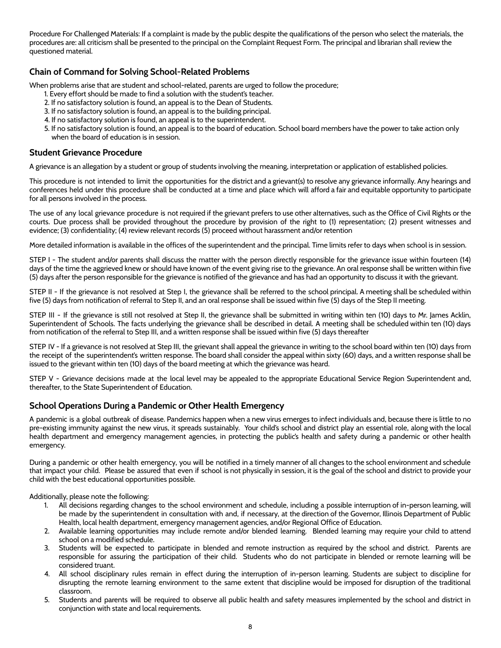Procedure For Challenged Materials: If a complaint is made by the public despite the qualifications of the person who select the materials, the procedures are: all criticism shall be presented to the principal on the Complaint Request Form. The principal and librarian shall review the questioned material.

## <span id="page-8-0"></span>**Chain of Command for Solving School-Related Problems**

When problems arise that are student and school-related, parents are urged to follow the procedure;

- 1. Every effort should be made to find a solution with the student's teacher.
- 2. If no satisfactory solution is found, an appeal is to the Dean of Students.
- 3. If no satisfactory solution is found, an appeal is to the building principal.
- 4. If no satisfactory solution is found, an appeal is to the superintendent.
- 5. If no satisfactory solution is found, an appeal is to the board of education. School board members have the power to take action only when the board of education is in session.

#### <span id="page-8-1"></span>**Student Grievance Procedure**

A grievance is an allegation by a student or group of students involving the meaning, interpretation or application of established policies.

This procedure is not intended to limit the opportunities for the district and a grievant(s) to resolve any grievance informally. Any hearings and conferences held under this procedure shall be conducted at a time and place which will afford a fair and equitable opportunity to participate for all persons involved in the process.

The use of any local grievance procedure is not required if the grievant prefers to use other alternatives, such as the Office of Civil Rights or the courts. Due process shall be provided throughout the procedure by provision of the right to (1) representation; (2) present witnesses and evidence; (3) confidentiality; (4) review relevant records (5) proceed without harassment and/or retention

More detailed information is available in the offices of the superintendent and the principal. Time limits refer to days when school is in session.

STEP I - The student and/or parents shall discuss the matter with the person directly responsible for the grievance issue within fourteen (14) days of the time the aggrieved knew or should have known of the event giving rise to the grievance. An oral response shall be written within five (5) days after the person responsible for the grievance is notified of the grievance and has had an opportunity to discuss it with the grievant.

STEP II - If the grievance is not resolved at Step I, the grievance shall be referred to the school principal. A meeting shall be scheduled within five (5) days from notification of referral to Step II, and an oral response shall be issued within five (5) days of the Step II meeting.

STEP III - If the grievance is still not resolved at Step II, the grievance shall be submitted in writing within ten (10) days to Mr. James Acklin, Superintendent of Schools. The facts underlying the grievance shall be described in detail. A meeting shall be scheduled within ten (10) days from notification of the referral to Step III, and a written response shall be issued within five (5) days thereafter

STEP IV - If a grievance is not resolved at Step III, the grievant shall appeal the grievance in writing to the school board within ten (10) days from the receipt of the superintendent's written response. The board shall consider the appeal within sixty (60) days, and a written response shall be issued to the grievant within ten (10) days of the board meeting at which the grievance was heard.

STEP V - Grievance decisions made at the local level may be appealed to the appropriate Educational Service Region Superintendent and, thereafter, to the State Superintendent of Education.

## <span id="page-8-2"></span>**School Operations During a Pandemic or Other Health Emergency**

A pandemic is a global outbreak of disease. Pandemics happen when a new virus emerges to infect individuals and, because there is little to no pre-existing immunity against the new virus, it spreads sustainably. Your child's school and district play an essential role, along with the local health department and emergency management agencies, in protecting the public's health and safety during a pandemic or other health emergency.

During a pandemic or other health emergency, you will be notified in a timely manner of all changes to the school environment and schedule that impact your child. Please be assured that even if school is not physically in session, it is the goal of the school and district to provide your child with the best educational opportunities possible.

Additionally, please note the following:

- 1. All decisions regarding changes to the school environment and schedule, including a possible interruption of in-person learning, will be made by the superintendent in consultation with and, if necessary, at the direction of the Governor, Illinois Department of Public Health, local health department, emergency management agencies, and/or Regional Office of Education.
- 2. Available learning opportunities may include remote and/or blended learning. Blended learning may require your child to attend school on a modified schedule.
- 3. Students will be expected to participate in blended and remote instruction as required by the school and district. Parents are responsible for assuring the participation of their child. Students who do not participate in blended or remote learning will be considered truant.
- 4. All school disciplinary rules remain in effect during the interruption of in-person learning. Students are subject to discipline for disrupting the remote learning environment to the same extent that discipline would be imposed for disruption of the traditional classroom.
- 5. Students and parents will be required to observe all public health and safety measures implemented by the school and district in conjunction with state and local requirements.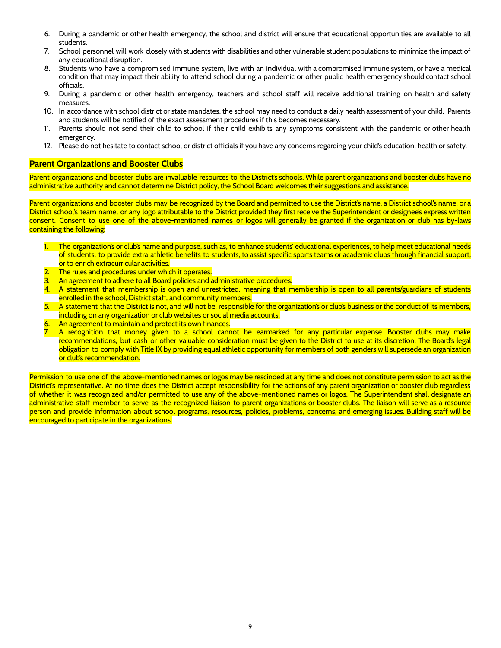- 6. During a pandemic or other health emergency, the school and district will ensure that educational opportunities are available to all students.
- 7. School personnel will work closely with students with disabilities and other vulnerable student populations to minimize the impact of any educational disruption.
- 8. Students who have a compromised immune system, live with an individual with a compromised immune system, or have a medical condition that may impact their ability to attend school during a pandemic or other public health emergency should contact school officials.
- 9. During a pandemic or other health emergency, teachers and school staff will receive additional training on health and safety measures.
- 10. In accordance with school district or state mandates, the school may need to conduct a daily health assessment of your child. Parents and students will be notified of the exact assessment procedures if this becomes necessary.
- 11. Parents should not send their child to school if their child exhibits any symptoms consistent with the pandemic or other health emergency.
- 12. Please do not hesitate to contact school or district officials if you have any concerns regarding your child's education, health or safety.

#### <span id="page-9-0"></span>**Parent Organizations and Booster Clubs**

Parent organizations and booster clubs are invaluable resources to the District's schools. While parent organizations and booster clubs have no administrative authority and cannot determine District policy, the School Board welcomes their suggestions and assistance.

Parent organizations and booster clubs may be recognized by the Board and permitted to use the District's name, a District school's name, or a District school's team name, or any logo attributable to the District provided they first receive the Superintendent or designee's express written consent. Consent to use one of the above-mentioned names or logos will generally be granted if the organization or club has by-laws containing the following:

- 1. The organization's or club's name and purpose, such as, to enhance students' educational experiences, to help meet educational needs of students, to provide extra athletic benefits to students, to assist specific sports teams or academic clubs through financial support, or to enrich extracurricular activities.
- The rules and procedures under which it operates.
- 3. An agreement to adhere to all Board policies and administrative procedures.
- A statement that membership is open and unrestricted, meaning that membership is open to all parents/guardians of students enrolled in the school, District staff, and community members.
- 5. A statement that the District is not, and will not be, responsible for the organization's or club's business or the conduct of its members, including on any organization or club websites or social media accounts.
- 6. An agreement to maintain and protect its own finances.
- A recognition that money given to a school cannot be earmarked for any particular expense. Booster clubs may make recommendations, but cash or other valuable consideration must be given to the District to use at its discretion. The Board's legal obligation to comply with Title IX by providing equal athletic opportunity for members of both genders will supersede an organization or club's recommendation.

Permission to use one of the above-mentioned names or logos may be rescinded at any time and does not constitute permission to act as the District's representative. At no time does the District accept responsibility for the actions of any parent organization or booster club regardless of whether it was recognized and/or permitted to use any of the above-mentioned names or logos. The Superintendent shall designate an administrative staff member to serve as the recognized liaison to parent organizations or booster clubs. The liaison will serve as a resource person and provide information about school programs, resources, policies, problems, concerns, and emerging issues. Building staff will be encouraged to participate in the organizations.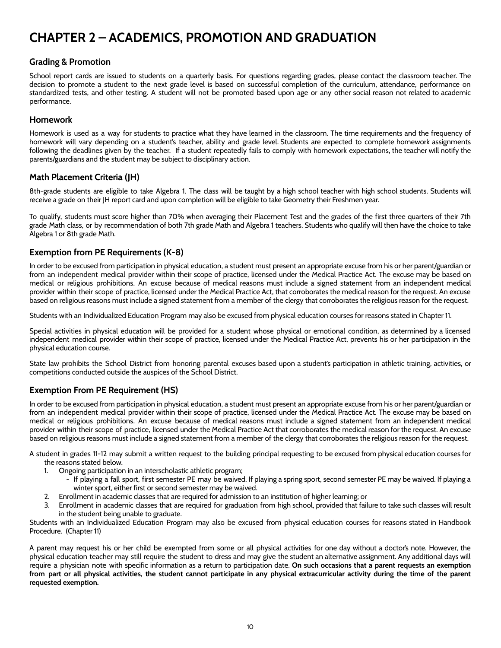## <span id="page-10-0"></span>**CHAPTER 2 – ACADEMICS, PROMOTION AND GRADUATION**

## <span id="page-10-1"></span>**Grading & Promotion**

School report cards are issued to students on a quarterly basis. For questions regarding grades, please contact the classroom teacher. The decision to promote a student to the next grade level is based on successful completion of the curriculum, attendance, performance on standardized tests, and other testing. A student will not be promoted based upon age or any other social reason not related to academic performance.

## <span id="page-10-2"></span>**Homework**

Homework is used as a way for students to practice what they have learned in the classroom. The time requirements and the frequency of homework will vary depending on a student's teacher, ability and grade level. Students are expected to complete homework assignments following the deadlines given by the teacher. If a student repeatedly fails to comply with homework expectations, the teacher will notify the parents/guardians and the student may be subject to disciplinary action.

## <span id="page-10-3"></span>**Math Placement Criteria (JH)**

8th-grade students are eligible to take Algebra 1. The class will be taught by a high school teacher with high school students. Students will receive a grade on their JH report card and upon completion will be eligible to take Geometry their Freshmen year.

To qualify, students must score higher than 70% when averaging their Placement Test and the grades of the first three quarters of their 7th grade Math class, or by recommendation of both 7th grade Math and Algebra 1 teachers. Students who qualify will then have the choice to take Algebra 1 or 8th grade Math.

## <span id="page-10-4"></span>**Exemption from PE Requirements (K-8)**

In order to be excused from participation in physical education, a student must present an appropriate excuse from his or her parent/guardian or from an independent medical provider within their scope of practice, licensed under the Medical Practice Act. The excuse may be based on medical or religious prohibitions. An excuse because of medical reasons must include a signed statement from an independent medical provider within their scope of practice, licensed under the Medical Practice Act, that corroborates the medical reason for the request. An excuse based on religious reasons must include a signed statement from a member of the clergy that corroborates the religious reason for the request.

Students with an Individualized Education Program may also be excused from physical education courses for reasons stated in Chapter 11.

Special activities in physical education will be provided for a student whose physical or emotional condition, as determined by a licensed independent medical provider within their scope of practice, licensed under the Medical Practice Act, prevents his or her participation in the physical education course.

State law prohibits the School District from honoring parental excuses based upon a student's participation in athletic training, activities, or competitions conducted outside the auspices of the School District.

## <span id="page-10-5"></span>**Exemption From PE Requirement (HS)**

In order to be excused from participation in physical education, a student must present an appropriate excuse from his or her parent/guardian or from an independent medical provider within their scope of practice, licensed under the Medical Practice Act. The excuse may be based on medical or religious prohibitions. An excuse because of medical reasons must include a signed statement from an independent medical provider within their scope of practice, licensed under the Medical Practice Act that corroborates the medical reason for the request. An excuse based on religious reasons must include a signed statement from a member of the clergy that corroborates the religious reason for the request.

A student in grades 11-12 may submit a written request to the building principal requesting to be excused from physical education courses for the reasons stated below.

- 1. Ongoing participation in an interscholastic athletic program;
	- If playing a fall sport, first semester PE may be waived. If playing a spring sport, second semester PE may be waived. If playing a winter sport, either first or second semester may be waived.
- 2. Enrollment in academic classes that are required for admission to an institution of higher learning; or
- 3. Enrollment in academic classes that are required for graduation from high school, provided that failure to take such classes will result in the student being unable to graduate.

Students with an Individualized Education Program may also be excused from physical education courses for reasons stated in Handbook Procedure. (Chapter 11)

A parent may request his or her child be exempted from some or all physical activities for one day without a doctor's note. However, the physical education teacher may still require the student to dress and may give the student an alternative assignment. Any additional days will require a physician note with specific information as a return to participation date. **On such occasions that a parent requests an exemption** from part or all physical activities, the student cannot participate in any physical extracurricular activity during the time of the parent **requested exemption.**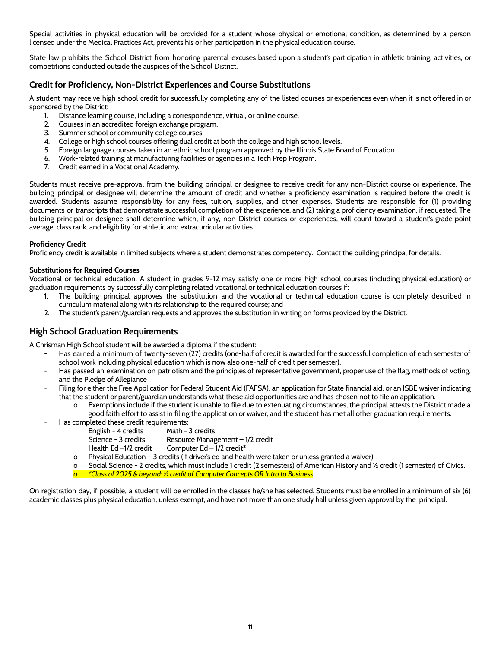Special activities in physical education will be provided for a student whose physical or emotional condition, as determined by a person licensed under the Medical Practices Act, prevents his or her participation in the physical education course.

State law prohibits the School District from honoring parental excuses based upon a student's participation in athletic training, activities, or competitions conducted outside the auspices of the School District.

## <span id="page-11-0"></span>**Credit for Proficiency, Non-District Experiences and Course Substitutions**

A student may receive high school credit for successfully completing any of the listed courses or experiences even when it is not offered in or sponsored by the District:

- 1. Distance learning course, including a correspondence, virtual, or online course.
- 2. Courses in an accredited foreign exchange program.
- 3. Summer school or community college courses.
- 4. College or high school courses offering dual credit at both the college and high school levels.
- 5. Foreign language courses taken in an ethnic school program approved by the Illinois State Board of Education.
- 6. Work-related training at manufacturing facilities or agencies in a Tech Prep Program.
- 7. Credit earned in a Vocational Academy.

Students must receive pre-approval from the building principal or designee to receive credit for any non-District course or experience. The building principal or designee will determine the amount of credit and whether a proficiency examination is required before the credit is awarded. Students assume responsibility for any fees, tuition, supplies, and other expenses. Students are responsible for (1) providing documents or transcripts that demonstrate successful completion of the experience, and (2) taking a proficiency examination, if requested. The building principal or designee shall determine which, if any, non-District courses or experiences, will count toward a student's grade point average, class rank, and eligibility for athletic and extracurricular activities.

#### **Proficiency Credit**

Proficiency credit is available in limited subjects where a student demonstrates competency. Contact the building principal for details.

#### **Substitutions for Required Courses**

Vocational or technical education. A student in grades 9-12 may satisfy one or more high school courses (including physical education) or graduation requirements by successfully completing related vocational or technical education courses if:

- 1. The building principal approves the substitution and the vocational or technical education course is completely described in curriculum material along with its relationship to the required course; and
- 2. The student's parent/guardian requests and approves the substitution in writing on forms provided by the District.

## <span id="page-11-1"></span>**High School Graduation Requirements**

A Chrisman High School student will be awarded a diploma if the student:

- Has earned a minimum of twenty-seven (27) credits (one-half of credit is awarded for the successful completion of each semester of school work including physical education which is now also one-half of credit per semester).
- Has passed an examination on patriotism and the principles of representative government, proper use of the flag, methods of voting, and the Pledge of Allegiance
- Filing for either the Free Application for Federal Student Aid (FAFSA), an application for State financial aid, or an ISBE waiver indicating that the student or parent/guardian understands what these aid opportunities are and has chosen not to file an application.
	- Exemptions include if the student is unable to file due to extenuating circumstances, the principal attests the District made a good faith effort to assist in filing the application or waiver, and the student has met all other graduation requirements.
- Has completed these credit requirements:
	- English 4 credits Math 3 credits
		- Science 3 credits Resource Management 1/2 credit
	- Health Ed –1/2 credit Computer Ed 1/2 credit<sup>\*</sup>
	- o Physical Education 3 credits (if driver's ed and health were taken or unless granted a waiver)
	- Social Science 2 credits, which must include 1 credit (2 semesters) of American History and ½ credit (1 semester) of Civics.
	- *o \*Class of 2025 & beyond: ½ credit of Computer Concepts OR Intro to Business*

On registration day, if possible, a student will be enrolled in the classes he/she has selected. Students must be enrolled in a minimum of six (6) academic classes plus physical education, unless exempt, and have not more than one study hall unless given approval by the principal.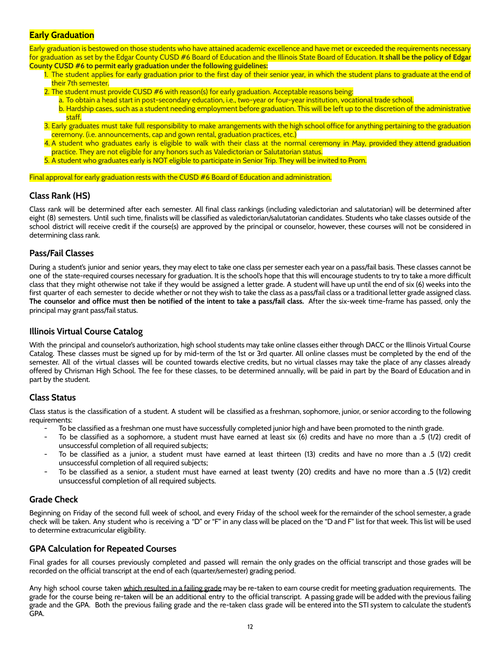#### <span id="page-12-0"></span>**Early Graduation**

Early graduation is bestowed on those students who have attained academic excellence and have met or exceeded the requirements necessary for graduation as set by the Edgar County CUSD #6 Board of Education and the Illinois State Board of Education. **It shall be the policy of Edgar County CUSD #6 to permit early graduation under the following guidelines:**

- 1. The student applies for early graduation prior to the first day of their senior year, in which the student plans to graduate at the end of their 7th semester.
- 2. The student must provide CUSD #6 with reason(s) for early graduation. Acceptable reasons being:
	- a. To obtain a head start in post-secondary education, i.e., two-year or four-year institution, vocational trade school.
	- b. Hardship cases, such as a student needing employment before graduation. This will be left up to the discretion of the administrative staff.
- 3. Early graduates must take full responsibility to make arrangements with the high school office for anything pertaining to the graduation ceremony. (i.e. announcements, cap and gown rental, graduation practices, etc.)
- 4. A student who graduates early is eligible to walk with their class at the normal ceremony in May, provided they attend graduation practice. They are not eligible for any honors such as Valedictorian or Salutatorian status.
- 5. A student who graduates early is NOT eligible to participate in Senior Trip. They will be invited to Prom.

#### Final approval for early graduation rests with the CUSD #6 Board of Education and administration.

## <span id="page-12-1"></span>**Class Rank (HS)**

Class rank will be determined after each semester. All final class rankings (including valedictorian and salutatorian) will be determined after eight (8) semesters. Until such time, finalists will be classified as valedictorian/salutatorian candidates. Students who take classes outside of the school district will receive credit if the course(s) are approved by the principal or counselor, however, these courses will not be considered in determining class rank.

#### <span id="page-12-2"></span>**Pass/Fail Classes**

During a student's junior and senior years, they may elect to take one class per semester each year on a pass/fail basis. These classes cannot be one of the state-required courses necessary for graduation. It is the school's hope that this will encourage students to try to take a more difficult class that they might otherwise not take if they would be assigned a letter grade. A student will have up until the end of six (6) weeks into the first quarter of each semester to decide whether or not they wish to take the class as a pass/fail class or a traditional letter grade assigned class. The counselor and office must then be notified of the intent to take a pass/fail class. After the six-week time-frame has passed, only the principal may grant pass/fail status.

#### <span id="page-12-3"></span>**Illinois Virtual Course Catalog**

With the principal and counselor's authorization, high school students may take online classes either through DACC or the Illinois Virtual Course Catalog. These classes must be signed up for by mid-term of the 1st or 3rd quarter. All online classes must be completed by the end of the semester. All of the virtual classes will be counted towards elective credits, but no virtual classes may take the place of any classes already offered by Chrisman High School. The fee for these classes, to be determined annually, will be paid in part by the Board of Education and in part by the student.

## <span id="page-12-4"></span>**Class Status**

Class status is the classification of a student. A student will be classified as a freshman, sophomore, junior, or senior according to the following requirements:

- To be classified as a freshman one must have successfully completed junior high and have been promoted to the ninth grade.
- To be classified as a sophomore, a student must have earned at least six (6) credits and have no more than a .5 (1/2) credit of unsuccessful completion of all required subjects;
- To be classified as a junior, a student must have earned at least thirteen (13) credits and have no more than a .5 (1/2) credit unsuccessful completion of all required subjects;
- To be classified as a senior, a student must have earned at least twenty (20) credits and have no more than a .5 (1/2) credit unsuccessful completion of all required subjects.

## <span id="page-12-5"></span>**Grade Check**

Beginning on Friday of the second full week of school, and every Friday of the school week for the remainder of the school semester, a grade check will be taken. Any student who is receiving a "D" or "F" in any class will be placed on the "D and F" list for that week. This list will be used to determine extracurricular eligibility.

#### <span id="page-12-6"></span>**GPA Calculation for Repeated Courses**

Final grades for all courses previously completed and passed will remain the only grades on the official transcript and those grades will be recorded on the official transcript at the end of each (quarter/semester) grading period.

Any high school course taken which resulted in a failing grade may be re-taken to earn course credit for meeting graduation requirements. The grade for the course being re-taken will be an additional entry to the official transcript. A passing grade will be added with the previous failing grade and the GPA. Both the previous failing grade and the re-taken class grade will be entered into the STI system to calculate the student's GPA.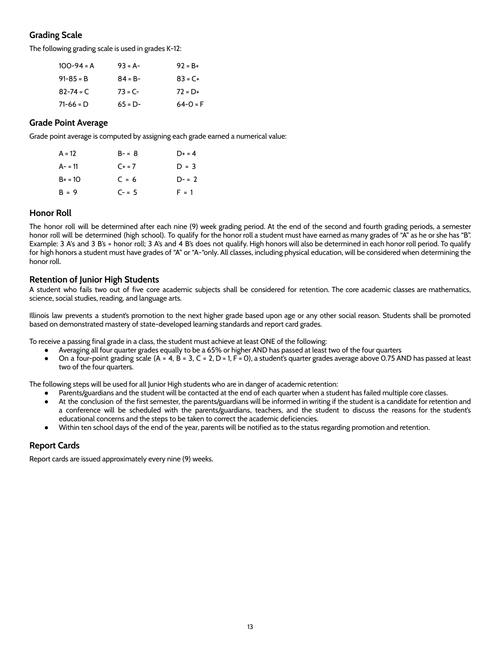## <span id="page-13-0"></span>**Grading Scale**

The following grading scale is used in grades K-12:

| $100 - 94 = A$ | $93 = A -$ | $92 = B +$   |
|----------------|------------|--------------|
| $91 - 85 = B$  | $84 = B -$ | $83 = C +$   |
| $82 - 74 = C$  | $73 = C -$ | $72 = D+$    |
| $71-66 = D$    | $65 = D -$ | $64 - 0 = F$ |

#### <span id="page-13-1"></span>**Grade Point Average**

Grade point average is computed by assigning each grade earned a numerical value:

| A = 12    | $B - = 8$ | $D+ = 4$  |
|-----------|-----------|-----------|
| A- = 11   | $C + = 7$ | $D = 3$   |
| $B+ = 10$ | $C = 6$   | $D - = 2$ |
| $B = 9$   | $C - = 5$ | $F = 1$   |

## <span id="page-13-2"></span>**Honor Roll**

The honor roll will be determined after each nine (9) week grading period. At the end of the second and fourth grading periods, a semester honor roll will be determined (high school). To qualify for the honor roll a student must have earned as many grades of "A" as he or she has "B". Example: 3 A's and 3 B's = honor roll; 3 A's and 4 B's does not qualify. High honors will also be determined in each honor roll period. To qualify for high honors a student must have grades of "A" or "A-"only. All classes, including physical education, will be considered when determining the honor roll.

## <span id="page-13-3"></span>**Retention of Junior High Students**

A student who fails two out of five core academic subjects shall be considered for retention. The core academic classes are mathematics, science, social studies, reading, and language arts.

Illinois law prevents a student's promotion to the next higher grade based upon age or any other social reason. Students shall be promoted based on demonstrated mastery of state-developed learning standards and report card grades.

To receive a passing final grade in a class, the student must achieve at least ONE of the following:

- Averaging all four quarter grades equally to be a 65% or higher AND has passed at least two of the four quarters
- On a four-point grading scale  $(A = 4, B = 3, C = 2, D = 1, F = 0)$ , a student's quarter grades average above 0.75 AND has passed at least two of the four quarters.

The following steps will be used for all Junior High students who are in danger of academic retention:

- Parents/guardians and the student will be contacted at the end of each quarter when a student has failed multiple core classes.
- At the conclusion of the first semester, the parents/guardians will be informed in writing if the student is a candidate for retention and a conference will be scheduled with the parents/guardians, teachers, and the student to discuss the reasons for the student's educational concerns and the steps to be taken to correct the academic deficiencies.
- Within ten school days of the end of the year, parents will be notified as to the status regarding promotion and retention.

## <span id="page-13-4"></span>**Report Cards**

Report cards are issued approximately every nine (9) weeks.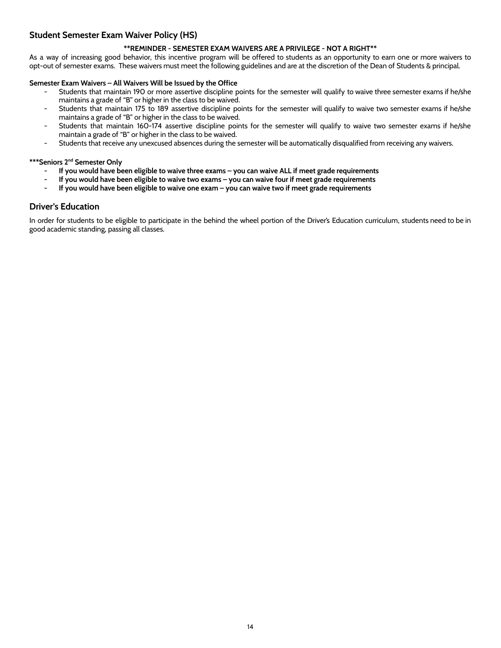## <span id="page-14-0"></span>**Student Semester Exam Waiver Policy (HS)**

#### **\*\*REMINDER - SEMESTER EXAM WAIVERS ARE A PRIVILEGE - NOT A RIGHT\*\***

As a way of increasing good behavior, this incentive program will be offered to students as an opportunity to earn one or more waivers to opt-out of semester exams. These waivers must meet the following guidelines and are at the discretion of the Dean of Students & principal.

#### **Semester Exam Waivers – All Waivers Will be Issued by the Office**

- Students that maintain 190 or more assertive discipline points for the semester will qualify to waive three semester exams if he/she maintains a grade of "B" or higher in the class to be waived.
- Students that maintain 175 to 189 assertive discipline points for the semester will qualify to waive two semester exams if he/she maintains a grade of "B" or higher in the class to be waived.
- Students that maintain 160-174 assertive discipline points for the semester will qualify to waive two semester exams if he/she maintain a grade of "B" or higher in the class to be waived.
- Students that receive any unexcused absences during the semester will be automatically disqualified from receiving any waivers.

#### **\*\*\*Seniors 2 nd Semester Only**

- If you would have been eligible to waive three exams you can waive ALL if meet grade requirements
- If you would have been eligible to waive two exams you can waive four if meet grade requirements
- If you would have been eligible to waive one exam you can waive two if meet grade requirements

#### <span id="page-14-1"></span>**Driver's Education**

In order for students to be eligible to participate in the behind the wheel portion of the Driver's Education curriculum, students need to be in good academic standing, passing all classes.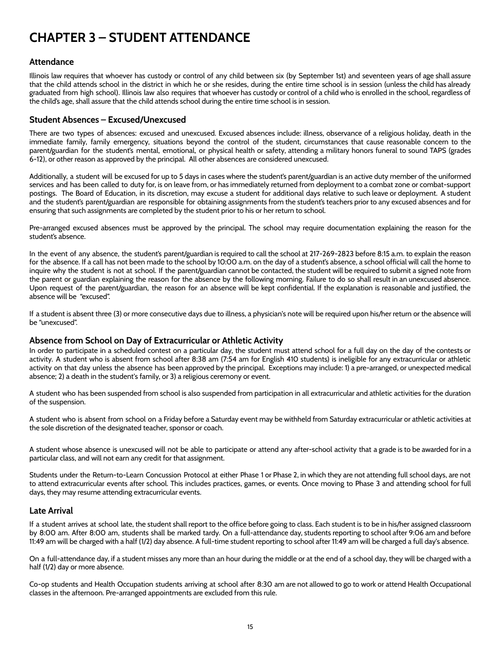## <span id="page-15-0"></span>**CHAPTER 3 – STUDENT ATTENDANCE**

#### <span id="page-15-1"></span>**Attendance**

Illinois law requires that whoever has custody or control of any child between six (by September 1st) and seventeen years of age shall assure that the child attends school in the district in which he or she resides, during the entire time school is in session (unless the child has already graduated from high school). Illinois law also requires that whoever has custody or control of a child who is enrolled in the school, regardless of the child's age, shall assure that the child attends school during the entire time school is in session.

#### <span id="page-15-2"></span>**Student Absences – Excused/Unexcused**

There are two types of absences: excused and unexcused. Excused absences include: illness, observance of a religious holiday, death in the immediate family, family emergency, situations beyond the control of the student, circumstances that cause reasonable concern to the parent/guardian for the student's mental, emotional, or physical health or safety, attending a military honors funeral to sound TAPS (grades 6-12), or other reason as approved by the principal. All other absences are considered unexcused.

Additionally, a student will be excused for up to 5 days in cases where the student's parent/guardian is an active duty member of the uniformed services and has been called to duty for, is on leave from, or has immediately returned from deployment to a combat zone or combat-support postings. The Board of Education, in its discretion, may excuse a student for additional days relative to such leave or deployment. A student and the student's parent/guardian are responsible for obtaining assignments from the student's teachers prior to any excused absences and for ensuring that such assignments are completed by the student prior to his or her return to school.

Pre-arranged excused absences must be approved by the principal. The school may require documentation explaining the reason for the student's absence.

In the event of any absence, the student's parent/guardian is required to call the school at 217-269-2823 before 8:15 a.m. to explain the reason for the absence. If a call has not been made to the school by 10:00 a.m. on the day of a student's absence, a school official will call the home to inquire why the student is not at school. If the parent/guardian cannot be contacted, the student will be required to submit a signed note from the parent or guardian explaining the reason for the absence by the following morning. Failure to do so shall result in an unexcused absence. Upon request of the parent/guardian, the reason for an absence will be kept confidential. If the explanation is reasonable and justified, the absence will be "excused".

If a student is absent three (3) or more consecutive days due to illness, a physician's note will be required upon his/her return or the absence will be "unexcused".

#### **Absence from School on Day of Extracurricular or Athletic Activity**

In order to participate in a scheduled contest on a particular day, the student must attend school for a full day on the day of the contests or activity. A student who is absent from school after 8:38 am (7:54 am for English 410 students) is ineligible for any extracurricular or athletic activity on that day unless the absence has been approved by the principal. Exceptions may include: 1) a pre-arranged, or unexpected medical absence; 2) a death in the student's family, or 3) a religious ceremony or event.

A student who has been suspended from school is also suspended from participation in all extracurricular and athletic activities for the duration of the suspension.

A student who is absent from school on a Friday before a Saturday event may be withheld from Saturday extracurricular or athletic activities at the sole discretion of the designated teacher, sponsor or coach.

A student whose absence is unexcused will not be able to participate or attend any after-school activity that a grade is to be awarded for in a particular class, and will not earn any credit for that assignment.

Students under the Return-to-Learn Concussion Protocol at either Phase 1 or Phase 2, in which they are not attending full school days, are not to attend extracurricular events after school. This includes practices, games, or events. Once moving to Phase 3 and attending school for full days, they may resume attending extracurricular events.

#### <span id="page-15-3"></span>**Late Arrival**

If a student arrives at school late, the student shall report to the office before going to class. Each student is to be in his/her assigned classroom by 8:00 am. After 8:00 am, students shall be marked tardy. On a full-attendance day, students reporting to school after 9:06 am and before 11:49 am will be charged with a half (1/2) day absence. A full-time student reporting to school after 11:49 am will be charged a full day's absence.

On a full-attendance day, if a student misses any more than an hour during the middle or at the end of a school day, they will be charged with a half (1/2) day or more absence.

Co-op students and Health Occupation students arriving at school after 8:30 am are not allowed to go to work or attend Health Occupational classes in the afternoon. Pre-arranged appointments are excluded from this rule.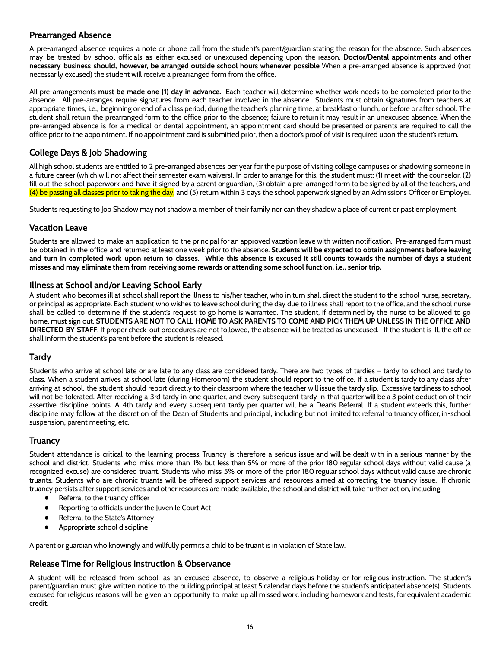## <span id="page-16-0"></span>**Prearranged Absence**

A pre-arranged absence requires a note or phone call from the student's parent/guardian stating the reason for the absence. Such absences may be treated by school officials as either excused or unexcused depending upon the reason. **Doctor/Dental appointments and other necessary business should, however, be arranged outside school hours whenever possible** When a pre-arranged absence is approved (not necessarily excused) the student will receive a prearranged form from the office.

All pre-arrangements **must be made one (1) day in advance.** Each teacher will determine whether work needs to be completed prior to the absence. All pre-arranges require signatures from each teacher involved in the absence. Students must obtain signatures from teachers at appropriate times, i.e., beginning or end of a class period, during the teacher's planning time, at breakfast or lunch, or before or after school. The student shall return the prearranged form to the office prior to the absence; failure to return it may result in an unexcused absence. When the pre-arranged absence is for a medical or dental appointment, an appointment card should be presented or parents are required to call the office prior to the appointment. If no appointment card is submitted prior, then a doctor's proof of visit is required upon the student's return.

## <span id="page-16-1"></span>**College Days & Job Shadowing**

All high school students are entitled to 2 pre-arranged absences per year for the purpose of visiting college campuses or shadowing someone in a future career (which will not affect their semester exam waivers). In order to arrange for this, the student must: (1) meet with the counselor, (2) fill out the school paperwork and have it signed by a parent or guardian, (3) obtain a pre-arranged form to be signed by all of the teachers, and (4) be passing all classes prior to taking the day, and (5) return within 3 days the school paperwork signed by an Admissions Officer or Employer.

Students requesting to Job Shadow may not shadow a member of their family nor can they shadow a place of current or past employment.

## <span id="page-16-2"></span>**Vacation Leave**

Students are allowed to make an application to the principal for an approved vacation leave with written notification. Pre-arranged form must be obtained in the office and returned at least one week prior to the absence. **Students will be expected to obtain assignments before leaving** and turn in completed work upon return to classes. While this absence is excused it still counts towards the number of days a student misses and may eliminate them from receiving some rewards or attending some school function, i.e., senior trip.

## <span id="page-16-3"></span>**Illness at School and/or Leaving School Early**

A student who becomes ill at school shall report the illness to his/her teacher, who in turn shall direct the student to the school nurse, secretary, or principal as appropriate. Each student who wishes to leave school during the day due to illness shall report to the office, and the school nurse shall be called to determine if the student's request to go home is warranted. The student, if determined by the nurse to be allowed to go home, must sign out. STUDENTS ARE NOT TO CALL HOME TO ASK PARENTS TO COME AND PICK THEM UP UNLESS IN THE OFFICE AND **DIRECTED BY STAFF**. If proper check-out procedures are not followed, the absence will be treated as unexcused. If the student is ill, the office shall inform the student's parent before the student is released.

## <span id="page-16-4"></span>**Tardy**

Students who arrive at school late or are late to any class are considered tardy. There are two types of tardies – tardy to school and tardy to class. When a student arrives at school late (during Homeroom) the student should report to the office. If a student is tardy to any class after arriving at school, the student should report directly to their classroom where the teacher will issue the tardy slip. Excessive tardiness to school will not be tolerated. After receiving a 3rd tardy in one quarter, and every subsequent tardy in that quarter will be a 3 point deduction of their assertive discipline points. A 4th tardy and every subsequent tardy per quarter will be a Dean's Referral. If a student exceeds this, further discipline may follow at the discretion of the Dean of Students and principal, including but not limited to: referral to truancy officer, in-school suspension, parent meeting, etc.

## <span id="page-16-5"></span>**Truancy**

Student attendance is critical to the learning process. Truancy is therefore a serious issue and will be dealt with in a serious manner by the school and district. Students who miss more than 1% but less than 5% or more of the prior 180 regular school days without valid cause (a recognized excuse) are considered truant. Students who miss 5% or more of the prior 180 regular school days without valid cause are chronic truants. Students who are chronic truants will be offered support services and resources aimed at correcting the truancy issue. If chronic truancy persists after support services and other resources are made available, the school and district will take further action, including:

- Referral to the truancy officer
- Reporting to officials under the Juvenile Court Act
- Referral to the State's Attorney
- Appropriate school discipline

A parent or guardian who knowingly and willfully permits a child to be truant is in violation of State law.

## <span id="page-16-6"></span>**Release Time for Religious Instruction & Observance**

A student will be released from school, as an excused absence, to observe a religious holiday or for religious instruction. The student's parent/guardian must give written notice to the building principal at least 5 calendar days before the student's anticipated absence(s). Students excused for religious reasons will be given an opportunity to make up all missed work, including homework and tests, for equivalent academic credit.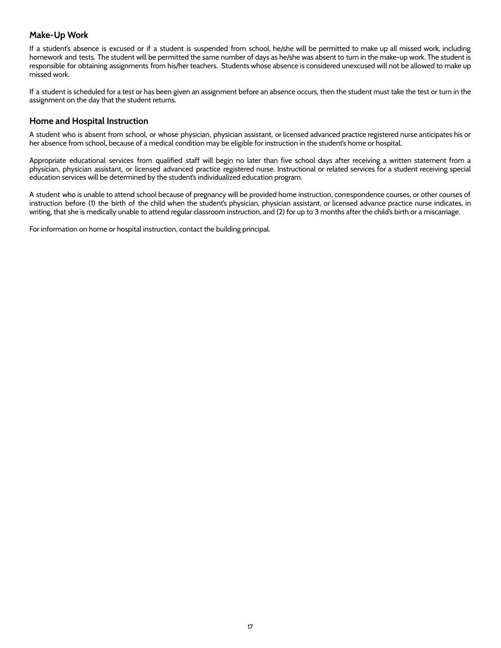## <span id="page-17-0"></span>**Make-Up Work**

If a student's absence is excused or if a student is suspended from school, he/she will be permitted to make up all missed work, including homework and tests. The student will be permitted the same number of days as he/she was absent to turn in the make-up work. The student is responsible for obtaining assignments from his/her teachers. Students whose absence is considered unexcused will not be allowed to make up missed work.

If a student is scheduled for a test or has been given an assignment before an absence occurs, then the student must take the test or turn in the assignment on the day that the student returns.

#### <span id="page-17-1"></span>**Home and Hospital Instruction**

A student who is absent from school, or whose physician, physician assistant, or licensed advanced practice registered nurse anticipates his or her absence from school, because of a medical condition may be eligible for instruction in the student's home or hospital.

Appropriate educational services from qualified staff will begin no later than five school days after receiving a written statement from a physician, physician assistant, or licensed advanced practice registered nurse. Instructional or related services for a student receiving special education services will be determined by the student's individualized education program.

A student who is unable to attend school because of pregnancy will be provided home instruction, correspondence courses, or other courses of instruction before (1) the birth of the child when the student's physician, physician assistant, or licensed advance practice nurse indicates, in writing, that she is medically unable to attend regular classroom instruction, and (2) for up to 3 months after the child's birth or a miscarriage.

For information on home or hospital instruction, contact the building principal.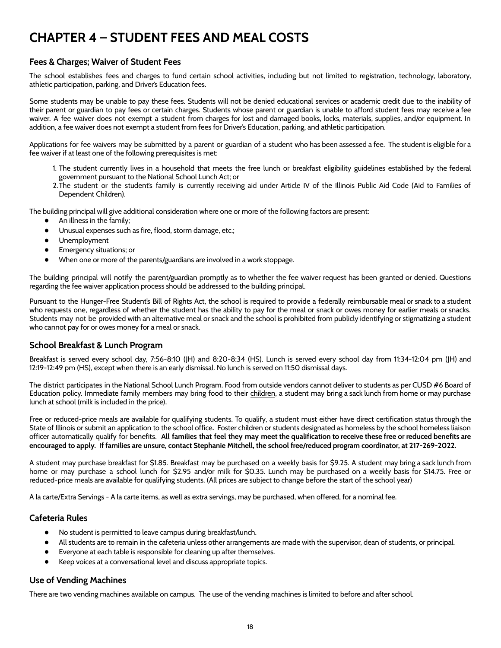## <span id="page-18-0"></span>**CHAPTER 4 – STUDENT FEES AND MEAL COSTS**

## <span id="page-18-1"></span>**Fees & Charges; Waiver of Student Fees**

The school establishes fees and charges to fund certain school activities, including but not limited to registration, technology, laboratory, athletic participation, parking, and Driver's Education fees.

Some students may be unable to pay these fees. Students will not be denied educational services or academic credit due to the inability of their parent or guardian to pay fees or certain charges. Students whose parent or guardian is unable to afford student fees may receive a fee waiver. A fee waiver does not exempt a student from charges for lost and damaged books, locks, materials, supplies, and/or equipment. In addition, a fee waiver does not exempt a student from fees for Driver's Education, parking, and athletic participation.

Applications for fee waivers may be submitted by a parent or guardian of a student who has been assessed a fee. The student is eligible for a fee waiver if at least one of the following prerequisites is met:

- 1. The student currently lives in a household that meets the free lunch or breakfast eligibility guidelines established by the federal government pursuant to the National School Lunch Act; or
- 2.The student or the student's family is currently receiving aid under Article IV of the Illinois Public Aid Code (Aid to Families of Dependent Children).

The building principal will give additional consideration where one or more of the following factors are present:

- An illness in the family;
- Unusual expenses such as fire, flood, storm damage, etc.;
- Unemployment
- Emergency situations; or
- When one or more of the parents/guardians are involved in a work stoppage.

The building principal will notify the parent/guardian promptly as to whether the fee waiver request has been granted or denied. Questions regarding the fee waiver application process should be addressed to the building principal.

Pursuant to the Hunger-Free Student's Bill of Rights Act, the school is required to provide a federally reimbursable meal or snack to a student who requests one, regardless of whether the student has the ability to pay for the meal or snack or owes money for earlier meals or snacks. Students may not be provided with an alternative meal or snack and the school is prohibited from publicly identifying or stigmatizing a student who cannot pay for or owes money for a meal or snack.

## <span id="page-18-2"></span>**School Breakfast & Lunch Program**

Breakfast is served every school day, 7:56-8:10 (JH) and 8:20-8:34 (HS). Lunch is served every school day from 11:34-12:04 pm (JH) and 12:19-12:49 pm (HS), except when there is an early dismissal. No lunch is served on 11:50 dismissal days.

The district participates in the National School Lunch Program. Food from outside vendors cannot deliver to students as per CUSD #6 Board of Education policy. Immediate family members may bring food to their children, a student may bring a sack lunch from home or may purchase lunch at school (milk is included in the price).

Free or reduced-price meals are available for qualifying students. To qualify, a student must either have direct certification status through the State of Illinois or submit an application to the school office**.** Foster children or students designated as homeless by the school homeless liaison officer automatically qualify for benefits. All families that feel they may meet the qualification to receive these free or reduced benefits are encouraged to apply. If families are unsure, contact Stephanie Mitchell, the school free/reduced program coordinator, at 217-269-2022.

A student may purchase breakfast for \$1.85. Breakfast may be purchased on a weekly basis for \$9.25. A student may bring a sack lunch from home or may purchase a school lunch for \$2.95 and/or milk for \$0.35. Lunch may be purchased on a weekly basis for \$14.75. Free or reduced-price meals are available for qualifying students. (All prices are subject to change before the start of the school year)

A la carte/Extra Servings - A la carte items, as well as extra servings, may be purchased, when offered, for a nominal fee.

## <span id="page-18-3"></span>**Cafeteria Rules**

- No student is permitted to leave campus during breakfast/lunch.
- All students are to remain in the cafeteria unless other arrangements are made with the supervisor, dean of students, or principal.
- Everyone at each table is responsible for cleaning up after themselves.
- Keep voices at a conversational level and discuss appropriate topics.

## <span id="page-18-4"></span>**Use of Vending Machines**

There are two vending machines available on campus. The use of the vending machines is limited to before and after school.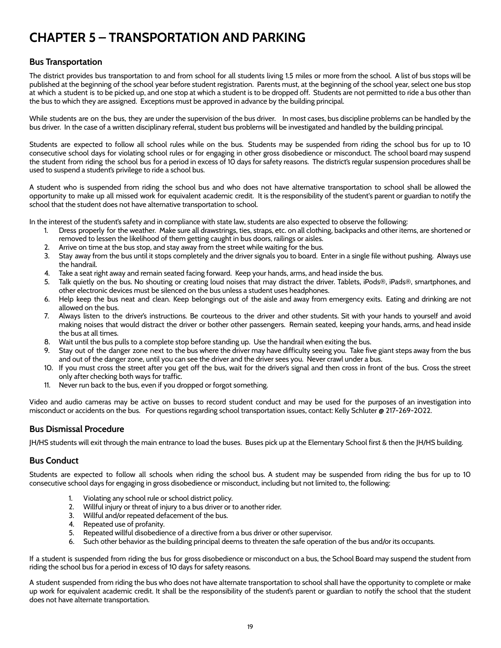## <span id="page-19-0"></span>**CHAPTER 5 – TRANSPORTATION AND PARKING**

## <span id="page-19-1"></span>**Bus Transportation**

The district provides bus transportation to and from school for all students living 1.5 miles or more from the school. A list of bus stops will be published at the beginning of the school year before student registration. Parents must, at the beginning of the school year, select one bus stop at which a student is to be picked up, and one stop at which a student is to be dropped off. Students are not permitted to ride a bus other than the bus to which they are assigned. Exceptions must be approved in advance by the building principal.

While students are on the bus, they are under the supervision of the bus driver. In most cases, bus discipline problems can be handled by the bus driver. In the case of a written disciplinary referral, student bus problems will be investigated and handled by the building principal.

Students are expected to follow all school rules while on the bus. Students may be suspended from riding the school bus for up to 10 consecutive school days for violating school rules or for engaging in other gross disobedience or misconduct. The school board may suspend the student from riding the school bus for a period in excess of 10 days for safety reasons. The district's regular suspension procedures shall be used to suspend a student's privilege to ride a school bus.

A student who is suspended from riding the school bus and who does not have alternative transportation to school shall be allowed the opportunity to make up all missed work for equivalent academic credit. It is the responsibility of the student's parent or guardian to notify the school that the student does not have alternative transportation to school.

In the interest of the student's safety and in compliance with state law, students are also expected to observe the following:

- 1. Dress properly for the weather. Make sure all drawstrings, ties, straps, etc. on all clothing, backpacks and other items, are shortened or removed to lessen the likelihood of them getting caught in bus doors, railings or aisles.
- 2. Arrive on time at the bus stop, and stay away from the street while waiting for the bus.
- 3. Stay away from the bus until it stops completely and the driver signals you to board. Enter in a single file without pushing. Always use the handrail.
- 4. Take a seat right away and remain seated facing forward. Keep your hands, arms, and head inside the bus.
- 5. Talk quietly on the bus. No shouting or creating loud noises that may distract the driver. Tablets, iPods®, iPads®, smartphones, and other electronic devices must be silenced on the bus unless a student uses headphones.
- 6. Help keep the bus neat and clean. Keep belongings out of the aisle and away from emergency exits. Eating and drinking are not allowed on the bus.
- 7. Always listen to the driver's instructions. Be courteous to the driver and other students. Sit with your hands to yourself and avoid making noises that would distract the driver or bother other passengers. Remain seated, keeping your hands, arms, and head inside the bus at all times.
- 8. Wait until the bus pulls to a complete stop before standing up. Use the handrail when exiting the bus.
- 9. Stay out of the danger zone next to the bus where the driver may have difficulty seeing you. Take five giant steps away from the bus and out of the danger zone, until you can see the driver and the driver sees you. Never crawl under a bus.
- 10. If you must cross the street after you get off the bus, wait for the driver's signal and then cross in front of the bus. Cross the street only after checking both ways for traffic.
- 11. Never run back to the bus, even if you dropped or forgot something.

Video and audio cameras may be active on busses to record student conduct and may be used for the purposes of an investigation into misconduct or accidents on the bus. For questions regarding school transportation issues, contact: Kelly Schluter @ 217-269-2022.

## <span id="page-19-2"></span>**Bus Dismissal Procedure**

JH/HS students will exit through the main entrance to load the buses. Buses pick up at the Elementary School first & then the JH/HS building.

#### <span id="page-19-3"></span>**Bus Conduct**

Students are expected to follow all schools when riding the school bus. A student may be suspended from riding the bus for up to 10 consecutive school days for engaging in gross disobedience or misconduct, including but not limited to, the following:

- 1. Violating any school rule or school district policy.
- 2. Willful injury or threat of injury to a bus driver or to another rider.
- 3. Willful and/or repeated defacement of the bus.
- 4. Repeated use of profanity.
- 5. Repeated willful disobedience of a directive from a bus driver or other supervisor.
- 6. Such other behavior as the building principal deems to threaten the safe operation of the bus and/or its occupants.

If a student is suspended from riding the bus for gross disobedience or misconduct on a bus, the School Board may suspend the student from riding the school bus for a period in excess of 10 days for safety reasons.

A student suspended from riding the bus who does not have alternate transportation to school shall have the opportunity to complete or make up work for equivalent academic credit. It shall be the responsibility of the student's parent or guardian to notify the school that the student does not have alternate transportation.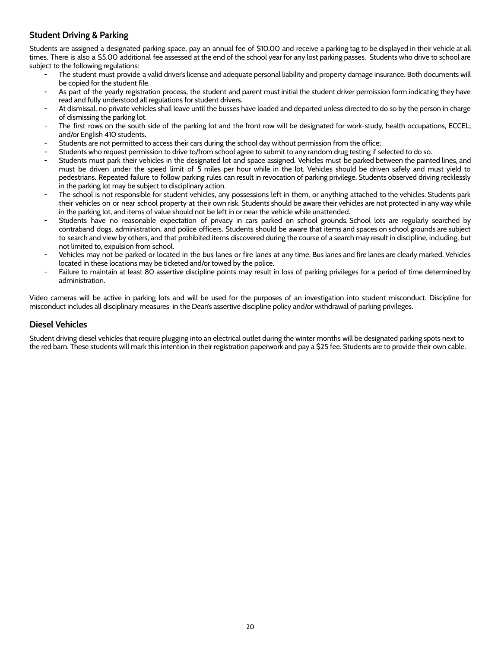## <span id="page-20-0"></span>**Student Driving & Parking**

Students are assigned a designated parking space, pay an annual fee of \$10.00 and receive a parking tag to be displayed in their vehicle at all times. There is also a \$5.00 additional fee assessed at the end of the school year for any lost parking passes. Students who drive to school are subject to the following regulations:

- The student must provide a valid driver's license and adequate personal liability and property damage insurance. Both documents will be copied for the student file.
- As part of the yearly registration process, the student and parent must initial the student driver permission form indicating they have read and fully understood all regulations for student drivers.
- At dismissal, no private vehicles shall leave until the busses have loaded and departed unless directed to do so by the person in charge of dismissing the parking lot.
- The first rows on the south side of the parking lot and the front row will be designated for work-study, health occupations, ECCEL, and/or English 410 students.
- Students are not permitted to access their cars during the school day without permission from the office;
- Students who request permission to drive to/from school agree to submit to any random drug testing if selected to do so.
- Students must park their vehicles in the designated lot and space assigned. Vehicles must be parked between the painted lines, and must be driven under the speed limit of 5 miles per hour while in the lot. Vehicles should be driven safely and must yield to pedestrians. Repeated failure to follow parking rules can result in revocation of parking privilege. Students observed driving recklessly in the parking lot may be subject to disciplinary action.
- The school is not responsible for student vehicles, any possessions left in them, or anything attached to the vehicles. Students park their vehicles on or near school property at their own risk. Students should be aware their vehicles are not protected in any way while in the parking lot, and items of value should not be left in or near the vehicle while unattended.
- Students have no reasonable expectation of privacy in cars parked on school grounds. School lots are regularly searched by contraband dogs, administration, and police officers. Students should be aware that items and spaces on school grounds are subject to search and view by others, and that prohibited items discovered during the course of a search may result in discipline, including, but not limited to, expulsion from school.
- Vehicles may not be parked or located in the bus lanes or fire lanes at any time. Bus lanes and fire lanes are clearly marked. Vehicles located in these locations may be ticketed and/or towed by the police.
- Failure to maintain at least 80 assertive discipline points may result in loss of parking privileges for a period of time determined by administration.

Video cameras will be active in parking lots and will be used for the purposes of an investigation into student misconduct. Discipline for misconduct includes all disciplinary measures in the Dean's assertive discipline policy and/or withdrawal of parking privileges.

#### <span id="page-20-1"></span>**Diesel Vehicles**

Student driving diesel vehicles that require plugging into an electrical outlet during the winter months will be designated parking spots next to the red barn. These students will mark this intention in their registration paperwork and pay a \$25 fee. Students are to provide their own cable.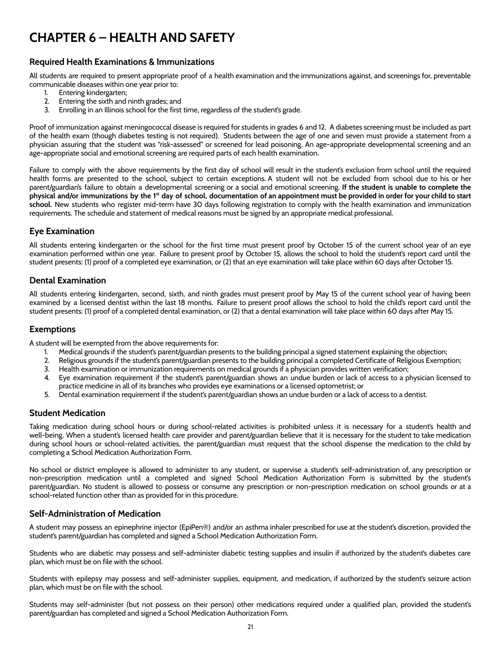## <span id="page-21-0"></span>**CHAPTER 6 – HEALTH AND SAFETY**

#### <span id="page-21-1"></span>**Required Health Examinations & Immunizations**

All students are required to present appropriate proof of a health examination and the immunizations against, and screenings for, preventable communicable diseases within one year prior to:

- 1. Entering kindergarten;
- 2. Entering the sixth and ninth grades; and
- 3. Enrolling in an Illinois school for the first time, regardless of the student's grade.

Proof of immunization against meningococcal disease is required for students in grades 6 and 12. A diabetes screening must be included as part of the health exam (though diabetes testing is not required). Students between the age of one and seven must provide a statement from a physician assuring that the student was "risk-assessed" or screened for lead poisoning. An age-appropriate developmental screening and an age-appropriate social and emotional screening are required parts of each health examination.

Failure to comply with the above requirements by the first day of school will result in the student's exclusion from school until the required health forms are presented to the school, subject to certain exceptions. A student will not be excluded from school due to his or her parent/guardian's failure to obtain a developmental screening or a social and emotional screening. **If the student is unable to complete the** physical and/or immunizations by the 1<sup>st</sup> day of school, documentation of an appointment must be provided in order for your child to start **school.** New students who register mid-term have 30 days following registration to comply with the health examination and immunization requirements. The schedule and statement of medical reasons must be signed by an appropriate medical professional.

## <span id="page-21-2"></span>**Eye Examination**

All students entering kindergarten or the school for the first time must present proof by October 15 of the current school year of an eye examination performed within one year. Failure to present proof by October 15, allows the school to hold the student's report card until the student presents: (1) proof of a completed eye examination, or (2) that an eye examination will take place within 60 days after October 15.

#### <span id="page-21-3"></span>**Dental Examination**

All students entering kindergarten, second, sixth, and ninth grades must present proof by May 15 of the current school year of having been examined by a licensed dentist within the last 18 months. Failure to present proof allows the school to hold the child's report card until the student presents: (1) proof of a completed dental examination, or (2) that a dental examination will take place within 60 days after May 15.

#### <span id="page-21-4"></span>**Exemptions**

A student will be exempted from the above requirements for:

- 1. Medical grounds if the student's parent/guardian presents to the building principal a signed statement explaining the objection;
- 2. Religious grounds if the student's parent/guardian presents to the building principal a completed Certificate of Religious Exemption;
- 3. Health examination or immunization requirements on medical grounds if a physician provides written verification;
- 4. Eye examination requirement if the student's parent/guardian shows an undue burden or lack of access to a physician licensed to practice medicine in all of its branches who provides eye examinations or a licensed optometrist; or
- 5. Dental examination requirement if the student's parent/guardian shows an undue burden or a lack of access to a dentist.

#### <span id="page-21-5"></span>**Student Medication**

Taking medication during school hours or during school-related activities is prohibited unless it is necessary for a student's health and well-being. When a student's licensed health care provider and parent/guardian believe that it is necessary for the student to take medication during school hours or school-related activities, the parent/guardian must request that the school dispense the medication to the child by completing a School Medication Authorization Form.

No school or district employee is allowed to administer to any student, or supervise a student's self-administration of, any prescription or non-prescription medication until a completed and signed School Medication Authorization Form is submitted by the student's parent/guardian. No student is allowed to possess or consume any prescription or non-prescription medication on school grounds or at a school-related function other than as provided for in this procedure.

## <span id="page-21-6"></span>**Self-Administration of Medication**

A student may possess an epinephrine injector (EpiPen®) and/or an asthma inhaler prescribed for use at the student's discretion, provided the student's parent/guardian has completed and signed a School Medication Authorization Form.

Students who are diabetic may possess and self-administer diabetic testing supplies and insulin if authorized by the student's diabetes care plan, which must be on file with the school.

Students with epilepsy may possess and self-administer supplies, equipment, and medication, if authorized by the student's seizure action plan, which must be on file with the school.

Students may self-administer (but not possess on their person) other medications required under a qualified plan, provided the student's parent/guardian has completed and signed a School Medication Authorization Form.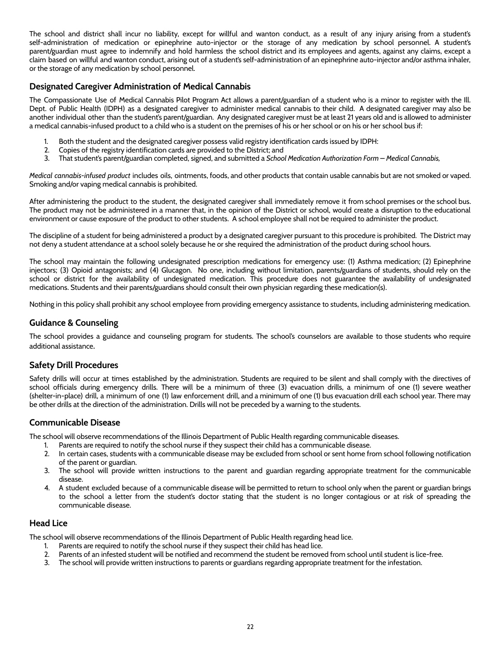The school and district shall incur no liability, except for willful and wanton conduct, as a result of any injury arising from a student's self-administration of medication or epinephrine auto-injector or the storage of any medication by school personnel. A student's parent/guardian must agree to indemnify and hold harmless the school district and its employees and agents, against any claims, except a claim based on willful and wanton conduct, arising out of a student's self-administration of an epinephrine auto-injector and/or asthma inhaler, or the storage of any medication by school personnel.

## <span id="page-22-0"></span>**Designated Caregiver Administration of Medical Cannabis**

The Compassionate Use of Medical Cannabis Pilot Program Act allows a parent/guardian of a student who is a minor to register with the Ill. Dept. of Public Health (IDPH) as a designated caregiver to administer medical cannabis to their child. A designated caregiver may also be another individual other than the student's parent/guardian. Any designated caregiver must be at least 21 years old and is allowed to administer a medical cannabis-infused product to a child who is a student on the premises of his or her school or on his or her school bus if:

- 1. Both the student and the designated caregiver possess valid registry identification cards issued by IDPH:
- 2. Copies of the registry identification cards are provided to the District; and
- 3. That student's parent/guardian completed, signed, and submitted a *School Medication Authorization Form – Medical Cannabis,*

*Medical cannabis-infused product* includes oils, ointments, foods, and other products that contain usable cannabis but are not smoked or vaped. Smoking and/or vaping medical cannabis is prohibited.

After administering the product to the student, the designated caregiver shall immediately remove it from school premises or the school bus. The product may not be administered in a manner that, in the opinion of the District or school, would create a disruption to the educational environment or cause exposure of the product to other students. A school employee shall not be required to administer the product.

The discipline of a student for being administered a product by a designated caregiver pursuant to this procedure is prohibited. The District may not deny a student attendance at a school solely because he or she required the administration of the product during school hours.

The school may maintain the following undesignated prescription medications for emergency use: (1) Asthma medication; (2) Epinephrine injectors; (3) Opioid antagonists; and (4) Glucagon. No one, including without limitation, parents/guardians of students, should rely on the school or district for the availability of undesignated medication. This procedure does not guarantee the availability of undesignated medications. Students and their parents/guardians should consult their own physician regarding these medication(s).

Nothing in this policy shall prohibit any school employee from providing emergency assistance to students, including administering medication.

#### <span id="page-22-1"></span>**Guidance & Counseling**

The school provides a guidance and counseling program for students. The school's counselors are available to those students who require additional assistance.

## <span id="page-22-2"></span>**Safety Drill Procedures**

Safety drills will occur at times established by the administration. Students are required to be silent and shall comply with the directives of school officials during emergency drills. There will be a minimum of three (3) evacuation drills, a minimum of one (1) severe weather (shelter-in-place) drill, a minimum of one (1) law enforcement drill, and a minimum of one (1) bus evacuation drill each school year. There may be other drills at the direction of the administration. Drills will not be preceded by a warning to the students.

#### <span id="page-22-3"></span>**Communicable Disease**

The school will observe recommendations of the Illinois Department of Public Health regarding communicable diseases.

- 1. Parents are required to notify the school nurse if they suspect their child has a communicable disease.
- 2. In certain cases, students with a communicable disease may be excluded from school or sent home from school following notification of the parent or guardian.
- 3. The school will provide written instructions to the parent and guardian regarding appropriate treatment for the communicable disease.
- 4. A student excluded because of a communicable disease will be permitted to return to school only when the parent or guardian brings to the school a letter from the student's doctor stating that the student is no longer contagious or at risk of spreading the communicable disease.

#### <span id="page-22-4"></span>**Head Lice**

The school will observe recommendations of the Illinois Department of Public Health regarding head lice.

- 1. Parents are required to notify the school nurse if they suspect their child has head lice.
- 2. Parents of an infested student will be notified and recommend the student be removed from school until student is lice-free.
- 3. The school will provide written instructions to parents or guardians regarding appropriate treatment for the infestation.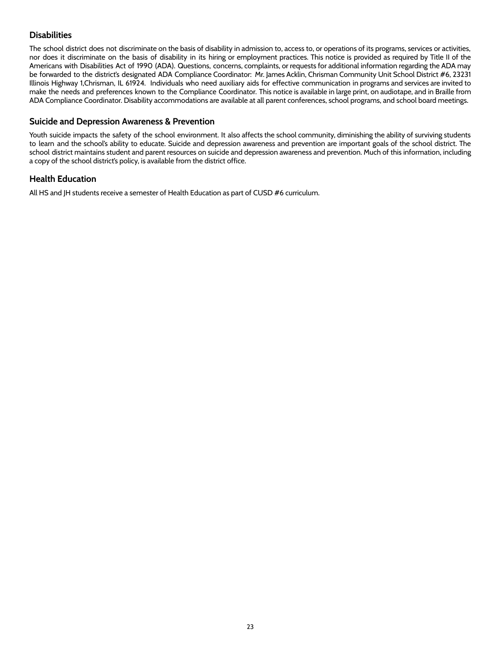## <span id="page-23-0"></span>**Disabilities**

The school district does not discriminate on the basis of disability in admission to, access to, or operations of its programs, services or activities, nor does it discriminate on the basis of disability in its hiring or employment practices. This notice is provided as required by Title II of the Americans with Disabilities Act of 1990 (ADA). Questions, concerns, complaints, or requests for additional information regarding the ADA may be forwarded to the district's designated ADA Compliance Coordinator: Mr. James Acklin, Chrisman Community Unit School District #6, 23231 Illinois Highway 1,Chrisman, IL 61924. Individuals who need auxiliary aids for effective communication in programs and services are invited to make the needs and preferences known to the Compliance Coordinator. This notice is available in large print, on audiotape, and in Braille from ADA Compliance Coordinator. Disability accommodations are available at all parent conferences, school programs, and school board meetings.

#### <span id="page-23-1"></span>**Suicide and Depression Awareness & Prevention**

Youth suicide impacts the safety of the school environment. It also affects the school community, diminishing the ability of surviving students to learn and the school's ability to educate. Suicide and depression awareness and prevention are important goals of the school district. The school district maintains student and parent resources on suicide and depression awareness and prevention. Much of this information, including a copy of the school district's policy, is available from the district office.

#### <span id="page-23-2"></span>**Health Education**

All HS and JH students receive a semester of Health Education as part of CUSD #6 curriculum.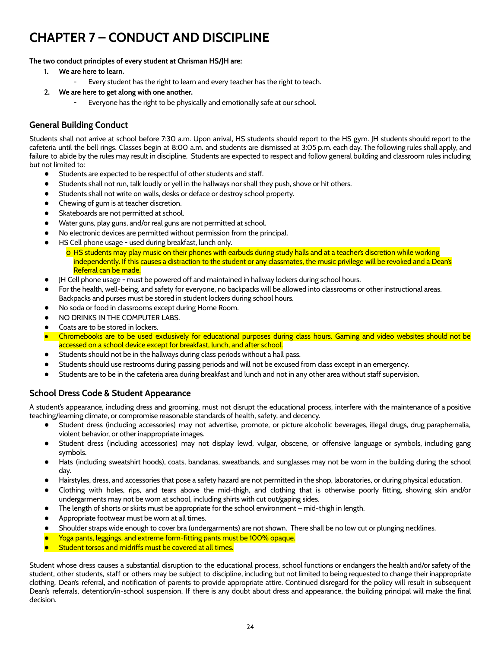## <span id="page-24-0"></span>**CHAPTER 7 – CONDUCT AND DISCIPLINE**

#### **The two conduct principles of every student at Chrisman HS/JH are:**

- **1. We are here to learn.**
	- Every student has the right to learn and every teacher has the right to teach.
- **2. We are here to get along with one another.**
	- Everyone has the right to be physically and emotionally safe at our school.

## <span id="page-24-1"></span>**General Building Conduct**

Students shall not arrive at school before 7:30 a.m. Upon arrival, HS students should report to the HS gym. JH students should report to the cafeteria until the bell rings. Classes begin at 8:00 a.m. and students are dismissed at 3:05 p.m. each day. The following rules shall apply, and failure to abide by the rules may result in discipline. Students are expected to respect and follow general building and classroom rules including but not limited to:

- Students are expected to be respectful of other students and staff.
- Students shall not run, talk loudly or yell in the hallways nor shall they push, shove or hit others.
- Students shall not write on walls, desks or deface or destroy school property.
- Chewing of gum is at teacher discretion.
- Skateboards are not permitted at school.
- Water guns, play guns, and/or real guns are not permitted at school.
- No electronic devices are permitted without permission from the principal.
- HS Cell phone usage used during breakfast, lunch only.
	- o HS students may play music on their phones with earbuds during study halls and at a teacher's discretion while working independently. If this causes a distraction to the student or any classmates, the music privilege will be revoked and a Dean's Referral can be made.
- JH Cell phone usage must be powered off and maintained in hallway lockers during school hours.
- For the health, well-being, and safety for everyone, no backpacks will be allowed into classrooms or other instructional areas. Backpacks and purses must be stored in student lockers during school hours.
- No soda or food in classrooms except during Home Room.
- NO DRINKS IN THE COMPUTER LABS.
- Coats are to be stored in lockers.
- Chromebooks are to be used exclusively for educational purposes during class hours. Gaming and video websites should not be accessed on a school device except for breakfast, lunch, and after school.
- Students should not be in the hallways during class periods without a hall pass.
- Students should use restrooms during passing periods and will not be excused from class except in an emergency.
- Students are to be in the cafeteria area during breakfast and lunch and not in any other area without staff supervision.

## <span id="page-24-2"></span>**School Dress Code & Student Appearance**

A student's appearance, including dress and grooming, must not disrupt the educational process, interfere with the maintenance of a positive teaching/learning climate, or compromise reasonable standards of health, safety, and decency.

- Student dress (including accessories) may not advertise, promote, or picture alcoholic beverages, illegal drugs, drug paraphernalia, violent behavior, or other inappropriate images.
- Student dress (including accessories) may not display lewd, vulgar, obscene, or offensive language or symbols, including gang symbols.
- Hats (including sweatshirt hoods), coats, bandanas, sweatbands, and sunglasses may not be worn in the building during the school day.
- Hairstyles, dress, and accessories that pose a safety hazard are not permitted in the shop, laboratories, or during physical education.
- Clothing with holes, rips, and tears above the mid-thigh, and clothing that is otherwise poorly fitting, showing skin and/or undergarments may not be worn at school, including shirts with cut out/gaping sides.
- The length of shorts or skirts must be appropriate for the school environment mid-thigh in length.
- Appropriate footwear must be worn at all times.
- Shoulder straps wide enough to cover bra (undergarments) are not shown. There shall be no low cut or plunging necklines.
- Yoga pants, leggings, and extreme form-fitting pants must be 100% opaque.
- Student torsos and midriffs must be covered at all times.

Student whose dress causes a substantial disruption to the educational process, school functions or endangers the health and/or safety of the student, other students, staff or others may be subject to discipline, including but not limited to being requested to change their inappropriate clothing, Dean's referral, and notification of parents to provide appropriate attire. Continued disregard for the policy will result in subsequent Dean's referrals, detention/in-school suspension. If there is any doubt about dress and appearance, the building principal will make the final decision.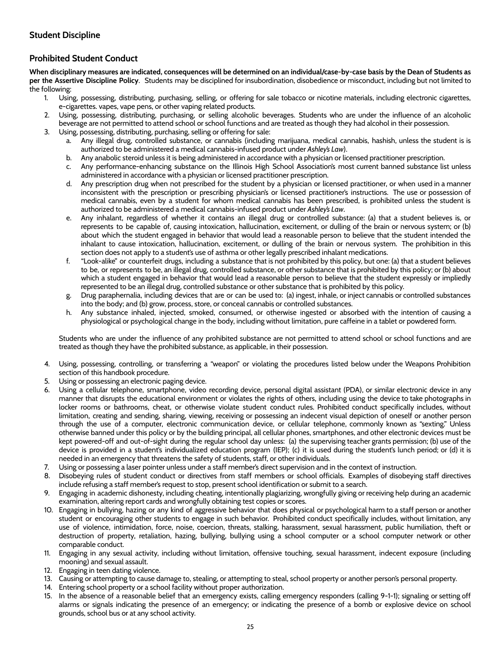## <span id="page-25-0"></span>**Prohibited Student Conduct**

When disciplinary measures are indicated, consequences will be determined on an individual/case-by-case basis by the Dean of Students as **per the Assertive Discipline Policy**. Students may be disciplined for insubordination, disobedience or misconduct, including but not limited to the following:

- 1. Using, possessing, distributing, purchasing, selling, or offering for sale tobacco or nicotine materials, including electronic cigarettes, e-cigarettes. vapes, vape pens, or other vaping related products.
- 2. Using, possessing, distributing, purchasing, or selling alcoholic beverages. Students who are under the influence of an alcoholic beverage are not permitted to attend school or school functions and are treated as though they had alcohol in their possession.
- 3. Using, possessing, distributing, purchasing, selling or offering for sale:
	- a. Any illegal drug, controlled substance, or cannabis (including marijuana, medical cannabis, hashish, unless the student is is authorized to be administered a medical cannabis-infused product under *Ashley's Law*).
	- b. Any anabolic steroid unless it is being administered in accordance with a physician or licensed practitioner prescription.
	- c. Any performance-enhancing substance on the Illinois High School Association's most current banned substance list unless administered in accordance with a physician or licensed practitioner prescription.
	- d. Any prescription drug when not prescribed for the student by a physician or licensed practitioner, or when used in a manner inconsistent with the prescription or prescribing physician's or licensed practitioner's instructions. The use or possession of medical cannabis, even by a student for whom medical cannabis has been prescribed, is prohibited unless the student is authorized to be administered a medical cannabis-infused product under *Ashley's Law*.
	- e. Any inhalant, regardless of whether it contains an illegal drug or controlled substance: (a) that a student believes is, or represents to be capable of, causing intoxication, hallucination, excitement, or dulling of the brain or nervous system; or (b) about which the student engaged in behavior that would lead a reasonable person to believe that the student intended the inhalant to cause intoxication, hallucination, excitement, or dulling of the brain or nervous system. The prohibition in this section does not apply to a student's use of asthma or other legally prescribed inhalant medications.
	- f. "Look-alike" or counterfeit drugs, including a substance that is not prohibited by this policy, but one: (a) that a student believes to be, or represents to be, an illegal drug, controlled substance, or other substance that is prohibited by this policy; or (b) about which a student engaged in behavior that would lead a reasonable person to believe that the student expressly or impliedly represented to be an illegal drug, controlled substance or other substance that is prohibited by this policy.
	- g. Drug paraphernalia, including devices that are or can be used to: (a) ingest, inhale, or inject cannabis or controlled substances into the body; and (b) grow, process, store, or conceal cannabis or controlled substances.
	- h. Any substance inhaled, injected, smoked, consumed, or otherwise ingested or absorbed with the intention of causing a physiological or psychological change in the body, including without limitation, pure caffeine in a tablet or powdered form.

Students who are under the influence of any prohibited substance are not permitted to attend school or school functions and are treated as though they have the prohibited substance, as applicable, in their possession.

- 4. Using, possessing, controlling, or transferring a "weapon" or violating the procedures listed below under the Weapons Prohibition section of this handbook procedure.
- 5. Using or possessing an electronic paging device.
- 6. Using a cellular telephone, smartphone, video recording device, personal digital assistant (PDA), or similar electronic device in any manner that disrupts the educational environment or violates the rights of others, including using the device to take photographs in locker rooms or bathrooms, cheat, or otherwise violate student conduct rules. Prohibited conduct specifically includes, without limitation, creating and sending, sharing, viewing, receiving or possessing an indecent visual depiction of oneself or another person through the use of a computer, electronic communication device, or cellular telephone, commonly known as "sexting." Unless otherwise banned under this policy or by the building principal, all cellular phones, smartphones, and other electronic devices must be kept powered-off and out-of-sight during the regular school day unless: (a) the supervising teacher grants permission; (b) use of the device is provided in a student's individualized education program (IEP); (c) it is used during the student's lunch period; or (d) it is needed in an emergency that threatens the safety of students, staff, or other individuals.
- 7. Using or possessing a laser pointer unless under a staff member's direct supervision and in the context of instruction.
- 8. Disobeying rules of student conduct or directives from staff members or school officials. Examples of disobeying staff directives include refusing a staff member's request to stop, present school identification or submit to a search.
- 9. Engaging in academic dishonesty, including cheating, intentionally plagiarizing, wrongfully giving or receiving help during an academic examination, altering report cards and wrongfully obtaining test copies or scores.
- 10. Engaging in bullying, hazing or any kind of aggressive behavior that does physical or psychological harm to a staff person or another student or encouraging other students to engage in such behavior. Prohibited conduct specifically includes, without limitation, any use of violence, intimidation, force, noise, coercion, threats, stalking, harassment, sexual harassment, public humiliation, theft or destruction of property, retaliation, hazing, bullying, bullying using a school computer or a school computer network or other comparable conduct.
- 11. Engaging in any sexual activity, including without limitation, offensive touching, sexual harassment, indecent exposure (including mooning) and sexual assault.
- 12. Engaging in teen dating violence.
- 13. Causing or attempting to cause damage to, stealing, or attempting to steal, school property or another person's personal property.
- 14. Entering school property or a school facility without proper authorization.
- 15. In the absence of a reasonable belief that an emergency exists, calling emergency responders (calling 9-1-1); signaling or setting off alarms or signals indicating the presence of an emergency; or indicating the presence of a bomb or explosive device on school grounds, school bus or at any school activity.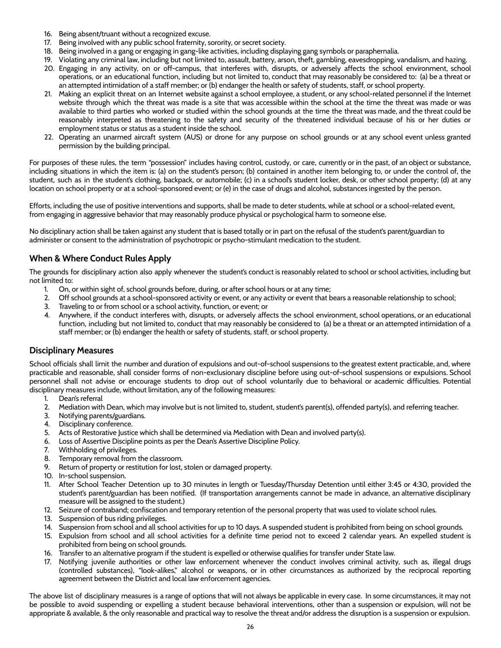- 16. Being absent/truant without a recognized excuse.
- 17. Being involved with any public school fraternity, sorority, or secret society.
- 18. Being involved in a gang or engaging in gang-like activities, including displaying gang symbols or paraphernalia.
- 19. Violating any criminal law, including but not limited to, assault, battery, arson, theft, gambling, eavesdropping, vandalism, and hazing. 20. Engaging in any activity, on or off-campus, that interferes with, disrupts, or adversely affects the school environment, school operations, or an educational function, including but not limited to, conduct that may reasonably be considered to: (a) be a threat or an attempted intimidation of a staff member; or (b) endanger the health or safety of students, staff, or school property.
- 21. Making an explicit threat on an Internet website against a school employee, a student, or any school-related personnel if the Internet website through which the threat was made is a site that was accessible within the school at the time the threat was made or was available to third parties who worked or studied within the school grounds at the time the threat was made, and the threat could be reasonably interpreted as threatening to the safety and security of the threatened individual because of his or her duties or employment status or status as a student inside the school.
- 22. Operating an unarmed aircraft system (AUS) or drone for any purpose on school grounds or at any school event unless granted permission by the building principal.

For purposes of these rules, the term "possession" includes having control, custody, or care, currently or in the past, of an object or substance, including situations in which the item is: (a) on the student's person; (b) contained in another item belonging to, or under the control of, the student, such as in the student's clothing, backpack, or automobile; (c) in a school's student locker, desk, or other school property; (d) at any location on school property or at a school-sponsored event; or (e) in the case of drugs and alcohol, substances ingested by the person.

Efforts, including the use of positive interventions and supports, shall be made to deter students, while at school or a school-related event, from engaging in aggressive behavior that may reasonably produce physical or psychological harm to someone else.

No disciplinary action shall be taken against any student that is based totally or in part on the refusal of the student's parent/guardian to administer or consent to the administration of psychotropic or psycho-stimulant medication to the student.

## **When & Where Conduct Rules Apply**

The grounds for disciplinary action also apply whenever the student's conduct is reasonably related to school or school activities, including but not limited to:

- 1. On, or within sight of, school grounds before, during, or after school hours or at any time;
- 2. Off school grounds at a school-sponsored activity or event, or any activity or event that bears a reasonable relationship to school;
- 3. Traveling to or from school or a school activity, function, or event; or
- 4. Anywhere, if the conduct interferes with, disrupts, or adversely affects the school environment, school operations, or an educational function, including but not limited to, conduct that may reasonably be considered to (a) be a threat or an attempted intimidation of a staff member; or (b) endanger the health or safety of students, staff, or school property.

## <span id="page-26-0"></span>**Disciplinary Measures**

School officials shall limit the number and duration of expulsions and out-of-school suspensions to the greatest extent practicable, and, where practicable and reasonable, shall consider forms of non-exclusionary discipline before using out-of-school suspensions or expulsions. School personnel shall not advise or encourage students to drop out of school voluntarily due to behavioral or academic difficulties. Potential disciplinary measures include, without limitation, any of the following measures:

- 1. Dean's referral
- 2. Mediation with Dean, which may involve but is not limited to, student, student's parent(s), offended party(s), and referring teacher.
- 3. Notifying parents/guardians.
- 4. Disciplinary conference.
- 5. Acts of Restorative Justice which shall be determined via Mediation with Dean and involved party(s).
- 6. Loss of Assertive Discipline points as per the Dean's Assertive Discipline Policy.
- 7. Withholding of privileges.
- 8. Temporary removal from the classroom.
- 9. Return of property or restitution for lost, stolen or damaged property.
- 10. In-school suspension.
- 11. After School Teacher Detention up to 30 minutes in length or Tuesday/Thursday Detention until either 3:45 or 4:30, provided the student's parent/guardian has been notified. (If transportation arrangements cannot be made in advance, an alternative disciplinary measure will be assigned to the student.)
- 12. Seizure of contraband; confiscation and temporary retention of the personal property that was used to violate school rules.
- 13. Suspension of bus riding privileges.
- 14. Suspension from school and all school activities for up to 10 days. A suspended student is prohibited from being on school grounds.
- 15. Expulsion from school and all school activities for a definite time period not to exceed 2 calendar years. An expelled student is prohibited from being on school grounds.
- 16. Transfer to an alternative program if the student is expelled or otherwise qualifies for transfer under State law.
- 17. Notifying juvenile authorities or other law enforcement whenever the conduct involves criminal activity, such as, illegal drugs (controlled substances), "look-alikes," alcohol or weapons, or in other circumstances as authorized by the reciprocal reporting agreement between the District and local law enforcement agencies.

The above list of disciplinary measures is a range of options that will not always be applicable in every case. In some circumstances, it may not be possible to avoid suspending or expelling a student because behavioral interventions, other than a suspension or expulsion, will not be appropriate & available, & the only reasonable and practical way to resolve the threat and/or address the disruption is a suspension or expulsion.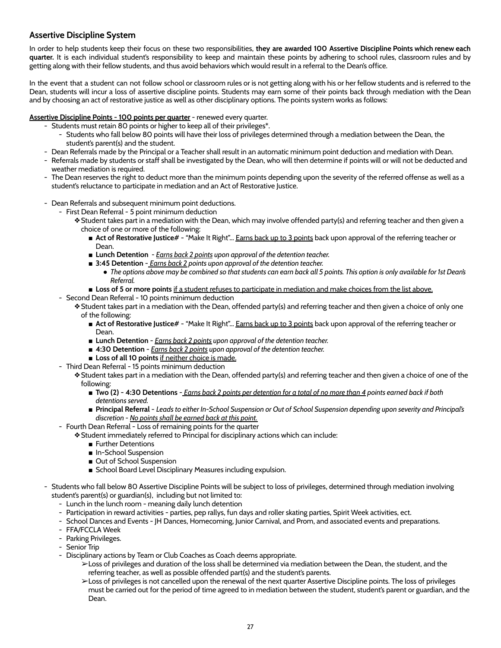## <span id="page-27-0"></span>**Assertive Discipline System**

In order to help students keep their focus on these two responsibilities, **they are awarded 100 Assertive Discipline Points which renew each quarter.** It is each individual student's responsibility to keep and maintain these points by adhering to school rules, classroom rules and by getting along with their fellow students, and thus avoid behaviors which would result in a referral to the Dean's office.

In the event that a student can not follow school or classroom rules or is not getting along with his or her fellow students and is referred to the Dean, students will incur a loss of assertive discipline points. Students may earn some of their points back through mediation with the Dean and by choosing an act of restorative justice as well as other disciplinary options. The points system works as follows:

#### **Assertive Discipline Points - 100 points per quarter** - renewed every quarter.

- Students must retain 80 points or higher to keep all of their privileges\*.
	- Students who fall below 80 points will have their loss of privileges determined through a mediation between the Dean, the student's parent(s) and the student.
- Dean Referrals made by the Principal or a Teacher shall result in an automatic minimum point deduction and mediation with Dean.
- Referrals made by students or staff shall be investigated by the Dean, who will then determine if points will or will not be deducted and weather mediation is required.
- The Dean reserves the right to deduct more than the minimum points depending upon the severity of the referred offense as well as a student's reluctance to participate in mediation and an Act of Restorative Justice.
- Dean Referrals and subsequent minimum point deductions.
	- First Dean Referral 5 point minimum deduction
		- ❖Student takes part in a mediation with the Dean, which may involve offended party(s) and referring teacher and then given a choice of one or more of the following:
			- Act of Restorative Justice# "Make It Right"... Earns back up to 3 points back upon approval of the referring teacher or Dean.
			- **Lunch Detention** *- Earns back 2 points upon approval of the detention teacher.*
			- **3:45 Detention** *<u>Earns back 2</u> points upon approval of the detention teacher.* 
				- The options above may be combined so that students can earn back all 5 points. This option is only available for 1st Dean's *Referral.*
			- **Loss of 5 or more points** if a student refuses to participate in mediation and make choices from the list above.
	- Second Dean Referral 10 points minimum deduction
		- ❖Student takes part in a mediation with the Dean, offended party(s) and referring teacher and then given a choice of only one of the following:
			- Act of Restorative Justice# "Make It Right"... Earns back up to 3 points back upon approval of the referring teacher or Dean.
			- **Lunch Detention** *Earns back 2 points upon approval of the detention teacher.*
			- **4:30 Detention** *Earns back 2 points upon approval of the detention teacher.*
			- **Loss of all 10 points** if neither choice is made.
	- Third Dean Referral 15 points minimum deduction

❖Student takes part in a mediation with the Dean, offended party(s) and referring teacher and then given a choice of one of the following:

- Two (2) 4:30 Detentions *Earns back 2 points per detention for a total of no more than 4 points earned back if both detentions served.*
- Principal Referral Leads to either In-School Suspension or Out of School Suspension depending upon severity and Principal's *discretion - No points shall be earned back at this point.*
- Fourth Dean Referral Loss of remaining points for the quarter
	- ❖Student immediately referred to Principal for disciplinary actions which can include:
		- Further Detentions
		- In-School Suspension
		- Out of School Suspension
		- School Board Level Disciplinary Measures including expulsion.
- Students who fall below 80 Assertive Discipline Points will be subject to loss of privileges, determined through mediation involving student's parent(s) or guardian(s), including but not limited to:
	- Lunch in the lunch room meaning daily lunch detention
	- Participation in reward activities parties, pep rallys, fun days and roller skating parties, Spirit Week activities, ect.
	- School Dances and Events JH Dances, Homecoming, Junior Carnival, and Prom, and associated events and preparations.
	- FFA/FCCLA Week
	- Parking Privileges.
	- Senior Trip
	- Disciplinary actions by Team or Club Coaches as Coach deems appropriate.
		- ➢Loss of privileges and duration of the loss shall be determined via mediation between the Dean, the student, and the referring teacher, as well as possible offended part(s) and the student's parents.
		- ➢Loss of privileges is not cancelled upon the renewal of the next quarter Assertive Discipline points. The loss of privileges must be carried out for the period of time agreed to in mediation between the student, student's parent or guardian, and the Dean.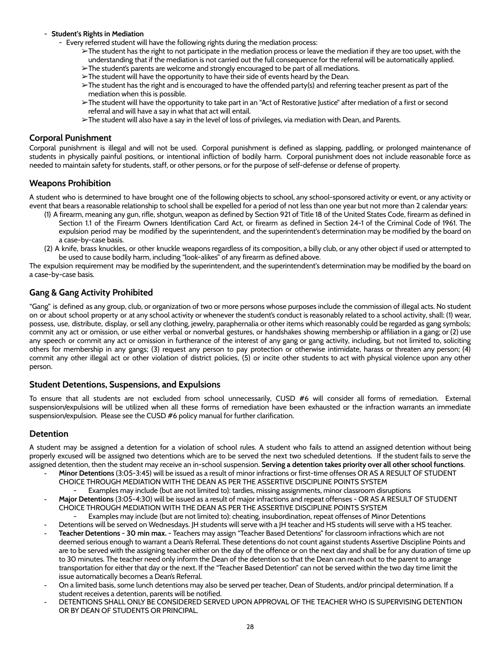#### - **Student's Rights in Mediation**

- Every referred student will have the following rights during the mediation process:
	- $\geq$ The student has the right to not participate in the mediation process or leave the mediation if they are too upset, with the understanding that if the mediation is not carried out the full consequence for the referral will be automatically applied.
	- $\geq$ The student's parents are welcome and strongly encouraged to be part of all mediations.
	- $\geq$  The student will have the opportunity to have their side of events heard by the Dean.
	- $\triangleright$ The student has the right and is encouraged to have the offended party(s) and referring teacher present as part of the mediation when this is possible.
	- ➢The student will have the opportunity to take part in an "Act of Restorative Justice" after mediation of a first or second referral and will have a say in what that act will entail.
	- ➢The student will also have a say in the level of loss of privileges, via mediation with Dean, and Parents.

#### <span id="page-28-0"></span>**Corporal Punishment**

Corporal punishment is illegal and will not be used. Corporal punishment is defined as slapping, paddling, or prolonged maintenance of students in physically painful positions, or intentional infliction of bodily harm. Corporal punishment does not include reasonable force as needed to maintain safety for students, staff, or other persons, or for the purpose of self-defense or defense of property.

#### <span id="page-28-1"></span>**Weapons Prohibition**

A student who is determined to have brought one of the following objects to school, any school-sponsored activity or event, or any activity or event that bears a reasonable relationship to school shall be expelled for a period of not less than one year but not more than 2 calendar years:

- (1) A firearm, meaning any gun, rifle, shotgun, weapon as defined by Section 921 of Title 18 of the United States Code, firearm as defined in Section 1.1 of the Firearm Owners Identification Card Act, or firearm as defined in Section 24-1 of the Criminal Code of 1961. The expulsion period may be modified by the superintendent, and the superintendent's determination may be modified by the board on a case-by-case basis.
- (2) A knife, brass knuckles, or other knuckle weapons regardless of its composition, a billy club, or any other object if used or attempted to be used to cause bodily harm, including "look-alikes" of any firearm as defined above.

The expulsion requirement may be modified by the superintendent, and the superintendent's determination may be modified by the board on a case-by-case basis.

## <span id="page-28-2"></span>**Gang & Gang Activity Prohibited**

"Gang" is defined as any group, club, or organization of two or more persons whose purposes include the commission of illegal acts. No student on or about school property or at any school activity or whenever the student's conduct is reasonably related to a school activity, shall: (1) wear, possess, use, distribute, display, or sell any clothing, jewelry, paraphernalia or other items which reasonably could be regarded as gang symbols; commit any act or omission, or use either verbal or nonverbal gestures, or handshakes showing membership or affiliation in a gang; or (2) use any speech or commit any act or omission in furtherance of the interest of any gang or gang activity, including, but not limited to, soliciting others for membership in any gangs; (3) request any person to pay protection or otherwise intimidate, harass or threaten any person; (4) commit any other illegal act or other violation of district policies, (5) or incite other students to act with physical violence upon any other person.

## <span id="page-28-3"></span>**Student Detentions, Suspensions, and Expulsions**

To ensure that all students are not excluded from school unnecessarily, CUSD #6 will consider all forms of remediation. External suspension/expulsions will be utilized when all these forms of remediation have been exhausted or the infraction warrants an immediate suspension/expulsion. Please see the CUSD #6 policy manual for further clarification.

#### <span id="page-28-4"></span>**Detention**

A student may be assigned a detention for a violation of school rules. A student who fails to attend an assigned detention without being properly excused will be assigned two detentions which are to be served the next two scheduled detentions. If the student fails to serve the assigned detention, then the student may receive an in-school suspension. **Serving a detention takes priority over all other school functions**.

- **Minor Detentions** (3:05-3:45) will be issued as a result of minor infractions or first-time offenses OR AS A RESULT OF STUDENT CHOICE THROUGH MEDIATION WITH THE DEAN AS PER THE ASSERTIVE DISCIPLINE POINTS SYSTEM
	- Examples may include (but are not limited to): tardies, missing assignments, minor classroom disruptions
- **Major Detentions** (3:05-4:30) will be issued as a result of major infractions and repeat offenses OR AS A RESULT OF STUDENT CHOICE THROUGH MEDIATION WITH THE DEAN AS PER THE ASSERTIVE DISCIPLINE POINTS SYSTEM
	- Examples may include (but are not limited to): cheating, insubordination, repeat offenses of Minor Detentions
- Detentions will be served on Wednesdays. JH students will serve with a JH teacher and HS students will serve with a HS teacher.
- **Teacher Detentions - 30 min max. -** Teachers may assign "Teacher Based Detentions" for classroom infractions which are not deemed serious enough to warrant a Dean's Referral. These detentions do not count against students Assertive Discipline Points and are to be served with the assigning teacher either on the day of the offence or on the next day and shall be for any duration of time up to 30 minutes. The teacher need only inform the Dean of the detention so that the Dean can reach out to the parent to arrange transportation for either that day or the next. If the "Teacher Based Detention" can not be served within the two day time limit the issue automatically becomes a Dean's Referral.
- On a limited basis, some lunch detentions may also be served per teacher, Dean of Students, and/or principal determination. If a student receives a detention, parents will be notified.
- DETENTIONS SHALL ONLY BE CONSIDERED SERVED UPON APPROVAL OF THE TEACHER WHO IS SUPERVISING DETENTION OR BY DEAN OF STUDENTS OR PRINCIPAL.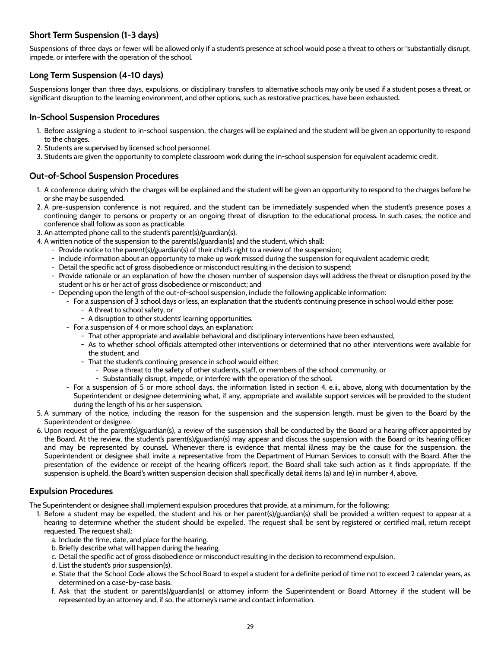## **Short Term Suspension (1-3 days)**

Suspensions of three days or fewer will be allowed only if a student's presence at school would pose a threat to others or "substantially disrupt, impede, or interfere with the operation of the school.

## **Long Term Suspension (4-10 days)**

Suspensions longer than three days, expulsions, or disciplinary transfers to alternative schools may only be used if a student poses a threat, or significant disruption to the learning environment, and other options, such as restorative practices, have been exhausted**.**

#### <span id="page-29-0"></span>**In-School Suspension Procedures**

- 1. Before assigning a student to in-school suspension, the charges will be explained and the student will be given an opportunity to respond to the charges.
- 2. Students are supervised by licensed school personnel.
- 3. Students are given the opportunity to complete classroom work during the in-school suspension for equivalent academic credit.

## <span id="page-29-1"></span>**Out-of-School Suspension Procedures**

- 1. A conference during which the charges will be explained and the student will be given an opportunity to respond to the charges before he or she may be suspended.
- 2. A pre-suspension conference is not required, and the student can be immediately suspended when the student's presence poses a continuing danger to persons or property or an ongoing threat of disruption to the educational process. In such cases, the notice and conference shall follow as soon as practicable.
- 3. An attempted phone call to the student's parent(s)/guardian(s).
- 4. A written notice of the suspension to the parent(s)/guardian(s) and the student, which shall:
	- Provide notice to the parent(s)/guardian(s) of their child's right to a review of the suspension;
	- Include information about an opportunity to make up work missed during the suspension for equivalent academic credit;
	- Detail the specific act of gross disobedience or misconduct resulting in the decision to suspend;
	- Provide rationale or an explanation of how the chosen number of suspension days will address the threat or disruption posed by the student or his or her act of gross disobedience or misconduct; and
		- Depending upon the length of the out-of-school suspension, include the following applicable information:
			- For a suspension of 3 school days or less, an explanation that the student's continuing presence in school would either pose:
				- A threat to school safety, or
				- A disruption to other students' learning opportunities.
			- For a suspension of 4 or more school days, an explanation:
				- That other appropriate and available behavioral and disciplinary interventions have been exhausted,
				- As to whether school officials attempted other interventions or determined that no other interventions were available for the student, and
				- That the student's continuing presence in school would either:
					- Pose a threat to the safety of other students, staff, or members of the school community, or
					- Substantially disrupt, impede, or interfere with the operation of the school.
			- For a suspension of 5 or more school days, the information listed in section 4. e.ii., above, along with documentation by the Superintendent or designee determining what, if any, appropriate and available support services will be provided to the student during the length of his or her suspension.
- 5. A summary of the notice, including the reason for the suspension and the suspension length, must be given to the Board by the Superintendent or designee.
- 6. Upon request of the parent(s)/guardian(s), a review of the suspension shall be conducted by the Board or a hearing officer appointed by the Board. At the review, the student's parent(s)/guardian(s) may appear and discuss the suspension with the Board or its hearing officer and may be represented by counsel. Whenever there is evidence that mental illness may be the cause for the suspension, the Superintendent or designee shall invite a representative from the Department of Human Services to consult with the Board. After the presentation of the evidence or receipt of the hearing officer's report, the Board shall take such action as it finds appropriate. If the suspension is upheld, the Board's written suspension decision shall specifically detail items (a) and (e) in number 4, above.

## <span id="page-29-2"></span>**Expulsion Procedures**

The Superintendent or designee shall implement expulsion procedures that provide, at a minimum, for the following:

- 1. Before a student may be expelled, the student and his or her parent(s)/guardian(s) shall be provided a written request to appear at a hearing to determine whether the student should be expelled. The request shall be sent by registered or certified mail, return receipt requested. The request shall:
	- a. Include the time, date, and place for the hearing.
	- b. Briefly describe what will happen during the hearing.
	- c. Detail the specific act of gross disobedience or misconduct resulting in the decision to recommend expulsion.
	- d. List the student's prior suspension(s).
	- e. State that the School Code allows the School Board to expel a student for a definite period of time not to exceed 2 calendar years, as determined on a case-by-case basis.
	- f. Ask that the student or parent(s)/guardian(s) or attorney inform the Superintendent or Board Attorney if the student will be represented by an attorney and, if so, the attorney's name and contact information.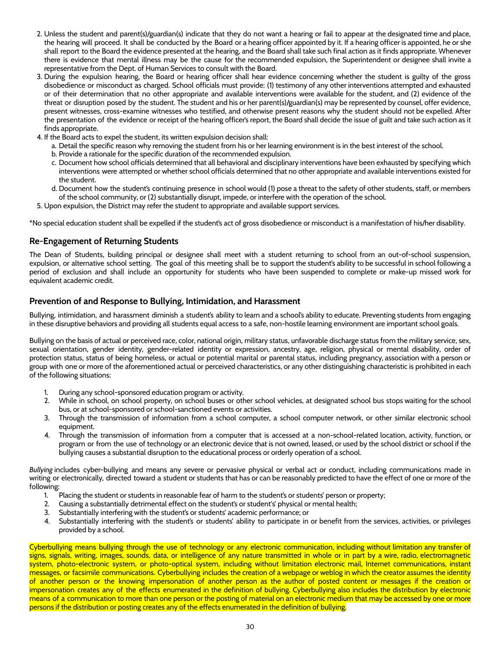- 2. Unless the student and parent(s)/guardian(s) indicate that they do not want a hearing or fail to appear at the designated time and place, the hearing will proceed. It shall be conducted by the Board or a hearing officer appointed by it. If a hearing officer is appointed, he or she shall report to the Board the evidence presented at the hearing, and the Board shall take such final action as it finds appropriate. Whenever there is evidence that mental illness may be the cause for the recommended expulsion, the Superintendent or designee shall invite a representative from the Dept. of Human Services to consult with the Board.
- 3. During the expulsion hearing, the Board or hearing officer shall hear evidence concerning whether the student is guilty of the gross disobedience or misconduct as charged. School officials must provide: (1) testimony of any other interventions attempted and exhausted or of their determination that no other appropriate and available interventions were available for the student, and (2) evidence of the threat or disruption posed by the student. The student and his or her parent(s)/guardian(s) may be represented by counsel, offer evidence, present witnesses, cross-examine witnesses who testified, and otherwise present reasons why the student should not be expelled. After the presentation of the evidence or receipt of the hearing officer's report, the Board shall decide the issue of guilt and take such action as it finds appropriate.
- 4. If the Board acts to expel the student, its written expulsion decision shall:
	- a. Detail the specific reason why removing the student from his or her learning environment is in the best interest of the school.
	- b. Provide a rationale for the specific duration of the recommended expulsion.
	- c. Document how school officials determined that all behavioral and disciplinary interventions have been exhausted by specifying which interventions were attempted or whether school officials determined that no other appropriate and available interventions existed for the student.
	- d. Document how the student's continuing presence in school would (1) pose a threat to the safety of other students, staff, or members of the school community, or (2) substantially disrupt, impede, or interfere with the operation of the school.
- 5. Upon expulsion, the District may refer the student to appropriate and available support services.

\*No special education student shall be expelled if the student's act of gross disobedience or misconduct is a manifestation of his/her disability.

#### <span id="page-30-0"></span>**Re-Engagement of Returning Students**

The Dean of Students, building principal or designee shall meet with a student returning to school from an out-of-school suspension, expulsion, or alternative school setting. The goal of this meeting shall be to support the student's ability to be successful in school following a period of exclusion and shall include an opportunity for students who have been suspended to complete or make-up missed work for equivalent academic credit.

#### <span id="page-30-1"></span>**Prevention of and Response to Bullying, Intimidation, and Harassment**

Bullying, intimidation, and harassment diminish a student's ability to learn and a school's ability to educate. Preventing students from engaging in these disruptive behaviors and providing all students equal access to a safe, non-hostile learning environment are important school goals.

Bullying on the basis of actual or perceived race, color, national origin, military status, unfavorable discharge status from the military service, sex, sexual orientation, gender identity, gender-related identity or expression, ancestry, age, religion, physical or mental disability, order of protection status, status of being homeless, or actual or potential marital or parental status, including pregnancy, association with a person or group with one or more of the aforementioned actual or perceived characteristics, or any other distinguishing characteristic is prohibited in each of the following situations:

- During any school-sponsored education program or activity.
- 2. While in school, on school property, on school buses or other school vehicles, at designated school bus stops waiting for the school bus, or at school-sponsored or school-sanctioned events or activities.
- 3. Through the transmission of information from a school computer, a school computer network, or other similar electronic school equipment.
- 4. Through the transmission of information from a computer that is accessed at a non-school-related location, activity, function, or program or from the use of technology or an electronic device that is not owned, leased, or used by the school district or school if the bullying causes a substantial disruption to the educational process or orderly operation of a school.

*Bullying* includes cyber-bullying and means any severe or pervasive physical or verbal act or conduct, including communications made in writing or electronically, directed toward a student or students that has or can be reasonably predicted to have the effect of one or more of the following:

- 1. Placing the student or students in reasonable fear of harm to the student's or students' person or property;
- 2. Causing a substantially detrimental effect on the student's or student's' physical or mental health;
- 3. Substantially interfering with the student's or students' academic performance; or
- 4. Substantially interfering with the student's or students' ability to participate in or benefit from the services, activities, or privileges provided by a school.

Cyberbullying means bullying through the use of technology or any electronic communication, including without limitation any transfer of signs, signals, writing, images, sounds, data, or intelligence of any nature transmitted in whole or in part by a wire, radio, electromagnetic system, photo-electronic system, or photo-optical system, including without limitation electronic mail, Internet communications, instant messages, or facsimile communications. Cyberbullying includes the creation of a webpage or weblog in which the creator assumes the identity of another person or the knowing impersonation of another person as the author of posted content or messages if the creation or impersonation creates any of the effects enumerated in the definition of bullying. Cyberbullying also includes the distribution by electronic means of a communication to more than one person or the posting of material on an electronic medium that may be accessed by one or more persons if the distribution or posting creates any of the effects enumerated in the definition of bullying.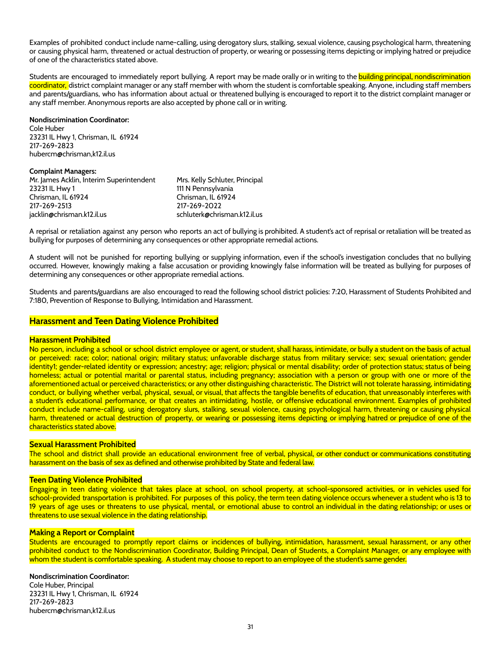Examples of prohibited conduct include name-calling, using derogatory slurs, stalking, sexual violence, causing psychological harm, threatening or causing physical harm, threatened or actual destruction of property, or wearing or possessing items depicting or implying hatred or prejudice of one of the characteristics stated above.

Students are encouraged to immediately report bullying. A report may be made orally or in writing to the building principal, nondiscrimination coordinator, district complaint manager or any staff member with whom the student is comfortable speaking. Anyone, including staff members and parents/guardians, who has information about actual or threatened bullying is encouraged to report it to the district complaint manager or any staff member. Anonymous reports are also accepted by phone call or in writing.

#### **Nondiscrimination Coordinator:**

Cole Huber 23231 IL Hwy 1, Chrisman, IL 61924 217-269-2823 hubercm@chrisman,k12.il.us

#### **Complaint Managers:**

| Mr. James Acklin, Interim Superintendent | Mrs. Kelly Schluter, Principal |
|------------------------------------------|--------------------------------|
| 23231 IL Hwy 1                           | 111 N Pennsylvania             |
| Chrisman. IL 61924                       | Chrisman. IL 61924             |
| 217-269-2513                             | 217-269-2022                   |
| jacklin@chrisman.k12.il.us               | schluterk@chrisman.k12.il.us   |

A reprisal or retaliation against any person who reports an act of bullying is prohibited. A student's act of reprisal or retaliation will be treated as bullying for purposes of determining any consequences or other appropriate remedial actions.

A student will not be punished for reporting bullying or supplying information, even if the school's investigation concludes that no bullying occurred. However, knowingly making a false accusation or providing knowingly false information will be treated as bullying for purposes of determining any consequences or other appropriate remedial actions.

Students and parents/guardians are also encouraged to read the following school district policies: 7:20, Harassment of Students Prohibited and 7:180, Prevention of Response to Bullying, Intimidation and Harassment.

#### <span id="page-31-0"></span>**Harassment and Teen Dating Violence Prohibited**

#### **Harassment Prohibited**

No person, including a school or school district employee or agent, or student, shall harass, intimidate, or bully a student on the basis of actual or perceived: race; color; national origin; military status; unfavorable discharge status from military service; sex; sexual orientation; gender identity[1;](https://ilprincipals.org/model-student-handbook/chapter-6-discipline-conduct/6-45-sexual-harassment-teen-dating-violence-prohibited/#_ftn1) gender-related identity or expression; ancestry; age; religion; physical or mental disability; order of protection status; status of being homeless; actual or potential marital or parental status, including pregnancy; association with a person or group with one or more of the aforementioned actual or perceived characteristics; or any other distinguishing characteristic. The District will not tolerate harassing, intimidating conduct, or bullying whether verbal, physical, sexual, or visual, that affects the tangible benefits of education, that unreasonably interferes with a student's educational performance, or that creates an intimidating, hostile, or offensive educational environment. Examples of prohibited conduct include name-calling, using derogatory slurs, stalking, sexual violence, causing psychological harm, threatening or causing physical harm, threatened or actual destruction of property, or wearing or possessing items depicting or implying hatred or prejudice of one of the characteristics stated above.

#### **Sexual Harassment Prohibited**

The school and district shall provide an educational environment free of verbal, physical, or other conduct or communications constituting harassment on the basis of sex as defined and otherwise prohibited by State and federal law.

#### **Teen Dating Violence Prohibited**

Engaging in teen dating violence that takes place at school, on school property, at school-sponsored activities, or in vehicles used for school-provided transportation is prohibited. For purposes of this policy, the term teen dating violence occurs whenever a student who is 13 to 19 years of age uses or threatens to use physical, mental, or emotional abuse to control an individual in the dating relationship; or uses or threatens to use sexual violence in the dating relationship.

#### **Making a Report or Complaint**

Students are encouraged to promptly report claims or incidences of bullying, intimidation, harassment, sexual harassment, or any other prohibited conduct to the Nondiscrimination Coordinator, Building Principal, Dean of Students, a Complaint Manager, or any employee with whom the student is comfortable speaking. A student may choose to report to an employee of the student's same gender.

#### **Nondiscrimination Coordinator:**

Cole Huber, Principal 23231 IL Hwy 1, Chrisman, IL 61924 217-269-2823 hubercm@chrisman,k12.il.us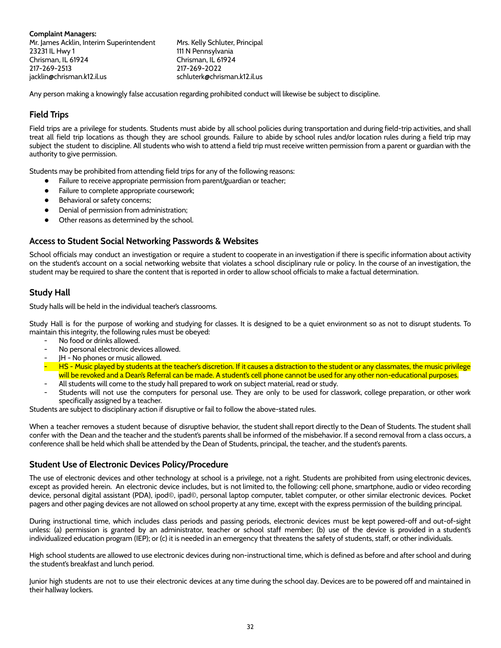**Complaint Managers:** Mr. James Acklin, Interim Superintendent Mrs. Kelly Schluter, Principal 23231 IL Hwy 1 111 N Pennsylvania Chrisman, IL 61924 Chrisman, IL 61924 217-269-2513 217-269-2022 jacklin@chrisman.k12.il.us schluterk@chrisman.k12.il.us

Any person making a knowingly false accusation regarding prohibited conduct will likewise be subject to discipline.

## <span id="page-32-0"></span>**Field Trips**

Field trips are a privilege for students. Students must abide by all school policies during transportation and during field-trip activities, and shall treat all field trip locations as though they are school grounds. Failure to abide by school rules and/or location rules during a field trip may subject the student to discipline. All students who wish to attend a field trip must receive written permission from a parent or guardian with the authority to give permission.

Students may be prohibited from attending field trips for any of the following reasons:

- Failure to receive appropriate permission from parent/guardian or teacher;
- Failure to complete appropriate coursework;
- Behavioral or safety concerns;
- Denial of permission from administration;
- Other reasons as determined by the school.

#### **Access to Student Social Networking Passwords & Websites**

School officials may conduct an investigation or require a student to cooperate in an investigation if there is specific information about activity on the student's account on a social networking website that violates a school disciplinary rule or policy. In the course of an investigation, the student may be required to share the content that is reported in order to allow school officials to make a factual determination.

## <span id="page-32-1"></span>**Study Hall**

Study halls will be held in the individual teacher's classrooms.

Study Hall is for the purpose of working and studying for classes. It is designed to be a quiet environment so as not to disrupt students. To maintain this integrity, the following rules must be obeyed:

- No food or drinks allowed.
- No personal electronic devices allowed.
- JH No phones or music allowed.
- HS Music played by students at the teacher's discretion. If it causes a distraction to the student or any classmates, the music privilege will be revoked and a Dean's Referral can be made. A student's cell phone cannot be used for any other non-educational purposes.
- All students will come to the study hall prepared to work on subject material, read or study.
- Students will not use the computers for personal use. They are only to be used for classwork, college preparation, or other work specifically assigned by a teacher.

Students are subject to disciplinary action if disruptive or fail to follow the above-stated rules.

When a teacher removes a student because of disruptive behavior, the student shall report directly to the Dean of Students. The student shall confer with the Dean and the teacher and the student's parents shall be informed of the misbehavior. If a second removal from a class occurs, a conference shall be held which shall be attended by the Dean of Students, principal, the teacher, and the student's parents.

## <span id="page-32-2"></span>**Student Use of Electronic Devices Policy/Procedure**

The use of electronic devices and other technology at school is a privilege, not a right. Students are prohibited from using electronic devices, except as provided herein. An electronic device includes, but is not limited to, the following: cell phone, smartphone, audio or video recording device, personal digital assistant (PDA), ipod©, ipad©, personal laptop computer, tablet computer, or other similar electronic devices. Pocket pagers and other paging devices are not allowed on school property at any time, except with the express permission of the building principal.

During instructional time, which includes class periods and passing periods, electronic devices must be kept powered-off and out-of-sight unless: (a) permission is granted by an administrator, teacher or school staff member; (b) use of the device is provided in a student's individualized education program (IEP); or (c) it is needed in an emergency that threatens the safety of students, staff, or other individuals.

High school students are allowed to use electronic devices during non-instructional time, which is defined as before and after school and during the student's breakfast and lunch period.

Junior high students are not to use their electronic devices at any time during the school day. Devices are to be powered off and maintained in their hallway lockers.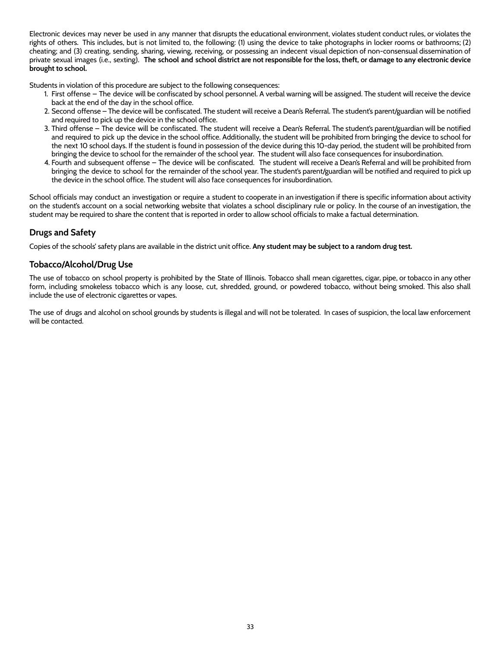Electronic devices may never be used in any manner that disrupts the educational environment, violates student conduct rules, or violates the rights of others. This includes, but is not limited to, the following: (1) using the device to take photographs in locker rooms or bathrooms; (2) cheating; and (3) creating, sending, sharing, viewing, receiving, or possessing an indecent visual depiction of non-consensual dissemination of private sexual images (i.e., sexting). The school and school district are not responsible for the loss, theft, or damage to any electronic device **brought to school.**

Students in violation of this procedure are subject to the following consequences:

- 1. First offense The device will be confiscated by school personnel. A verbal warning will be assigned. The student will receive the device back at the end of the day in the school office.
- 2. Second offense The device will be confiscated. The student will receive a Dean's Referral. The student's parent/guardian will be notified and required to pick up the device in the school office.
- 3. Third offense The device will be confiscated. The student will receive a Dean's Referral. The student's parent/guardian will be notified and required to pick up the device in the school office. Additionally, the student will be prohibited from bringing the device to school for the next 10 school days. If the student is found in possession of the device during this 10-day period, the student will be prohibited from bringing the device to school for the remainder of the school year. The student will also face consequences for insubordination.
- 4. Fourth and subsequent offense The device will be confiscated. The student will receive a Dean's Referral and will be prohibited from bringing the device to school for the remainder of the school year. The student's parent/guardian will be notified and required to pick up the device in the school office. The student will also face consequences for insubordination.

School officials may conduct an investigation or require a student to cooperate in an investigation if there is specific information about activity on the student's account on a social networking website that violates a school disciplinary rule or policy. In the course of an investigation, the student may be required to share the content that is reported in order to allow school officials to make a factual determination.

## <span id="page-33-0"></span>**Drugs and Safety**

Copies of the schools' safety plans are available in the district unit office. **Any student may be subject to a random drug test.**

## <span id="page-33-1"></span>**Tobacco/Alcohol/Drug Use**

The use of tobacco on school property is prohibited by the State of Illinois. Tobacco shall mean cigarettes, cigar, pipe, or tobacco in any other form, including smokeless tobacco which is any loose, cut, shredded, ground, or powdered tobacco, without being smoked. This also shall include the use of electronic cigarettes or vapes.

The use of drugs and alcohol on school grounds by students is illegal and will not be tolerated. In cases of suspicion, the local law enforcement will be contacted.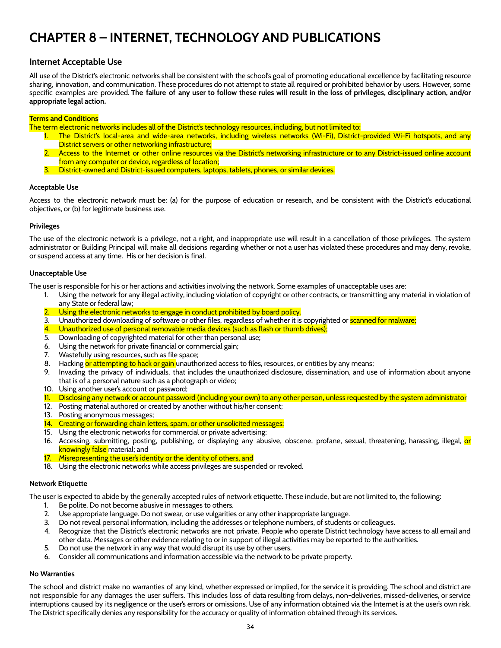## <span id="page-34-0"></span>**CHAPTER 8 – INTERNET, TECHNOLOGY AND PUBLICATIONS**

#### <span id="page-34-1"></span>**Internet Acceptable Use**

All use of the District's electronic networks shall be consistent with the school's goal of promoting educational excellence by facilitating resource sharing, innovation, and communication. These procedures do not attempt to state all required or prohibited behavior by users. However, some specific examples are provided. The failure of any user to follow these rules will result in the loss of privileges, disciplinary action, and/or **appropriate legal action.**

#### **Terms and Conditions**

The term electronic networks includes all of the District's technology resources, including, but not limited to:

- 1. The District's local-area and wide-area networks, including wireless networks (Wi-Fi), District-provided Wi-Fi hotspots, and any District servers or other networking infrastructure;
- 2. Access to the Internet or other online resources via the District's networking infrastructure or to any District-issued online account from any computer or device, regardless of location;
- District-owned and District-issued computers, laptops, tablets, phones, or similar devices.

#### **Acceptable Use**

Access to the electronic network must be: (a) for the purpose of education or research, and be consistent with the District's educational objectives, or (b) for legitimate business use.

#### **Privileges**

The use of the electronic network is a privilege, not a right, and inappropriate use will result in a cancellation of those privileges. The system administrator or Building Principal will make all decisions regarding whether or not a user has violated these procedures and may deny, revoke, or suspend access at any time. His or her decision is final.

#### **Unacceptable Use**

The user is responsible for his or her actions and activities involving the network. Some examples of unacceptable uses are:

- 1. Using the network for any illegal activity, including violation of copyright or other contracts, or transmitting any material in violation of any State or federal law;
- 2. Using the electronic networks to engage in conduct prohibited by board policy.
- 3. Unauthorized downloading of software or other files, regardless of whether it is copyrighted or **scanned for malware;**
- 4. Unauthorized use of personal removable media devices (such as flash or thumb drives);
- 5. Downloading of copyrighted material for other than personal use;
- 6. Using the network for private financial or commercial gain;
- 7. Wastefully using resources, such as file space;
- 8. Hacking or attempting to hack or gain unauthorized access to files, resources, or entities by any means;
- 9. Invading the privacy of individuals, that includes the unauthorized disclosure, dissemination, and use of information about anyone that is of a personal nature such as a photograph or video;
- 10. Using another user's account or password;
- 11. Disclosing any network or account password (including your own) to any other person, unless requested by the system administrator
- 12. Posting material authored or created by another without his/her consent;
- 13. Posting anonymous messages;
- 14. Creating or forwarding chain letters, spam, or other unsolicited messages:
- 15. Using the electronic networks for commercial or private advertising;
- 16. Accessing, submitting, posting, publishing, or displaying any abusive, obscene, profane, sexual, threatening, harassing, illegal, <mark>or</mark> knowingly false material; and
- 17. Misrepresenting the user's identity or the identity of others, and
- 18. Using the electronic networks while access privileges are suspended or revoked.

#### **Network Etiquette**

The user is expected to abide by the generally accepted rules of network etiquette. These include, but are not limited to, the following:

- 1. Be polite. Do not become abusive in messages to others.
- 2. Use appropriate language. Do not swear, or use vulgarities or any other inappropriate language.
- 3. Do not reveal personal information, including the addresses or telephone numbers, of students or colleagues.
- 4. Recognize that the District's electronic networks are not private. People who operate District technology have access to all email and other data. Messages or other evidence relating to or in support of illegal activities may be reported to the authorities.
- 5. Do not use the network in any way that would disrupt its use by other users.
- 6. Consider all communications and information accessible via the network to be private property.

#### **No Warranties**

The school and district make no warranties of any kind, whether expressed or implied, for the service it is providing. The school and district are not responsible for any damages the user suffers. This includes loss of data resulting from delays, non-deliveries, missed-deliveries, or service interruptions caused by its negligence or the user's errors or omissions. Use of any information obtained via the Internet is at the user's own risk. The District specifically denies any responsibility for the accuracy or quality of information obtained through its services.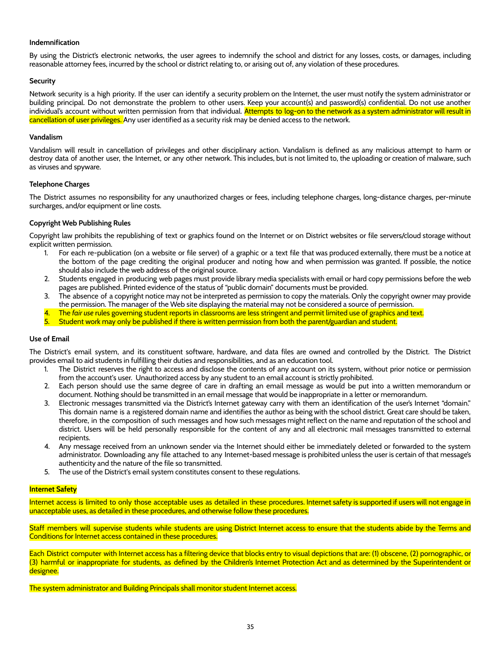#### **Indemnification**

By using the District's electronic networks, the user agrees to indemnify the school and district for any losses, costs, or damages, including reasonable attorney fees, incurred by the school or district relating to, or arising out of, any violation of these procedures.

#### **Security**

Network security is a high priority. If the user can identify a security problem on the Internet, the user must notify the system administrator or building principal. Do not demonstrate the problem to other users. Keep your account(s) and password(s) confidential. Do not use another individual's account without written permission from that individual. Attempts to log-on to the network as a system administrator will result in cancellation of user privileges. Any user identified as a security risk may be denied access to the network.

#### **Vandalism**

Vandalism will result in cancellation of privileges and other disciplinary action. Vandalism is defined as any malicious attempt to harm or destroy data of another user, the Internet, or any other network. This includes, but is not limited to, the uploading or creation of malware, such as viruses and spyware.

#### **Telephone Charges**

The District assumes no responsibility for any unauthorized charges or fees, including telephone charges, long-distance charges, per-minute surcharges, and/or equipment or line costs.

#### **Copyright Web Publishing Rules**

Copyright law prohibits the republishing of text or graphics found on the Internet or on District websites or file servers/cloud storage without explicit written permission.

- 1. For each re-publication (on a website or file server) of a graphic or a text file that was produced externally, there must be a notice at the bottom of the page crediting the original producer and noting how and when permission was granted. If possible, the notice should also include the web address of the original source.
- 2. Students engaged in producing web pages must provide library media specialists with email or hard copy permissions before the web pages are published. Printed evidence of the status of "public domain" documents must be provided.
- 3. The absence of a copyright notice may not be interpreted as permission to copy the materials. Only the copyright owner may provide the permission. The manager of the Web site displaying the material may not be considered a source of permission.
- 4. The *fair use* rules governing student reports in classrooms are less stringent and permit limited use of graphics and text.
- 5. Student work may only be published if there is written permission from both the parent/guardian and student.

#### **Use of Email**

The District's email system, and its constituent software, hardware, and data files are owned and controlled by the District. The District provides email to aid students in fulfilling their duties and responsibilities, and as an education tool.

- 1. The District reserves the right to access and disclose the contents of any account on its system, without prior notice or permission from the account's user. Unauthorized access by any student to an email account is strictly prohibited.
- 2. Each person should use the same degree of care in drafting an email message as would be put into a written memorandum or document. Nothing should be transmitted in an email message that would be inappropriate in a letter or memorandum.
- 3. Electronic messages transmitted via the District's Internet gateway carry with them an identification of the user's Internet "domain." This domain name is a registered domain name and identifies the author as being with the school district. Great care should be taken, therefore, in the composition of such messages and how such messages might reflect on the name and reputation of the school and district. Users will be held personally responsible for the content of any and all electronic mail messages transmitted to external recipients.
- 4. Any message received from an unknown sender via the Internet should either be immediately deleted or forwarded to the system administrator. Downloading any file attached to any Internet-based message is prohibited unless the user is certain of that message's authenticity and the nature of the file so transmitted.
- 5. The use of the District's email system constitutes consent to these regulations.

#### **Internet Safety**

Internet access is limited to only those acceptable uses as detailed in these procedures. Internet safety is supported if users will not engage in unacceptable uses, as detailed in these procedures, and otherwise follow these procedures.

Staff members will supervise students while students are using District Internet access to ensure that the students abide by the Terms and Conditions for Internet access contained in these procedures.

Each District computer with Internet access has a filtering device that blocks entry to visual depictions that are: (1) obscene, (2) pornographic, or (3) harmful or inappropriate for students, as defined by the Children's Internet Protection Act and as determined by the Superintendent or <mark>designee.</mark>

The system administrator and Building Principals shall monitor student Internet access.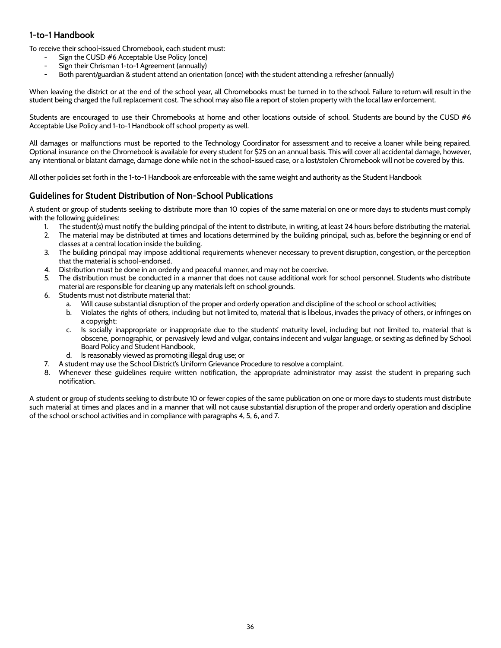## <span id="page-36-0"></span>**1-to-1 Handbook**

To receive their school-issued Chromebook, each student must:

- Sign the CUSD #6 Acceptable Use Policy (once)
- Sign their Chrisman 1-to-1 Agreement (annually)
- Both parent/guardian & student attend an orientation (once) with the student attending a refresher (annually)

When leaving the district or at the end of the school year, all Chromebooks must be turned in to the school. Failure to return will result in the student being charged the full replacement cost. The school may also file a report of stolen property with the local law enforcement.

Students are encouraged to use their Chromebooks at home and other locations outside of school. Students are bound by the CUSD #6 Acceptable Use Policy and 1-to-1 Handbook off school property as well.

All damages or malfunctions must be reported to the Technology Coordinator for assessment and to receive a loaner while being repaired. Optional insurance on the Chromebook is available for every student for \$25 on an annual basis. This will cover all accidental damage, however, any intentional or blatant damage, damage done while not in the school-issued case, or a lost/stolen Chromebook will not be covered by this.

All other policies set forth in the 1-to-1 Handbook are enforceable with the same weight and authority as the Student Handbook

## <span id="page-36-1"></span>**Guidelines for Student Distribution of Non-School Publications**

A student or group of students seeking to distribute more than 10 copies of the same material on one or more days to students must comply with the following guidelines:

- 1. The student(s) must notify the building principal of the intent to distribute, in writing, at least 24 hours before distributing the material.
- 2. The material may be distributed at times and locations determined by the building principal, such as, before the beginning or end of classes at a central location inside the building.
- 3. The building principal may impose additional requirements whenever necessary to prevent disruption, congestion, or the perception that the material is school-endorsed.
- 4. Distribution must be done in an orderly and peaceful manner, and may not be coercive.
- 5. The distribution must be conducted in a manner that does not cause additional work for school personnel. Students who distribute material are responsible for cleaning up any materials left on school grounds.
- 6. Students must not distribute material that:
	- a. Will cause substantial disruption of the proper and orderly operation and discipline of the school or school activities;
	- b. Violates the rights of others, including but not limited to, material that is libelous, invades the privacy of others, or infringes on a copyright;
	- c. Is socially inappropriate or inappropriate due to the students' maturity level, including but not limited to, material that is obscene, pornographic, or pervasively lewd and vulgar, contains indecent and vulgar language, or sexting as defined by School Board Policy and Student Handbook,
	- d. Is reasonably viewed as promoting illegal drug use; or
- 7. A student may use the School District's Uniform Grievance Procedure to resolve a complaint.
- 8. Whenever these guidelines require written notification, the appropriate administrator may assist the student in preparing such notification.

A student or group of students seeking to distribute 10 or fewer copies of the same publication on one or more days to students must distribute such material at times and places and in a manner that will not cause substantial disruption of the proper and orderly operation and discipline of the school or school activities and in compliance with paragraphs 4, 5, 6, and 7.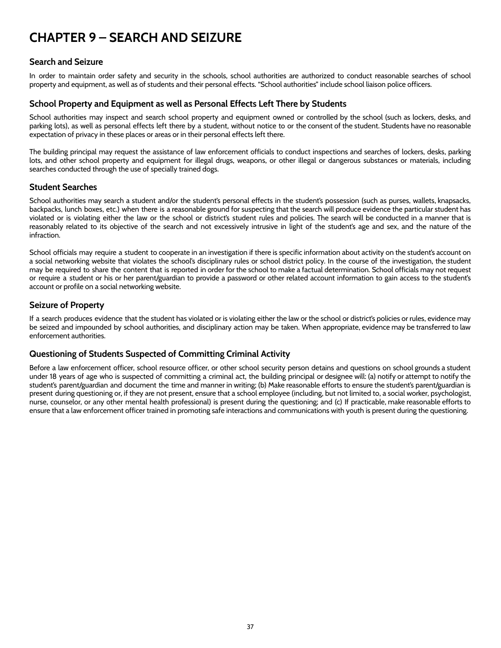## <span id="page-37-0"></span>**CHAPTER 9 – SEARCH AND SEIZURE**

## <span id="page-37-1"></span>**Search and Seizure**

In order to maintain order safety and security in the schools, school authorities are authorized to conduct reasonable searches of school property and equipment, as well as of students and their personal effects. "School authorities" include school liaison police officers.

## <span id="page-37-2"></span>**School Property and Equipment as well as Personal Effects Left There by Students**

School authorities may inspect and search school property and equipment owned or controlled by the school (such as lockers, desks, and parking lots), as well as personal effects left there by a student, without notice to or the consent of the student. Students have no reasonable expectation of privacy in these places or areas or in their personal effects left there.

The building principal may request the assistance of law enforcement officials to conduct inspections and searches of lockers, desks, parking lots, and other school property and equipment for illegal drugs, weapons, or other illegal or dangerous substances or materials, including searches conducted through the use of specially trained dogs.

## <span id="page-37-3"></span>**Student Searches**

School authorities may search a student and/or the student's personal effects in the student's possession (such as purses, wallets, knapsacks, backpacks, lunch boxes, etc.) when there is a reasonable ground for suspecting that the search will produce evidence the particular student has violated or is violating either the law or the school or district's student rules and policies. The search will be conducted in a manner that is reasonably related to its objective of the search and not excessively intrusive in light of the student's age and sex, and the nature of the infraction.

School officials may require a student to cooperate in an investigation if there is specific information about activity on the student's account on a social networking website that violates the school's disciplinary rules or school district policy. In the course of the investigation, the student may be required to share the content that is reported in order for the school to make a factual determination. School officials may not request or require a student or his or her parent/guardian to provide a password or other related account information to gain access to the student's account or profile on a social networking website.

## <span id="page-37-4"></span>**Seizure of Property**

If a search produces evidence that the student has violated or is violating either the law or the school or district's policies or rules, evidence may be seized and impounded by school authorities, and disciplinary action may be taken. When appropriate, evidence may be transferred to law enforcement authorities.

## <span id="page-37-5"></span>**Questioning of Students Suspected of Committing Criminal Activity**

Before a law enforcement officer, school resource officer, or other school security person detains and questions on school grounds a student under 18 years of age who is suspected of committing a criminal act, the building principal or designee will: (a) notify or attempt to notify the student's parent/guardian and document the time and manner in writing; (b) Make reasonable efforts to ensure the student's parent/guardian is present during questioning or, if they are not present, ensure that a school employee (including, but not limited to, a social worker, psychologist, nurse, counselor, or any other mental health professional) is present during the questioning; and (c) If practicable, make reasonable efforts to ensure that a law enforcement officer trained in promoting safe interactions and communications with youth is present during the questioning.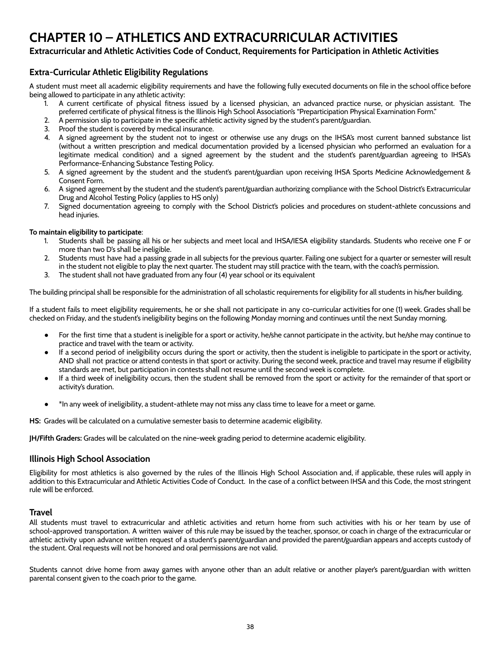## <span id="page-38-0"></span>**CHAPTER 10 – ATHLETICS AND EXTRACURRICULAR ACTIVITIES**

## **Extracurricular and Athletic Activities Code of Conduct, Requirements for Participation in Athletic Activities**

## <span id="page-38-1"></span>**Extra-Curricular Athletic Eligibility Regulations**

A student must meet all academic eligibility requirements and have the following fully executed documents on file in the school office before being allowed to participate in any athletic activity:

- 1. A current certificate of physical fitness issued by a licensed physician, an advanced practice nurse, or physician assistant. The preferred certificate of physical fitness is the Illinois High School Association's "Preparticipation Physical Examination Form."
- 2. A permission slip to participate in the specific athletic activity signed by the student's parent/guardian.
- 3. Proof the student is covered by medical insurance.
- 4. A signed agreement by the student not to ingest or otherwise use any drugs on the IHSA's most current banned substance list (without a written prescription and medical documentation provided by a licensed physician who performed an evaluation for a legitimate medical condition) and a signed agreement by the student and the student's parent/guardian agreeing to IHSA's Performance-Enhancing Substance Testing Policy.
- 5. A signed agreement by the student and the student's parent/guardian upon receiving IHSA Sports Medicine Acknowledgement & Consent Form.
- 6. A signed agreement by the student and the student's parent/guardian authorizing compliance with the School District's Extracurricular Drug and Alcohol Testing Policy (applies to HS only)
- 7. Signed documentation agreeing to comply with the School District's policies and procedures on student-athlete concussions and head injuries.

#### **To maintain eligibility to participate**:

- 1. Students shall be passing all his or her subjects and meet local and IHSA/IESA eligibility standards. Students who receive one F or more than two D's shall be ineligible.
- 2. Students must have had a passing grade in all subjects for the previous quarter. Failing one subject for a quarter or semester will result in the student not eligible to play the next quarter. The student may still practice with the team, with the coach's permission.
- 3. The student shall not have graduated from any four (4) year school or its equivalent

The building principal shall be responsible for the administration of all scholastic requirements for eligibility for all students in his/her building.

If a student fails to meet eligibility requirements, he or she shall not participate in any co-curricular activities for one (1) week. Grades shall be checked on Friday, and the student's ineligibility begins on the following Monday morning and continues until the next Sunday morning.

- For the first time that a student is ineligible for a sport or activity, he/she cannot participate in the activity, but he/she may continue to practice and travel with the team or activity.
- If a second period of ineligibility occurs during the sport or activity, then the student is ineligible to participate in the sport or activity, AND shall not practice or attend contests in that sport or activity. During the second week, practice and travel may resume if eligibility standards are met, but participation in contests shall not resume until the second week is complete.
- If a third week of ineligibility occurs, then the student shall be removed from the sport or activity for the remainder of that sport or activity's duration.
- \*In any week of ineligibility, a student-athlete may not miss any class time to leave for a meet or game.

**HS:** Grades will be calculated on a cumulative semester basis to determine academic eligibility.

**JH/Fifth Graders:** Grades will be calculated on the nine-week grading period to determine academic eligibility.

#### <span id="page-38-2"></span>**Illinois High School Association**

Eligibility for most athletics is also governed by the rules of the Illinois High School Association and, if applicable, these rules will apply in addition to this Extracurricular and Athletic Activities Code of Conduct. In the case of a conflict between IHSA and this Code, the most stringent rule will be enforced.

#### <span id="page-38-3"></span>**Travel**

All students must travel to extracurricular and athletic activities and return home from such activities with his or her team by use of school-approved transportation. A written waiver of this rule may be issued by the teacher, sponsor, or coach in charge of the extracurricular or athletic activity upon advance written request of a student's parent/guardian and provided the parent/guardian appears and accepts custody of the student. Oral requests will not be honored and oral permissions are not valid.

Students cannot drive home from away games with anyone other than an adult relative or another player's parent/guardian with written parental consent given to the coach prior to the game.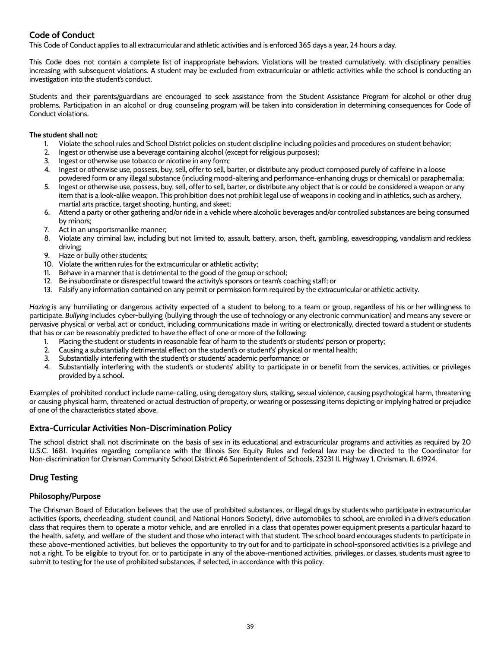## <span id="page-39-0"></span>**Code of Conduct**

This Code of Conduct applies to all extracurricular and athletic activities and is enforced 365 days a year, 24 hours a day.

This Code does not contain a complete list of inappropriate behaviors. Violations will be treated cumulatively, with disciplinary penalties increasing with subsequent violations. A student may be excluded from extracurricular or athletic activities while the school is conducting an investigation into the student's conduct.

Students and their parents/guardians are encouraged to seek assistance from the Student Assistance Program for alcohol or other drug problems. Participation in an alcohol or drug counseling program will be taken into consideration in determining consequences for Code of Conduct violations.

#### **The student shall not:**

- 1. Violate the school rules and School District policies on student discipline including policies and procedures on student behavior;
- 2. Ingest or otherwise use a beverage containing alcohol (except for religious purposes);
- 3. Ingest or otherwise use tobacco or nicotine in any form;
- 4. Ingest or otherwise use, possess, buy, sell, offer to sell, barter, or distribute any product composed purely of caffeine in a loose powdered form or any illegal substance (including mood-altering and performance-enhancing drugs or chemicals) or paraphernalia;
- 5. Ingest or otherwise use, possess, buy, sell, offer to sell, barter, or distribute any object that is or could be considered a weapon or any item that is a look-alike weapon. This prohibition does not prohibit legal use of weapons in cooking and in athletics, such as archery, martial arts practice, target shooting, hunting, and skeet;
- 6. Attend a party or other gathering and/or ride in a vehicle where alcoholic beverages and/or controlled substances are being consumed by minors;
- 7. Act in an unsportsmanlike manner;
- 8. Violate any criminal law, including but not limited to, assault, battery, arson, theft, gambling, eavesdropping, vandalism and reckless driving;
- 9. Haze or bully other students;
- 10. Violate the written rules for the extracurricular or athletic activity;
- 11. Behave in a manner that is detrimental to the good of the group or school;
- 12. Be insubordinate or disrespectful toward the activity's sponsors or team's coaching staff; or
- 13. Falsify any information contained on any permit or permission form required by the extracurricular or athletic activity.

*Hazing* is any humiliating or dangerous activity expected of a student to belong to a team or group, regardless of his or her willingness to participate. *Bullying* includes cyber-bullying (bullying through the use of technology or any electronic communication) and means any severe or pervasive physical or verbal act or conduct, including communications made in writing or electronically, directed toward a student or students that has or can be reasonably predicted to have the effect of one or more of the following:

- 1. Placing the student or students in reasonable fear of harm to the student's or students' person or property;
- 2. Causing a substantially detrimental effect on the student's or student's' physical or mental health;
- 3. Substantially interfering with the student's or students' academic performance; or
- 4. Substantially interfering with the student's or students' ability to participate in or benefit from the services, activities, or privileges provided by a school.

Examples of prohibited conduct include name-calling, using derogatory slurs, stalking, sexual violence, causing psychological harm, threatening or causing physical harm, threatened or actual destruction of property, or wearing or possessing items depicting or implying hatred or prejudice of one of the characteristics stated above.

## <span id="page-39-1"></span>**Extra-Curricular Activities Non-Discrimination Policy**

The school district shall not discriminate on the basis of sex in its educational and extracurricular programs and activities as required by 20 U.S.C. 1681. Inquiries regarding compliance with the Illinois Sex Equity Rules and federal law may be directed to the Coordinator for Non-discrimination for Chrisman Community School District #6 Superintendent of Schools, 23231 IL Highway 1, Chrisman, IL 61924.

## <span id="page-39-2"></span>**Drug Testing**

#### **Philosophy/Purpose**

The Chrisman Board of Education believes that the use of prohibited substances, or illegal drugs by students who participate in extracurricular activities (sports, cheerleading, student council, and National Honors Society), drive automobiles to school, are enrolled in a driver's education class that requires them to operate a motor vehicle, and are enrolled in a class that operates power equipment presents a particular hazard to the health, safety, and welfare of the student and those who interact with that student. The school board encourages students to participate in these above-mentioned activities, but believes the opportunity to try out for and to participate in school-sponsored activities is a privilege and not a right. To be eligible to tryout for, or to participate in any of the above-mentioned activities, privileges, or classes, students must agree to submit to testing for the use of prohibited substances, if selected, in accordance with this policy.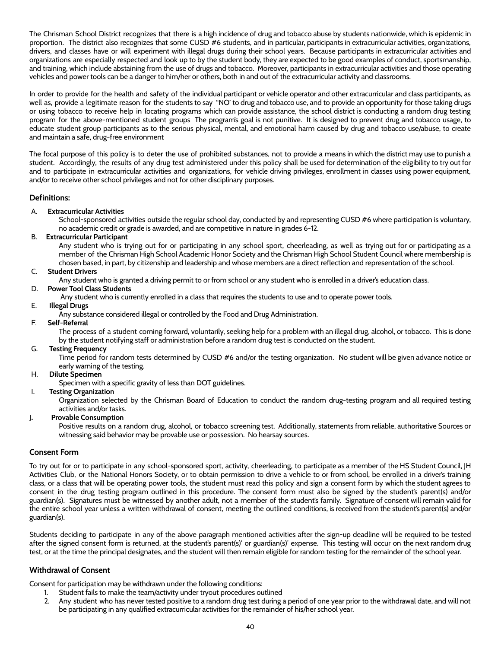The Chrisman School District recognizes that there is a high incidence of drug and tobacco abuse by students nationwide, which is epidemic in proportion. The district also recognizes that some CUSD #6 students, and in particular, participants in extracurricular activities, organizations, drivers, and classes have or will experiment with illegal drugs during their school years. Because participants in extracurricular activities and organizations are especially respected and look up to by the student body, they are expected to be good examples of conduct, sportsmanship, and training, which include abstaining from the use of drugs and tobacco. Moreover, participants in extracurricular activities and those operating vehicles and power tools can be a danger to him/her or others, both in and out of the extracurricular activity and classrooms.

In order to provide for the health and safety of the individual participant or vehicle operator and other extracurricular and class participants, as well as, provide a legitimate reason for the students to say "NO' to drug and tobacco use, and to provide an opportunity for those taking drugs or using tobacco to receive help in locating programs which can provide assistance, the school district is conducting a random drug testing program for the above-mentioned student groups The program's goal is not punitive. It is designed to prevent drug and tobacco usage, to educate student group participants as to the serious physical, mental, and emotional harm caused by drug and tobacco use/abuse, to create and maintain a safe, drug-free environment

The focal purpose of this policy is to deter the use of prohibited substances, not to provide a means in which the district may use to punish a student. Accordingly, the results of any drug test administered under this policy shall be used for determination of the eligibility to try out for and to participate in extracurricular activities and organizations, for vehicle driving privileges, enrollment in classes using power equipment, and/or to receive other school privileges and not for other disciplinary purposes.

#### **Definitions:**

#### A. **Extracurricular Activities**

School-sponsored activities outside the regular school day, conducted by and representing CUSD #6 where participation is voluntary, no academic credit or grade is awarded, and are competitive in nature in grades 6-12.

#### B. **Extracurricular Participant**

Any student who is trying out for or participating in any school sport, cheerleading, as well as trying out for or participating as a member of the Chrisman High School Academic Honor Society and the Chrisman High School Student Council where membership is chosen based, in part, by citizenship and leadership and whose members are a direct reflection and representation of the school.

#### C. **Student Drivers**

Any student who is granted a driving permit to or from school or any student who is enrolled in a driver's education class.

#### D. **Power Tool Class Students**

Any student who is currently enrolled in a class that requires the students to use and to operate power tools.

#### E. **Illegal Drugs**

Any substance considered illegal or controlled by the Food and Drug Administration.

#### F. **Self-Referral**

The process of a student coming forward, voluntarily, seeking help for a problem with an illegal drug, alcohol, or tobacco. This is done by the student notifying staff or administration before a random drug test is conducted on the student.

#### G. **Testing Frequency**

Time period for random tests determined by CUSD #6 and/or the testing organization. No student will be given advance notice or early warning of the testing.

#### H. **Dilute Specimen**

Specimen with a specific gravity of less than DOT guidelines.

#### I. **Testing Organization**

Organization selected by the Chrisman Board of Education to conduct the random drug-testing program and all required testing activities and/or tasks.

#### J**. Provable Consumption**

Positive results on a random drug, alcohol, or tobacco screening test. Additionally, statements from reliable, authoritative Sources or witnessing said behavior may be provable use or possession. No hearsay sources.

#### **Consent Form**

To try out for or to participate in any school-sponsored sport, activity, cheerleading, to participate as a member of the HS Student Council, JH Activities Club, or the National Honors Society, or to obtain permission to drive a vehicle to or from school, be enrolled in a driver's training class, or a class that will be operating power tools, the student must read this policy and sign a consent form by which the student agrees to consent in the drug testing program outlined in this procedure. The consent form must also be signed by the student's parent(s) and/or guardian(s). Signatures must be witnessed by another adult, not a member of the student's family. Signature of consent will remain valid for the entire school year unless a written withdrawal of consent, meeting the outlined conditions, is received from the student's parent(s) and/or guardian(s).

Students deciding to participate in any of the above paragraph mentioned activities after the sign-up deadline will be required to be tested after the signed consent form is returned, at the student's parent(s)' or guardian(s)' expense. This testing will occur on the next random drug test, or at the time the principal designates, and the student will then remain eligible for random testing for the remainder of the school year.

#### **Withdrawal of Consent**

Consent for participation may be withdrawn under the following conditions:

- 1. Student fails to make the team/activity under tryout procedures outlined
- 2. Any student who has never tested positive to a random drug test during a period of one year prior to the withdrawal date, and will not be participating in any qualified extracurricular activities for the remainder of his/her school year.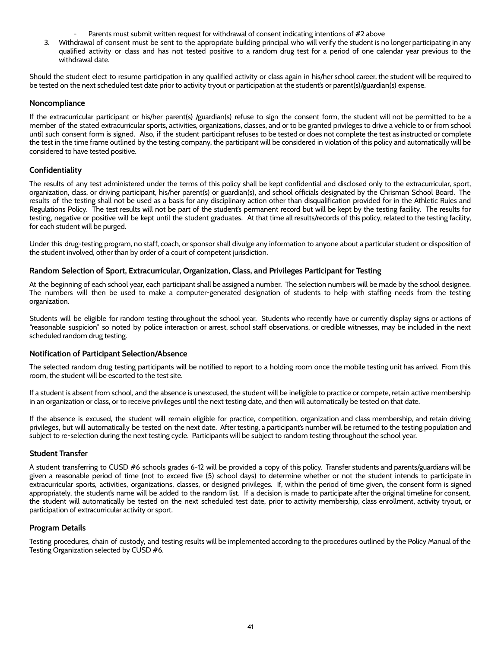- Parents must submit written request for withdrawal of consent indicating intentions of #2 above
- 3. Withdrawal of consent must be sent to the appropriate building principal who will verify the student is no longer participating in any qualified activity or class and has not tested positive to a random drug test for a period of one calendar year previous to the withdrawal date.

Should the student elect to resume participation in any qualified activity or class again in his/her school career, the student will be required to be tested on the next scheduled test date prior to activity tryout or participation at the student's or parent(s)/guardian(s) expense.

#### **Noncompliance**

If the extracurricular participant or his/her parent(s) /guardian(s) refuse to sign the consent form, the student will not be permitted to be a member of the stated extracurricular sports, activities, organizations, classes, and or to be granted privileges to drive a vehicle to or from school until such consent form is signed. Also, if the student participant refuses to be tested or does not complete the test as instructed or complete the test in the time frame outlined by the testing company, the participant will be considered in violation of this policy and automatically will be considered to have tested positive.

#### **Confidentiality**

The results of any test administered under the terms of this policy shall be kept confidential and disclosed only to the extracurricular, sport, organization, class, or driving participant, his/her parent(s) or guardian(s), and school officials designated by the Chrisman School Board. The results of the testing shall not be used as a basis for any disciplinary action other than disqualification provided for in the Athletic Rules and Regulations Policy. The test results will not be part of the student's permanent record but will be kept by the testing facility. The results for testing, negative or positive will be kept until the student graduates. At that time all results/records of this policy, related to the testing facility, for each student will be purged.

Under this drug-testing program, no staff, coach, or sponsor shall divulge any information to anyone about a particular student or disposition of the student involved, other than by order of a court of competent jurisdiction.

#### **Random Selection of Sport, Extracurricular, Organization, Class, and Privileges Participant for Testing**

At the beginning of each school year, each participant shall be assigned a number. The selection numbers will be made by the school designee. The numbers will then be used to make a computer-generated designation of students to help with staffing needs from the testing organization.

Students will be eligible for random testing throughout the school year. Students who recently have or currently display signs or actions of "reasonable suspicion" so noted by police interaction or arrest, school staff observations, or credible witnesses, may be included in the next scheduled random drug testing.

#### **Notification of Participant Selection/Absence**

The selected random drug testing participants will be notified to report to a holding room once the mobile testing unit has arrived. From this room, the student will be escorted to the test site.

If a student is absent from school, and the absence is unexcused, the student will be ineligible to practice or compete, retain active membership in an organization or class, or to receive privileges until the next testing date, and then will automatically be tested on that date.

If the absence is excused, the student will remain eligible for practice, competition, organization and class membership, and retain driving privileges, but will automatically be tested on the next date. After testing, a participant's number will be returned to the testing population and subject to re-selection during the next testing cycle. Participants will be subject to random testing throughout the school year.

#### **Student Transfer**

A student transferring to CUSD #6 schools grades 6-12 will be provided a copy of this policy. Transfer students and parents/guardians will be given a reasonable period of time (not to exceed five (5) school days) to determine whether or not the student intends to participate in extracurricular sports, activities, organizations, classes, or designed privileges. If, within the period of time given, the consent form is signed appropriately, the student's name will be added to the random list. If a decision is made to participate after the original timeline for consent, the student will automatically be tested on the next scheduled test date, prior to activity membership, class enrollment, activity tryout, or participation of extracurricular activity or sport.

#### **Program Details**

Testing procedures, chain of custody, and testing results will be implemented according to the procedures outlined by the Policy Manual of the Testing Organization selected by CUSD #6.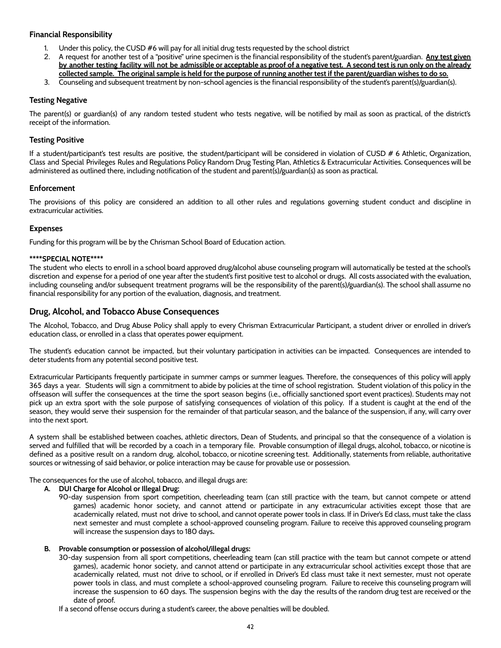#### **Financial Responsibility**

- 1. Under this policy, the CUSD #6 will pay for all initial drug tests requested by the school district
- 2. A request for another test of a "positive" urine specimen is the financial responsibility of the student's parent/guardian. **Any test given** by another testing facility will not be admissible or acceptable as proof of a negative test. A second test is run only on the already collected sample. The original sample is held for the purpose of running another test if the parent/guardian wishes to do so.
- 3. Counseling and subsequent treatment by non-school agencies is the financial responsibility of the student's parent(s)/guardian(s).

#### **Testing Negative**

The parent(s) or guardian(s) of any random tested student who tests negative, will be notified by mail as soon as practical, of the district's receipt of the information.

#### **Testing Positive**

If a student/participant's test results are positive, the student/participant will be considered in violation of CUSD # 6 Athletic, Organization, Class and Special Privileges Rules and Regulations Policy Random Drug Testing Plan, Athletics & Extracurricular Activities. Consequences will be administered as outlined there, including notification of the student and parent(s)/guardian(s) as soon as practical.

#### **Enforcement**

The provisions of this policy are considered an addition to all other rules and regulations governing student conduct and discipline in extracurricular activities.

#### **Expenses**

Funding for this program will be by the Chrisman School Board of Education action.

#### **\*\*\*\*SPECIAL NOTE\*\*\*\***

The student who elects to enroll in a school board approved drug/alcohol abuse counseling program will automatically be tested at the school's discretion and expense for a period of one year after the student's first positive test to alcohol or drugs. All costs associated with the evaluation, including counseling and/or subsequent treatment programs will be the responsibility of the parent(s)/guardian(s). The school shall assume no financial responsibility for any portion of the evaluation, diagnosis, and treatment.

#### <span id="page-42-0"></span>**Drug, Alcohol, and Tobacco Abuse Consequences**

The Alcohol, Tobacco, and Drug Abuse Policy shall apply to every Chrisman Extracurricular Participant, a student driver or enrolled in driver's education class, or enrolled in a class that operates power equipment.

The student's education cannot be impacted, but their voluntary participation in activities can be impacted. Consequences are intended to deter students from any potential second positive test.

Extracurricular Participants frequently participate in summer camps or summer leagues. Therefore, the consequences of this policy will apply 365 days a year. Students will sign a commitment to abide by policies at the time of school registration. Student violation of this policy in the offseason will suffer the consequences at the time the sport season begins (i.e., officially sanctioned sport event practices). Students may not pick up an extra sport with the sole purpose of satisfying consequences of violation of this policy. If a student is caught at the end of the season, they would serve their suspension for the remainder of that particular season, and the balance of the suspension, if any, will carry over into the next sport.

A system shall be established between coaches, athletic directors, Dean of Students, and principal so that the consequence of a violation is served and fulfilled that will be recorded by a coach in a temporary file. Provable consumption of illegal drugs, alcohol, tobacco, or nicotine is defined as a positive result on a random drug, alcohol, tobacco, or nicotine screening test. Additionally, statements from reliable, authoritative sources or witnessing of said behavior, or police interaction may be cause for provable use or possession.

The consequences for the use of alcohol, tobacco, and illegal drugs are:

#### **A. DUI Charge for Alcohol or Illegal Drug:**

90-day suspension from sport competition, cheerleading team (can still practice with the team, but cannot compete or attend games) academic honor society, and cannot attend or participate in any extracurricular activities except those that are academically related, must not drive to school, and cannot operate power tools in class. If in Driver's Ed class, must take the class next semester and must complete a school-approved counseling program. Failure to receive this approved counseling program will increase the suspension days to 180 days**.**

#### **B. Provable consumption or possession of alcohol/illegal drugs:**

30-day suspension from all sport competitions, cheerleading team (can still practice with the team but cannot compete or attend games), academic honor society, and cannot attend or participate in any extracurricular school activities except those that are academically related, must not drive to school, or if enrolled in Driver's Ed class must take it next semester, must not operate power tools in class, and must complete a school-approved counseling program. Failure to receive this counseling program will increase the suspension to 60 days. The suspension begins with the day the results of the random drug test are received or the date of proof.

If a second offense occurs during a student's career, the above penalties will be doubled.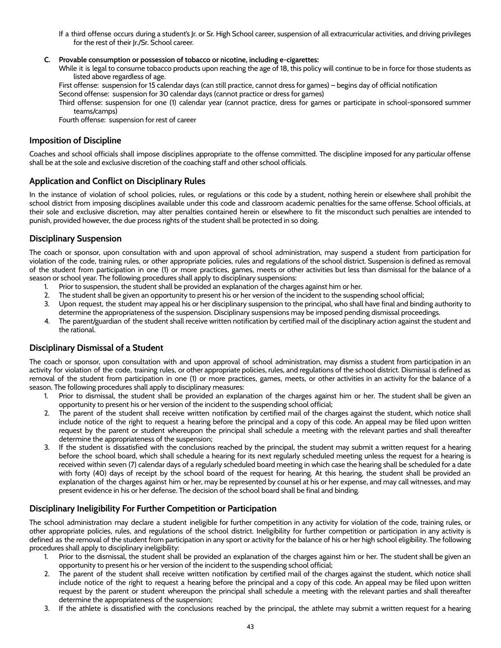- If a third offense occurs during a student's Jr. or Sr. High School career, suspension of all extracurricular activities, and driving privileges for the rest of their Jr./Sr. School career.
- **C. Provable consumption or possession of tobacco or nicotine, including e-cigarettes:**
	- While it is legal to consume tobacco products upon reaching the age of 18, this policy will continue to be in force for those students as listed above regardless of age.

First offense: suspension for 15 calendar days (can still practice, cannot dress for games) – begins day of official notification Second offense: suspension for 30 calendar days (cannot practice or dress for games)

Third offense: suspension for one (1) calendar year (cannot practice, dress for games or participate in school-sponsored summer teams/camps)

Fourth offense: suspension for rest of career

## <span id="page-43-0"></span>**Imposition of Discipline**

Coaches and school officials shall impose disciplines appropriate to the offense committed. The discipline imposed for any particular offense shall be at the sole and exclusive discretion of the coaching staff and other school officials.

## <span id="page-43-1"></span>**Application and Conflict on Disciplinary Rules**

In the instance of violation of school policies, rules, or regulations or this code by a student, nothing herein or elsewhere shall prohibit the school district from imposing disciplines available under this code and classroom academic penalties for the same offense. School officials, at their sole and exclusive discretion, may alter penalties contained herein or elsewhere to fit the misconduct such penalties are intended to punish, provided however, the due process rights of the student shall be protected in so doing.

## <span id="page-43-2"></span>**Disciplinary Suspension**

The coach or sponsor, upon consultation with and upon approval of school administration, may suspend a student from participation for violation of the code, training rules, or other appropriate policies, rules and regulations of the school district. Suspension is defined as removal of the student from participation in one (1) or more practices, games, meets or other activities but less than dismissal for the balance of a season or school year. The following procedures shall apply to disciplinary suspensions:

- 1. Prior to suspension, the student shall be provided an explanation of the charges against him or her.
- 2. The student shall be given an opportunity to present his or her version of the incident to the suspending school official;
- 3. Upon request, the student may appeal his or her disciplinary suspension to the principal, who shall have final and binding authority to determine the appropriateness of the suspension. Disciplinary suspensions may be imposed pending dismissal proceedings.
- 4. The parent/guardian of the student shall receive written notification by certified mail of the disciplinary action against the student and the rational.

## <span id="page-43-3"></span>**Disciplinary Dismissal of a Student**

The coach or sponsor, upon consultation with and upon approval of school administration, may dismiss a student from participation in an activity for violation of the code, training rules, or other appropriate policies, rules, and regulations of the school district. Dismissal is defined as removal of the student from participation in one (1) or more practices, games, meets, or other activities in an activity for the balance of a season. The following procedures shall apply to disciplinary measures:

- 1. Prior to dismissal, the student shall be provided an explanation of the charges against him or her. The student shall be given an opportunity to present his or her version of the incident to the suspending school official;
- 2. The parent of the student shall receive written notification by certified mail of the charges against the student, which notice shall include notice of the right to request a hearing before the principal and a copy of this code. An appeal may be filed upon written request by the parent or student whereupon the principal shall schedule a meeting with the relevant parties and shall thereafter determine the appropriateness of the suspension;
- 3. If the student is dissatisfied with the conclusions reached by the principal, the student may submit a written request for a hearing before the school board, which shall schedule a hearing for its next regularly scheduled meeting unless the request for a hearing is received within seven (7) calendar days of a regularly scheduled board meeting in which case the hearing shall be scheduled for a date with forty (40) days of receipt by the school board of the request for hearing. At this hearing, the student shall be provided an explanation of the charges against him or her, may be represented by counsel at his or her expense, and may call witnesses, and may present evidence in his or her defense. The decision of the school board shall be final and binding.

## <span id="page-43-4"></span>**Disciplinary Ineligibility For Further Competition or Participation**

The school administration may declare a student ineligible for further competition in any activity for violation of the code, training rules, or other appropriate policies, rules, and regulations of the school district. Ineligibility for further competition or participation in any activity is defined as the removal of the student from participation in any sport or activity for the balance of his or her high school eligibility. The following procedures shall apply to disciplinary ineligibility:

- 1. Prior to the dismissal, the student shall be provided an explanation of the charges against him or her. The student shall be given an opportunity to present his or her version of the incident to the suspending school official;
- 2. The parent of the student shall receive written notification by certified mail of the charges against the student, which notice shall include notice of the right to request a hearing before the principal and a copy of this code. An appeal may be filed upon written request by the parent or student whereupon the principal shall schedule a meeting with the relevant parties and shall thereafter determine the appropriateness of the suspension;
- 3. If the athlete is dissatisfied with the conclusions reached by the principal, the athlete may submit a written request for a hearing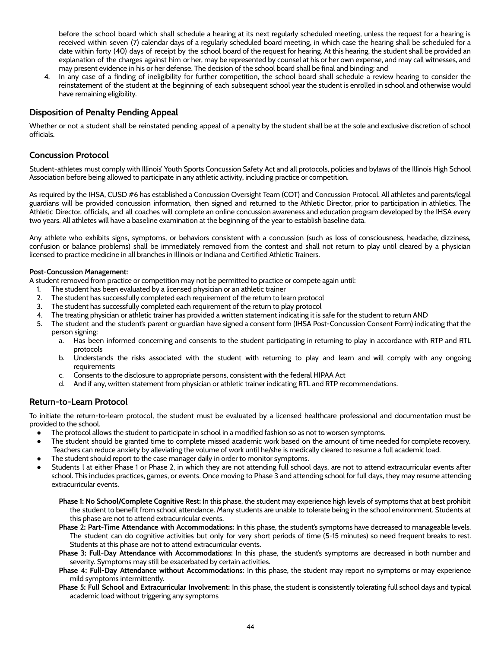before the school board which shall schedule a hearing at its next regularly scheduled meeting, unless the request for a hearing is received within seven (7) calendar days of a regularly scheduled board meeting, in which case the hearing shall be scheduled for a date within forty (40) days of receipt by the school board of the request for hearing. At this hearing, the student shall be provided an explanation of the charges against him or her, may be represented by counsel at his or her own expense, and may call witnesses, and may present evidence in his or her defense. The decision of the school board shall be final and binding; and

4. In any case of a finding of ineligibility for further competition, the school board shall schedule a review hearing to consider the reinstatement of the student at the beginning of each subsequent school year the student is enrolled in school and otherwise would have remaining eligibility.

## <span id="page-44-0"></span>**Disposition of Penalty Pending Appeal**

Whether or not a student shall be reinstated pending appeal of a penalty by the student shall be at the sole and exclusive discretion of school officials.

## <span id="page-44-1"></span>**Concussion Protocol**

Student-athletes must comply with Illinois' Youth Sports Concussion Safety Act and all protocols, policies and bylaws of the Illinois High School Association before being allowed to participate in any athletic activity, including practice or competition.

As required by the IHSA, CUSD #6 has established a Concussion Oversight Team (COT) and Concussion Protocol. All athletes and parents/legal guardians will be provided concussion information, then signed and returned to the Athletic Director, prior to participation in athletics. The Athletic Director, officials, and all coaches will complete an online concussion awareness and education program developed by the IHSA every two years. All athletes will have a baseline examination at the beginning of the year to establish baseline data.

Any athlete who exhibits signs, symptoms, or behaviors consistent with a concussion (such as loss of consciousness, headache, dizziness, confusion or balance problems) shall be immediately removed from the contest and shall not return to play until cleared by a physician licensed to practice medicine in all branches in Illinois or Indiana and Certified Athletic Trainers.

#### **Post-Concussion Management:**

A student removed from practice or competition may not be permitted to practice or compete again until:

- 1. The student has been evaluated by a licensed physician or an athletic trainer
- 2. The student has successfully completed each requirement of the return to learn protocol
- 3. The student has successfully completed each requirement of the return to play protocol
- 4. The treating physician or athletic trainer has provided a written statement indicating it is safe for the student to return AND
- 5. The student and the student's parent or guardian have signed a consent form (IHSA Post-Concussion Consent Form) indicating that the person signing:
	- a. Has been informed concerning and consents to the student participating in returning to play in accordance with RTP and RTL protocols
	- b. Understands the risks associated with the student with returning to play and learn and will comply with any ongoing requirements
	- c. Consents to the disclosure to appropriate persons, consistent with the federal HIPAA Act
	- d. And if any, written statement from physician or athletic trainer indicating RTL and RTP recommendations.

## <span id="page-44-2"></span>**Return-to-Learn Protocol**

To initiate the return-to-learn protocol, the student must be evaluated by a licensed healthcare professional and documentation must be provided to the school.

- The protocol allows the student to participate in school in a modified fashion so as not to worsen symptoms.
- The student should be granted time to complete missed academic work based on the amount of time needed for complete recovery. Teachers can reduce anxiety by alleviating the volume of work until he/she is medically cleared to resume a full academic load.
- The student should report to the case manager daily in order to monitor symptoms.
- Students l at either Phase 1 or Phase 2, in which they are not attending full school days, are not to attend extracurricular events after school. This includes practices, games, or events. Once moving to Phase 3 and attending school for full days, they may resume attending extracurricular events.
	- **Phase 1: No School/Complete Cognitive Rest:** In this phase, the student may experience high levels of symptoms that at best prohibit the student to benefit from school attendance. Many students are unable to tolerate being in the school environment. Students at this phase are not to attend extracurricular events.
	- **Phase 2: Part-Time Attendance with Accommodations:** In this phase, the student's symptoms have decreased to manageable levels. The student can do cognitive activities but only for very short periods of time (5-15 minutes) so need frequent breaks to rest. Students at this phase are not to attend extracurricular events.
	- **Phase 3: Full-Day Attendance with Accommodations:** In this phase, the student's symptoms are decreased in both number and severity. Symptoms may still be exacerbated by certain activities.
	- **Phase 4: Full-Day Attendance without Accommodations:** In this phase, the student may report no symptoms or may experience mild symptoms intermittently.
	- **Phase 5: Full School and Extracurricular Involvement:** In this phase, the student is consistently tolerating full school days and typical academic load without triggering any symptoms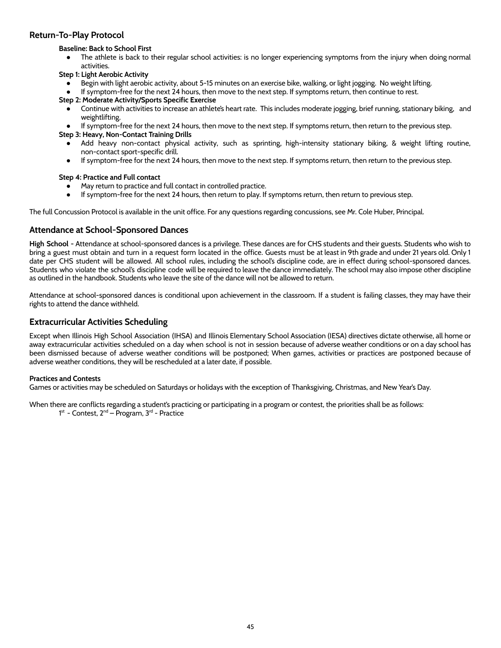#### <span id="page-45-0"></span>**Return-To-Play Protocol**

#### **Baseline: Back to School First**

● The athlete is back to their regular school activities: is no longer experiencing symptoms from the injury when doing normal activities.

#### **Step 1: Light Aerobic Activity**

- Begin with light aerobic activity, about 5-15 minutes on an exercise bike, walking, or light jogging. No weight lifting.
- If symptom-free for the next 24 hours, then move to the next step. If symptoms return, then continue to rest.

#### **Step 2: Moderate Activity/Sports Specific Exercise**

- Continue with activities to increase an athlete's heart rate. This includes moderate jogging, brief running, stationary biking, and weightlifting.
- If symptom-free for the next 24 hours, then move to the next step. If symptoms return, then return to the previous step.

**Step 3: Heavy, Non-Contact Training Drills**

- Add heavy non-contact physical activity, such as sprinting, high-intensity stationary biking, & weight lifting routine, non-contact sport-specific drill.
- If symptom-free for the next 24 hours, then move to the next step. If symptoms return, then return to the previous step.

#### **Step 4: Practice and Full contact**

- May return to practice and full contact in controlled practice.
- If symptom-free for the next 24 hours, then return to play. If symptoms return, then return to previous step.

The full Concussion Protocol is available in the unit office. For any questions regarding concussions, see Mr. Cole Huber, Principal.

#### <span id="page-45-1"></span>**Attendance at School-Sponsored Dances**

**High School -** Attendance at school-sponsored dances is a privilege. These dances are for CHS students and their guests. Students who wish to bring a guest must obtain and turn in a request form located in the office. Guests must be at least in 9th grade and under 21 years old. Only 1 date per CHS student will be allowed. All school rules, including the school's discipline code, are in effect during school-sponsored dances. Students who violate the school's discipline code will be required to leave the dance immediately. The school may also impose other discipline as outlined in the handbook. Students who leave the site of the dance will not be allowed to return.

Attendance at school-sponsored dances is conditional upon achievement in the classroom. If a student is failing classes, they may have their rights to attend the dance withheld.

#### <span id="page-45-2"></span>**Extracurricular Activities Scheduling**

Except when Illinois High School Association (IHSA) and Illinois Elementary School Association (IESA) directives dictate otherwise, all home or away extracurricular activities scheduled on a day when school is not in session because of adverse weather conditions or on a day school has been dismissed because of adverse weather conditions will be postponed; When games, activities or practices are postponed because of adverse weather conditions, they will be rescheduled at a later date, if possible.

#### **Practices and Contests**

Games or activities may be scheduled on Saturdays or holidays with the exception of Thanksgiving, Christmas, and New Year's Day.

When there are conflicts regarding a student's practicing or participating in a program or contest, the priorities shall be as follows: 1<sup>st</sup> - Contest, 2<sup>nd</sup> – Program, 3<sup>rd</sup> - Practice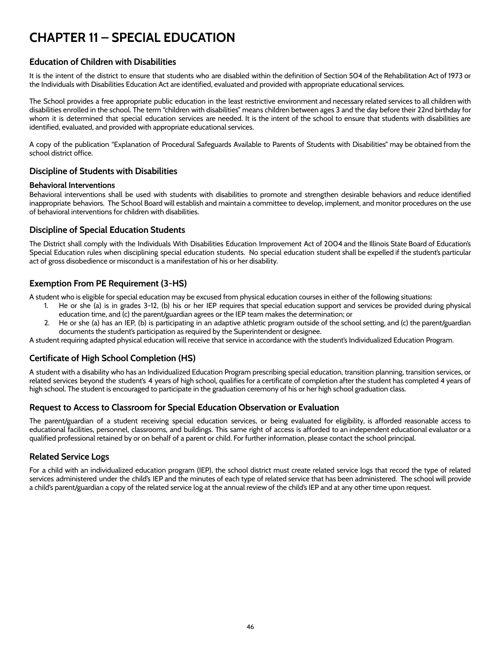## <span id="page-46-0"></span>**CHAPTER 11 – SPECIAL EDUCATION**

## <span id="page-46-1"></span>**Education of Children with Disabilities**

It is the intent of the district to ensure that students who are disabled within the definition of Section 504 of the Rehabilitation Act of 1973 or the Individuals with Disabilities Education Act are identified, evaluated and provided with appropriate educational services.

The School provides a free appropriate public education in the least restrictive environment and necessary related services to all children with disabilities enrolled in the school. The term "children with disabilities" means children between ages 3 and the day before their 22nd birthday for whom it is determined that special education services are needed. It is the intent of the school to ensure that students with disabilities are identified, evaluated, and provided with appropriate educational services.

A copy of the publication "Explanation of Procedural Safeguards Available to Parents of Students with Disabilities" may be obtained from the school district office.

## <span id="page-46-2"></span>**Discipline of Students with Disabilities**

#### **Behavioral Interventions**

Behavioral interventions shall be used with students with disabilities to promote and strengthen desirable behaviors and reduce identified inappropriate behaviors. The School Board will establish and maintain a committee to develop, implement, and monitor procedures on the use of behavioral interventions for children with disabilities.

#### **Discipline of Special Education Students**

The District shall comply with the Individuals With Disabilities Education Improvement Act of 2004 and the Illinois State Board of Education's Special Education rules when disciplining special education students. No special education student shall be expelled if the student's particular act of gross disobedience or misconduct is a manifestation of his or her disability.

## <span id="page-46-3"></span>**Exemption From PE Requirement (3-HS)**

A student who is eligible for special education may be excused from physical education courses in either of the following situations:

- 1. He or she (a) is in grades 3-12, (b) his or her IEP requires that special education support and services be provided during physical education time, and (c) the parent/guardian agrees or the IEP team makes the determination; or
- 2. He or she (a) has an IEP, (b) is participating in an adaptive athletic program outside of the school setting, and (c) the parent/guardian documents the student's participation as required by the Superintendent or designee.

A student requiring adapted physical education will receive that service in accordance with the student's Individualized Education Program.

## <span id="page-46-4"></span>**Certificate of High School Completion (HS)**

A student with a disability who has an Individualized Education Program prescribing special education, transition planning, transition services, or related services beyond the student's 4 years of high school, qualifies for a certificate of completion after the student has completed 4 years of high school. The student is encouraged to participate in the graduation ceremony of his or her high school graduation class.

## <span id="page-46-5"></span>**Request to Access to Classroom for Special Education Observation or Evaluation**

The parent/guardian of a student receiving special education services, or being evaluated for eligibility, is afforded reasonable access to educational facilities, personnel, classrooms, and buildings. This same right of access is afforded to an independent educational evaluator or a qualified professional retained by or on behalf of a parent or child. For further information, please contact the school principal.

## <span id="page-46-6"></span>**Related Service Logs**

For a child with an individualized education program (IEP), the school district must create related service logs that record the type of related services administered under the child's IEP and the minutes of each type of related service that has been administered. The school will provide a child's parent/guardian a copy of the related service log at the annual review of the child's IEP and at any other time upon request.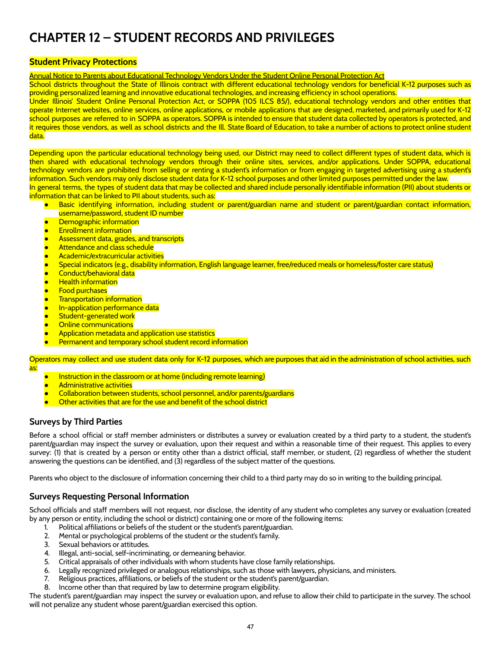## <span id="page-47-0"></span>**CHAPTER 12 – STUDENT RECORDS AND PRIVILEGES**

#### <span id="page-47-1"></span>**Student Privacy Protections**

Annual Notice to Parents about Educational Technology Vendors Under the Student Online Personal Protection Act

School districts throughout the State of Illinois contract with different educational technology vendors for beneficial K-12 purposes such as providing personalized learning and innovative educational technologies, and increasing efficiency in school operations.

Under Illinois' Student Online Personal Protection Act, or SOPPA (105 ILCS 85/), educational technology vendors and other entities that operate Internet websites, online services, online applications, or mobile applications that are designed, marketed, and primarily used for K-12 school purposes are referred to in SOPPA as operators. SOPPA is intended to ensure that student data collected by operators is protected, and it requires those vendors, as well as school districts and the Ill. State Board of Education, to take a number of actions to protect online student data.

Depending upon the particular educational technology being used, our District may need to collect different types of student data, which is then shared with educational technology vendors through their online sites, services, and/or applications. Under SOPPA, educational technology vendors are prohibited from selling or renting a student's information or from engaging in targeted advertising using a student's information. Such vendors may only disclose student data for K-12 school purposes and other limited purposes permitted under the law. In general terms, the types of student data that may be collected and shared include personally identifiable information (PII) about students or

information that can be linked to PII about students, such as:

- Basic identifying information, including student or parent/guardian name and student or parent/guardian contact information, username/password, student ID number
- **Demographic information**
- **Enrollment information**
- Assessment data, grades, and transcripts
- **Attendance and class schedule**
- **Academic/extracurricular activities**
- Special indicators (e.g., disability information, English language learner, free/reduced meals or homeless/foster care status)
- Conduct/behavioral data
- **Health information**
- **Food purchases**
- **Transportation information**
- In-application performance data
- **Student-generated work**
- Online communications
- Application metadata and application use statistics
- Permanent and temporary school student record information

Operators may collect and use student data only for K-12 purposes, which are purposes that aid in the administration of school activities, such as:

- Instruction in the classroom or at home (including remote learning)
- **Administrative activities**
- Collaboration between students, school personnel, and/or parents/guardians
- Other activities that are for the use and benefit of the school district

## <span id="page-47-2"></span>**Surveys by Third Parties**

Before a school official or staff member administers or distributes a survey or evaluation created by a third party to a student, the student's parent/guardian may inspect the survey or evaluation, upon their request and within a reasonable time of their request. This applies to every survey: (1) that is created by a person or entity other than a district official, staff member, or student, (2) regardless of whether the student answering the questions can be identified, and (3) regardless of the subject matter of the questions.

Parents who object to the disclosure of information concerning their child to a third party may do so in writing to the building principal.

#### <span id="page-47-3"></span>**Surveys Requesting Personal Information**

School officials and staff members will not request, nor disclose, the identity of any student who completes any survey or evaluation (created by any person or entity, including the school or district) containing one or more of the following items:

- 1. Political affiliations or beliefs of the student or the student's parent/guardian.
- 2. Mental or psychological problems of the student or the student's family.
- 3. Sexual behaviors or attitudes.
- 4. Illegal, anti-social, self-incriminating, or demeaning behavior.
- 5. Critical appraisals of other individuals with whom students have close family relationships.
- 6. Legally recognized privileged or analogous relationships, such as those with lawyers, physicians, and ministers.
- 7. Religious practices, affiliations, or beliefs of the student or the student's parent/guardian.
- 8. Income other than that required by law to determine program eligibility.

The student's parent/guardian may inspect the survey or evaluation upon, and refuse to allow their child to participate in the survey. The school will not penalize any student whose parent/guardian exercised this option.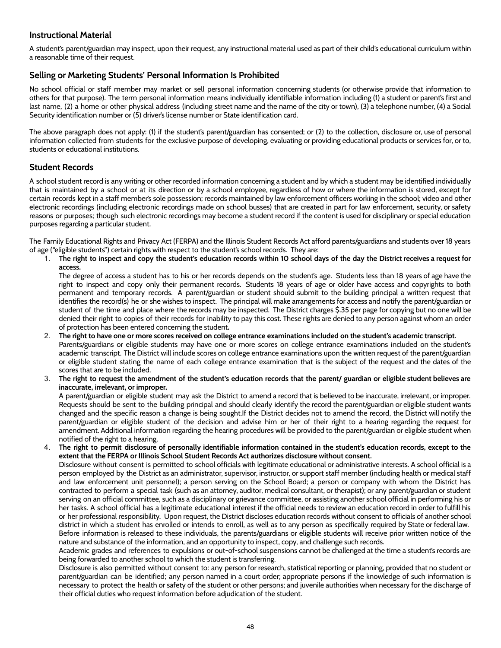## <span id="page-48-0"></span>**Instructional Material**

A student's parent/guardian may inspect, upon their request, any instructional material used as part of their child's educational curriculum within a reasonable time of their request.

#### **Selling or Marketing Students' Personal Information Is Prohibited**

No school official or staff member may market or sell personal information concerning students (or otherwise provide that information to others for that purpose). The term personal information means individually identifiable information including (1) a student or parent's first and last name, (2) a home or other physical address (including street name and the name of the city or town), (3) a telephone number, (4) a Social Security identification number or (5) driver's license number or State identification card.

The above paragraph does not apply: (1) if the student's parent/guardian has consented; or (2) to the collection, disclosure or, use of personal information collected from students for the exclusive purpose of developing, evaluating or providing educational products or services for, or to, students or educational institutions.

#### <span id="page-48-1"></span>**Student Records**

A school student record is any writing or other recorded information concerning a student and by which a student may be identified individually that is maintained by a school or at its direction or by a school employee, regardless of how or where the information is stored, except for certain records kept in a staff member's sole possession; records maintained by law enforcement officers working in the school; video and other electronic recordings (including electronic recordings made on school busses) that are created in part for law enforcement, security, or safety reasons or purposes; though such electronic recordings may become a student record if the content is used for disciplinary or special education purposes regarding a particular student.

The Family Educational Rights and Privacy Act (FERPA) and the Illinois Student Records Act afford parents/guardians and students over 18 years of age ("eligible students") certain rights with respect to the student's school records. They are:

1. The right to inspect and copy the student's education records within 10 school days of the day the District receives a request for **access.**

The degree of access a student has to his or her records depends on the student's age. Students less than 18 years of age have the right to inspect and copy only their permanent records. Students 18 years of age or older have access and copyrights to both permanent and temporary records. A parent/guardian or student should submit to the building principal a written request that identifies the record(s) he or she wishes to inspect. The principal will make arrangements for access and notify the parent/guardian or student of the time and place where the records may be inspected. The District charges \$.35 per page for copying but no one will be denied their right to copies of their records for inability to pay this cost. These rights are denied to any person against whom an order of protection has been entered concerning the student**.**

- 2. The right to have one or more scores received on college entrance examinations included on the student's academic transcript. Parents/guardians or eligible students may have one or more scores on college entrance examinations included on the student's academic transcript. The District will include scores on college entrance examinations upon the written request of the parent/guardian or eligible student stating the name of each college entrance examination that is the subject of the request and the dates of the scores that are to be included.
- 3. The right to request the amendment of the student's education records that the parent/ guardian or eligible student believes are **inaccurate, irrelevant, or improper.**

A parent/guardian or eligible student may ask the District to amend a record that is believed to be inaccurate, irrelevant, or improper. Requests should be sent to the building principal and should clearly identify the record the parent/guardian or eligible student wants changed and the specific reason a change is being sought.If the District decides not to amend the record, the District will notify the parent/guardian or eligible student of the decision and advise him or her of their right to a hearing regarding the request for amendment. Additional information regarding the hearing procedures will be provided to the parent/guardian or eligible student when notified of the right to a hearing.

The right to permit disclosure of personally identifiable information contained in the student's education records, except to the **extent that the FERPA or Illinois School Student Records Act authorizes disclosure without consent.**

Disclosure without consent is permitted to school officials with legitimate educational or administrative interests. A school official is a person employed by the District as an administrator, supervisor, instructor, or support staff member (including health or medical staff and law enforcement unit personnel); a person serving on the School Board; a person or company with whom the District has contracted to perform a special task (such as an attorney, auditor, medical consultant, or therapist); or any parent/guardian or student serving on an official committee, such as a disciplinary or grievance committee, or assisting another school official in performing his or her tasks. A school official has a legitimate educational interest if the official needs to review an education record in order to fulfill his or her professional responsibility. Upon request, the District discloses education records without consent to officials of another school district in which a student has enrolled or intends to enroll, as well as to any person as specifically required by State or federal law. Before information is released to these individuals, the parents/guardians or eligible students will receive prior written notice of the nature and substance of the information, and an opportunity to inspect, copy, and challenge such records.

Academic grades and references to expulsions or out-of-school suspensions cannot be challenged at the time a student's records are being forwarded to another school to which the student is transferring.

Disclosure is also permitted without consent to: any person for research, statistical reporting or planning, provided that no student or parent/guardian can be identified; any person named in a court order; appropriate persons if the knowledge of such information is necessary to protect the health or safety of the student or other persons; and juvenile authorities when necessary for the discharge of their official duties who request information before adjudication of the student.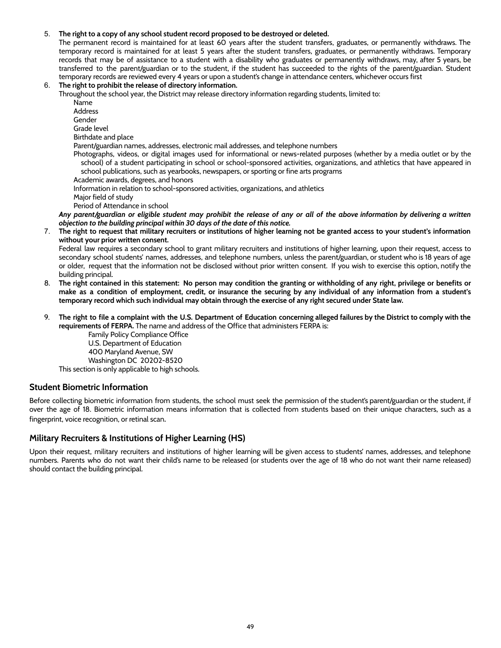#### 5. **The right to a copy of any school student record proposed to be destroyed or deleted.**

The permanent record is maintained for at least 60 years after the student transfers, graduates, or permanently withdraws. The temporary record is maintained for at least 5 years after the student transfers, graduates, or permanently withdraws. Temporary records that may be of assistance to a student with a disability who graduates or permanently withdraws, may, after 5 years, be transferred to the parent/guardian or to the student, if the student has succeeded to the rights of the parent/guardian. Student temporary records are reviewed every 4 years or upon a student's change in attendance centers, whichever occurs first

#### 6. **The right to prohibit the release of directory information.**

Throughout the school year, the District may release directory information regarding students, limited to:

Name

Address

Gender

Grade level

Birthdate and place

Parent/guardian names, addresses, electronic mail addresses, and telephone numbers

Photographs, videos, or digital images used for informational or news-related purposes (whether by a media outlet or by the school) of a student participating in school or school-sponsored activities, organizations, and athletics that have appeared in school publications, such as yearbooks, newspapers, or sporting or fine arts programs Academic awards, degrees, and honors

Information in relation to school-sponsored activities, organizations, and athletics

Major field of study

Period of Attendance in school

Any parent/guardian or eligible student may prohibit the release of any or all of the above information by delivering a written *objection to the building principal within 30 days of the date of this notice.*

7. The right to request that military recruiters or institutions of higher learning not be granted access to your student's information **without your prior written consent.**

Federal law requires a secondary school to grant military recruiters and institutions of higher learning, upon their request, access to secondary school students' names, addresses, and telephone numbers, unless the parent/guardian, or student who is 18 years of age or older, request that the information not be disclosed without prior written consent. If you wish to exercise this option, notify the building principal.

- 8. The right contained in this statement: No person may condition the granting or withholding of any right, privilege or benefits or make as a condition of employment, credit, or insurance the securing by any individual of any information from a student's temporary record which such individual may obtain through the exercise of any right secured under State law.
- 9. The right to file a complaint with the U.S. Department of Education concerning alleged failures by the District to comply with the **requirements of FERPA.** The name and address of the Office that administers FERPA is:

Family Policy Compliance Office U.S. Department of Education 400 Maryland Avenue, SW Washington DC 20202-8520 This section is only applicable to high schools.

## <span id="page-49-0"></span>**Student Biometric Information**

Before collecting biometric information from students, the school must seek the permission of the student's parent/guardian or the student, if over the age of 18. Biometric information means information that is collected from students based on their unique characters, such as a fingerprint, voice recognition, or retinal scan.

## <span id="page-49-1"></span>**Military Recruiters & Institutions of Higher Learning (HS)**

Upon their request, military recruiters and institutions of higher learning will be given access to students' names, addresses, and telephone numbers. Parents who do not want their child's name to be released (or students over the age of 18 who do not want their name released) should contact the building principal.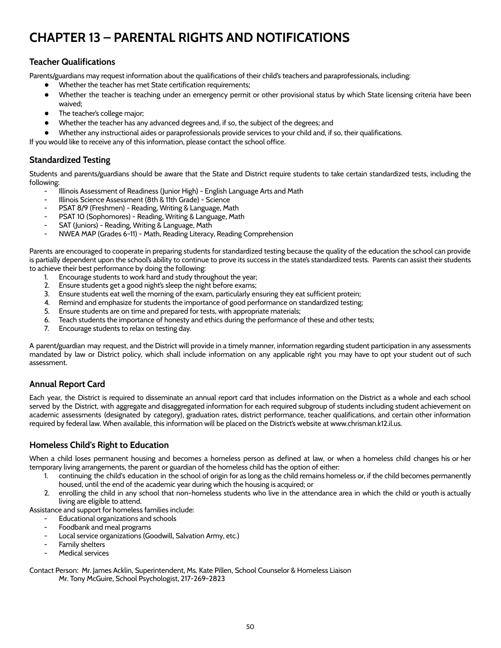## <span id="page-50-0"></span>**CHAPTER 13 – PARENTAL RIGHTS AND NOTIFICATIONS**

## <span id="page-50-1"></span>**Teacher Qualifications**

Parents/guardians may request information about the qualifications of their child's teachers and paraprofessionals, including:

- Whether the teacher has met State certification requirements;
- Whether the teacher is teaching under an emergency permit or other provisional status by which State licensing criteria have been waived;
- The teacher's college major;
- Whether the teacher has any advanced degrees and, if so, the subject of the degrees; and
- Whether any instructional aides or paraprofessionals provide services to your child and, if so, their qualifications.

If you would like to receive any of this information, please contact the school office.

## <span id="page-50-2"></span>**Standardized Testing**

Students and parents/guardians should be aware that the State and District require students to take certain standardized tests, including the following:

- Illinois Assessment of Readiness (Junior High) English Language Arts and Math
- Illinois Science Assessment (8th & 11th Grade) Science
- PSAT 8/9 (Freshmen) Reading, Writing & Language, Math
- PSAT 10 (Sophomores) Reading, Writing & Language, Math
- SAT (Juniors) Reading, Writing & Language, Math
- NWEA MAP (Grades 6-11) Math, Reading Literacy, Reading Comprehension

Parents are encouraged to cooperate in preparing students for standardized testing because the quality of the education the school can provide is partially dependent upon the school's ability to continue to prove its success in the state's standardized tests. Parents can assist their students to achieve their best performance by doing the following:

- 1. Encourage students to work hard and study throughout the year;
- 2. Ensure students get a good night's sleep the night before exams;
- 3. Ensure students eat well the morning of the exam, particularly ensuring they eat sufficient protein;
- 4. Remind and emphasize for students the importance of good performance on standardized testing;
- 5. Ensure students are on time and prepared for tests, with appropriate materials;
- 6. Teach students the importance of honesty and ethics during the performance of these and other tests;
- 7. Encourage students to relax on testing day.

A parent/guardian may request, and the District will provide in a timely manner, information regarding student participation in any assessments mandated by law or District policy, which shall include information on any applicable right you may have to opt your student out of such assessment.

## <span id="page-50-3"></span>**Annual Report Card**

Each year, the District is required to disseminate an annual report card that includes information on the District as a whole and each school served by the District, with aggregate and disaggregated information for each required subgroup of students including student achievement on academic assessments (designated by category), graduation rates, district performance, teacher qualifications, and certain other information required by federal law. When available, this information will be placed on the District's website at www.chrisman.k12.il.us.

## <span id="page-50-4"></span>**Homeless Child's Right to Education**

When a child loses permanent housing and becomes a homeless person as defined at law, or when a homeless child changes his or her temporary living arrangements, the parent or guardian of the homeless child has the option of either:

- 1. continuing the child's education in the school of origin for as long as the child remains homeless or, if the child becomes permanently housed, until the end of the academic year during which the housing is acquired; or
- 2. enrolling the child in any school that non-homeless students who live in the attendance area in which the child or youth is actually living are eligible to attend.

Assistance and support for homeless families include:

- Educational organizations and schools
- Foodbank and meal programs
- Local service organizations (Goodwill, Salvation Army, etc.)
- Family shelters
- Medical services

Contact Person: Mr. James Acklin, Superintendent, Ms. Kate Pillen, School Counselor & Homeless Liaison Mr. Tony McGuire, School Psychologist, 217-269-2823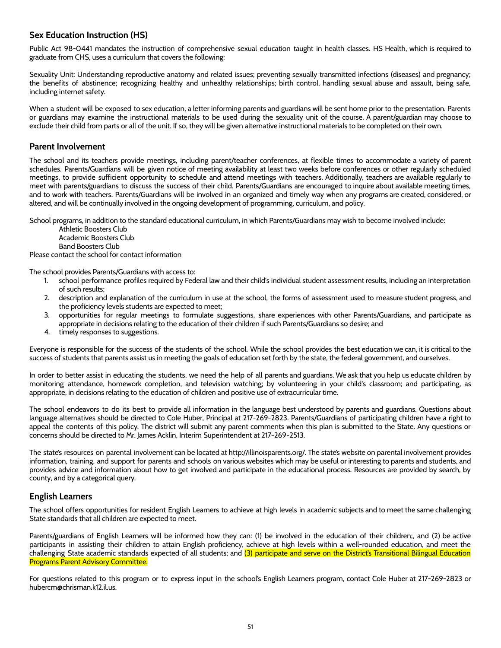## <span id="page-51-0"></span>**Sex Education Instruction (HS)**

Public Act 98-0441 mandates the instruction of comprehensive sexual education taught in health classes. HS Health, which is required to graduate from CHS, uses a curriculum that covers the following:

Sexuality Unit: Understanding reproductive anatomy and related issues; preventing sexually transmitted infections (diseases) and pregnancy; the benefits of abstinence; recognizing healthy and unhealthy relationships; birth control, handling sexual abuse and assault, being safe, including internet safety.

When a student will be exposed to sex education, a letter informing parents and guardians will be sent home prior to the presentation. Parents or guardians may examine the instructional materials to be used during the sexuality unit of the course. A parent/guardian may choose to exclude their child from parts or all of the unit. If so, they will be given alternative instructional materials to be completed on their own.

#### <span id="page-51-1"></span>**Parent Involvement**

The school and its teachers provide meetings, including parent/teacher conferences, at flexible times to accommodate a variety of parent schedules. Parents/Guardians will be given notice of meeting availability at least two weeks before conferences or other regularly scheduled meetings, to provide sufficient opportunity to schedule and attend meetings with teachers. Additionally, teachers are available regularly to meet with parents/guardians to discuss the success of their child. Parents/Guardians are encouraged to inquire about available meeting times, and to work with teachers. Parents/Guardians will be involved in an organized and timely way when any programs are created, considered, or altered, and will be continually involved in the ongoing development of programming, curriculum, and policy.

School programs, in addition to the standard educational curriculum, in which Parents/Guardians may wish to become involved include:

Athletic Boosters Club Academic Boosters Club Band Boosters Club

Please contact the school for contact information

The school provides Parents/Guardians with access to:

- 1. school performance profiles required by Federal law and their child's individual student assessment results, including an interpretation of such results;
- 2. description and explanation of the curriculum in use at the school, the forms of assessment used to measure student progress, and the proficiency levels students are expected to meet;
- 3. opportunities for regular meetings to formulate suggestions, share experiences with other Parents/Guardians, and participate as appropriate in decisions relating to the education of their children if such Parents/Guardians so desire; and
- 4. timely responses to suggestions.

Everyone is responsible for the success of the students of the school. While the school provides the best education we can, it is critical to the success of students that parents assist us in meeting the goals of education set forth by the state, the federal government, and ourselves.

In order to better assist in educating the students, we need the help of all parents and guardians. We ask that you help us educate children by monitoring attendance, homework completion, and television watching; by volunteering in your child's classroom; and participating, as appropriate, in decisions relating to the education of children and positive use of extracurricular time.

The school endeavors to do its best to provide all information in the language best understood by parents and guardians. Questions about language alternatives should be directed to Cole Huber, Principal at 217-269-2823. Parents/Guardians of participating children have a right to appeal the contents of this policy. The district will submit any parent comments when this plan is submitted to the State. Any questions or concerns should be directed to Mr. James Acklin, Interim Superintendent at 217-269-2513.

The state's resources on parental involvement can be located at http://illinoisparents.org/. The state's website on parental involvement provides information, training, and support for parents and schools on various websites which may be useful or interesting to parents and students, and provides advice and information about how to get involved and participate in the educational process. Resources are provided by search, by county, and by a categorical query.

#### <span id="page-51-2"></span>**English Learners**

The school offers opportunities for resident English Learners to achieve at high levels in academic subjects and to meet the same challenging State standards that all children are expected to meet.

Parents/guardians of English Learners will be informed how they can: (1) be involved in the education of their children;, and (2) be active participants in assisting their children to attain English proficiency, achieve at high levels within a well-rounded education, and meet the challenging State academic standards expected of all students; and (3) participate and serve on the District's Transitional Bilingual Education Programs Parent Advisory Committee.

For questions related to this program or to express input in the school's English Learners program, contact Cole Huber at 217-269-2823 or hubercm@chrisman.k12.il.us.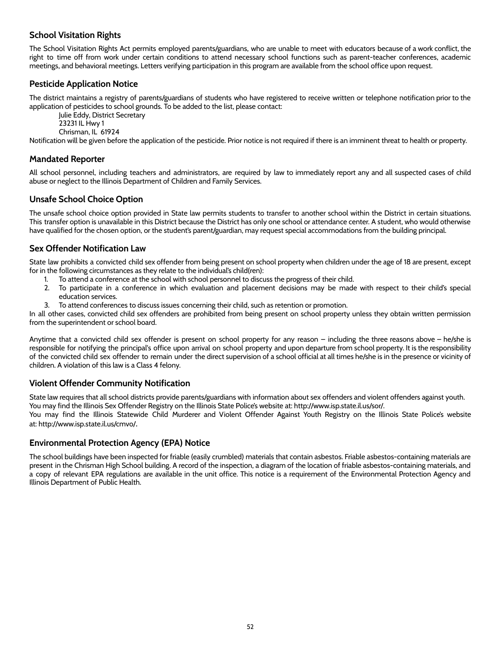## <span id="page-52-0"></span>**School Visitation Rights**

The School Visitation Rights Act permits employed parents/guardians, who are unable to meet with educators because of a work conflict, the right to time off from work under certain conditions to attend necessary school functions such as parent-teacher conferences, academic meetings, and behavioral meetings. Letters verifying participation in this program are available from the school office upon request.

## <span id="page-52-1"></span>**Pesticide Application Notice**

The district maintains a registry of parents/guardians of students who have registered to receive written or telephone notification prior to the application of pesticides to school grounds. To be added to the list, please contact:

Julie Eddy, District Secretary 23231 IL Hwy 1 Chrisman, IL 61924

Notification will be given before the application of the pesticide. Prior notice is not required if there is an imminent threat to health or property.

## <span id="page-52-2"></span>**Mandated Reporter**

All school personnel, including teachers and administrators, are required by law to immediately report any and all suspected cases of child abuse or neglect to the Illinois Department of Children and Family Services.

## <span id="page-52-3"></span>**Unsafe School Choice Option**

The unsafe school choice option provided in State law permits students to transfer to another school within the District in certain situations. This transfer option is unavailable in this District because the District has only one school or attendance center. A student, who would otherwise have qualified for the chosen option, or the student's parent/guardian, may request special accommodations from the building principal.

## <span id="page-52-4"></span>**Sex Offender Notification Law**

State law prohibits a convicted child sex offender from being present on school property when children under the age of 18 are present, except for in the following circumstances as they relate to the individual's child(ren):

- 1. To attend a conference at the school with school personnel to discuss the progress of their child.
- 2. To participate in a conference in which evaluation and placement decisions may be made with respect to their child's special education services.
- 3. To attend conferences to discuss issues concerning their child, such as retention or promotion.

In all other cases, convicted child sex offenders are prohibited from being present on school property unless they obtain written permission from the superintendent or school board.

Anytime that a convicted child sex offender is present on school property for any reason – including the three reasons above – he/she is responsible for notifying the principal's office upon arrival on school property and upon departure from school property. It is the responsibility of the convicted child sex offender to remain under the direct supervision of a school official at all times he/she is in the presence or vicinity of children. A violation of this law is a Class 4 felony.

## <span id="page-52-5"></span>**Violent Offender Community Notification**

State law requires that all school districts provide parents/guardians with information about sex offenders and violent offenders against youth. You may find the Illinois Sex Offender Registry on the Illinois State Police's website at: http://www.isp.state.il.us/sor/. You may find the Illinois Statewide Child Murderer and Violent Offender Against Youth Registry on the Illinois State Police's website at: http://www.isp.state.il.us/cmvo/.

## <span id="page-52-6"></span>**Environmental Protection Agency (EPA) Notice**

The school buildings have been inspected for friable (easily crumbled) materials that contain asbestos. Friable asbestos-containing materials are present in the Chrisman High School building. A record of the inspection, a diagram of the location of friable asbestos-containing materials, and a copy of relevant EPA regulations are available in the unit office. This notice is a requirement of the Environmental Protection Agency and Illinois Department of Public Health.